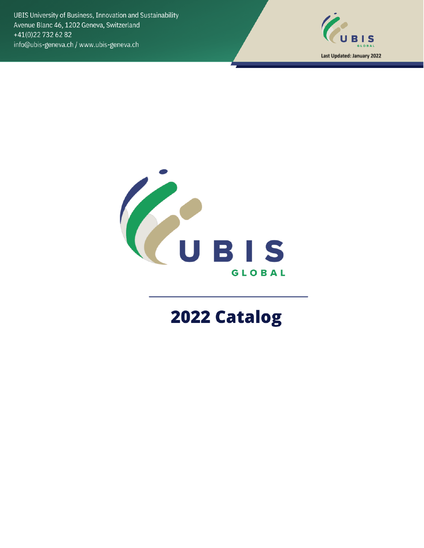UBIS University of Business, Innovation and Sustainability Avenue Blanc 46, 1202 Geneva, Switzerland +41(0)22 732 62 82 info@ubis-geneva.ch / www.ubis-geneva.ch





# 2022 Catalog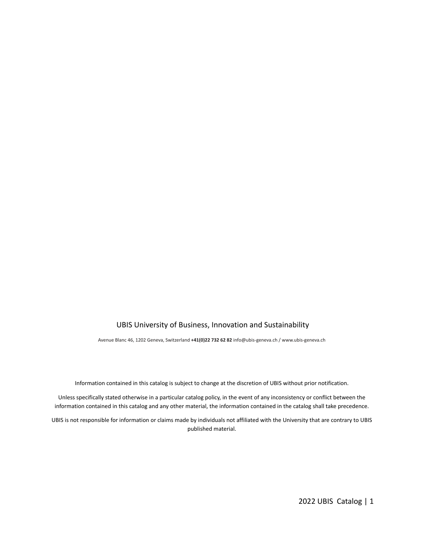#### UBIS University of Business, Innovation and Sustainability

Avenue Blanc 46, 1202 Geneva, Switzerland **+41(0)22 732 62 82** info@ubis-geneva.ch / www.ubis-geneva.ch

Information contained in this catalog is subject to change at the discretion of UBIS without prior notification.

Unless specifically stated otherwise in a particular catalog policy, in the event of any inconsistency or conflict between the information contained in this catalog and any other material, the information contained in the catalog shall take precedence.

UBIS is not responsible for information or claims made by individuals not affiliated with the University that are contrary to UBIS published material.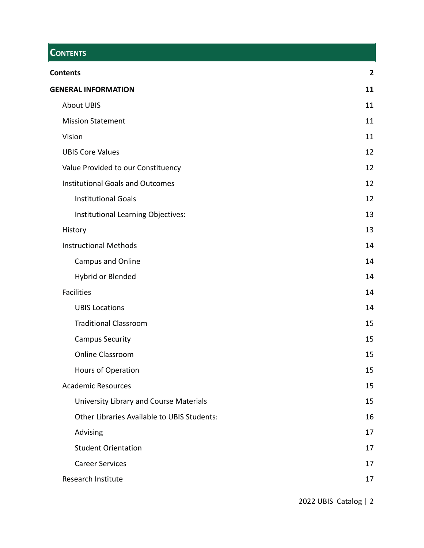# <span id="page-2-0"></span>**CONTENTS**

| <b>Contents</b>                                    | $\overline{\mathbf{2}}$ |
|----------------------------------------------------|-------------------------|
| <b>GENERAL INFORMATION</b>                         | 11                      |
| <b>About UBIS</b>                                  | 11                      |
| <b>Mission Statement</b>                           | 11                      |
| Vision                                             | 11                      |
| <b>UBIS Core Values</b>                            | 12                      |
| Value Provided to our Constituency                 | 12                      |
| <b>Institutional Goals and Outcomes</b>            | 12                      |
| <b>Institutional Goals</b>                         | 12                      |
| Institutional Learning Objectives:                 | 13                      |
| History                                            | 13                      |
| <b>Instructional Methods</b>                       | 14                      |
| Campus and Online                                  | 14                      |
| Hybrid or Blended                                  | 14                      |
| <b>Facilities</b>                                  | 14                      |
| <b>UBIS Locations</b>                              | 14                      |
| <b>Traditional Classroom</b>                       | 15                      |
| <b>Campus Security</b>                             | 15                      |
| <b>Online Classroom</b>                            | 15                      |
| Hours of Operation                                 | 15                      |
| <b>Academic Resources</b>                          | 15                      |
| University Library and Course Materials            | 15                      |
| <b>Other Libraries Available to UBIS Students:</b> | 16                      |
| Advising                                           | 17                      |
| <b>Student Orientation</b>                         | 17                      |
| <b>Career Services</b>                             | 17                      |
| Research Institute                                 | 17                      |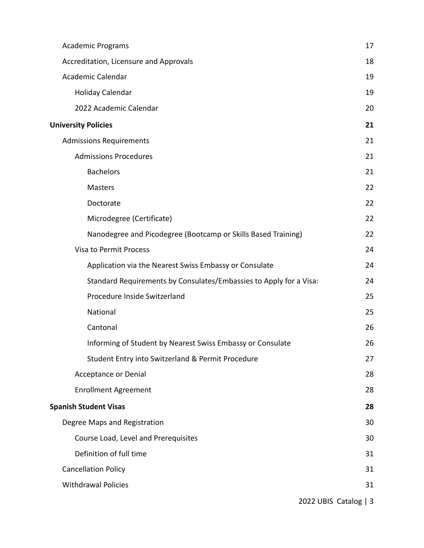| <b>Academic Programs</b>                                           | 17                    |
|--------------------------------------------------------------------|-----------------------|
| Accreditation, Licensure and Approvals                             | 18                    |
| Academic Calendar                                                  | 19                    |
| Holiday Calendar                                                   | 19                    |
| 2022 Academic Calendar                                             | 20                    |
| <b>University Policies</b>                                         | 21                    |
| <b>Admissions Requirements</b>                                     | 21                    |
| <b>Admissions Procedures</b>                                       | 21                    |
| <b>Bachelors</b>                                                   | 21                    |
| Masters                                                            | 22                    |
| Doctorate                                                          | 22                    |
| Microdegree (Certificate)                                          | 22                    |
| Nanodegree and Picodegree (Bootcamp or Skills Based Training)      | 22                    |
| Visa to Permit Process                                             | 24                    |
| Application via the Nearest Swiss Embassy or Consulate             | 24                    |
| Standard Requirements by Consulates/Embassies to Apply for a Visa: | 24                    |
| Procedure Inside Switzerland                                       | 25                    |
| National                                                           | 25                    |
| Cantonal                                                           | 26                    |
| Informing of Student by Nearest Swiss Embassy or Consulate         | 26                    |
| Student Entry into Switzerland & Permit Procedure                  | 27                    |
| <b>Acceptance or Denial</b>                                        | 28                    |
| <b>Enrollment Agreement</b>                                        | 28                    |
| <b>Spanish Student Visas</b>                                       | 28                    |
| Degree Maps and Registration                                       | 30                    |
| Course Load, Level and Prerequisites                               | 30                    |
| Definition of full time                                            | 31                    |
| <b>Cancellation Policy</b>                                         | 31                    |
| <b>Withdrawal Policies</b>                                         | 31                    |
|                                                                    | 2022 UBIS Catalog   3 |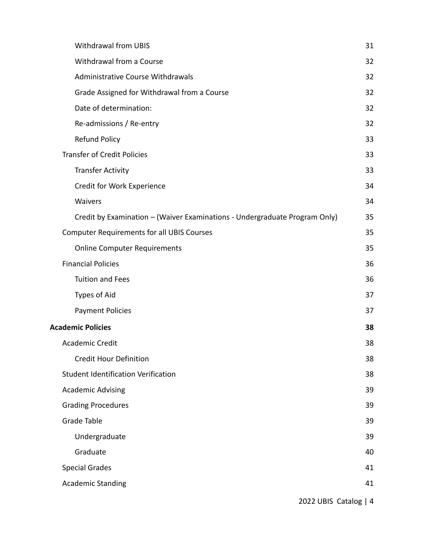| <b>Withdrawal from UBIS</b>                                                | 31 |
|----------------------------------------------------------------------------|----|
| Withdrawal from a Course                                                   | 32 |
| <b>Administrative Course Withdrawals</b>                                   | 32 |
| Grade Assigned for Withdrawal from a Course                                | 32 |
| Date of determination:                                                     | 32 |
| Re-admissions / Re-entry                                                   | 32 |
| <b>Refund Policy</b>                                                       | 33 |
| <b>Transfer of Credit Policies</b>                                         | 33 |
| <b>Transfer Activity</b>                                                   | 33 |
| Credit for Work Experience                                                 | 34 |
| Waivers                                                                    | 34 |
| Credit by Examination - (Waiver Examinations - Undergraduate Program Only) | 35 |
| <b>Computer Requirements for all UBIS Courses</b>                          | 35 |
| <b>Online Computer Requirements</b>                                        | 35 |
| <b>Financial Policies</b>                                                  | 36 |
| <b>Tuition and Fees</b>                                                    | 36 |
| Types of Aid                                                               | 37 |
| <b>Payment Policies</b>                                                    | 37 |
| <b>Academic Policies</b>                                                   | 38 |
| <b>Academic Credit</b>                                                     | 38 |
| <b>Credit Hour Definition</b>                                              | 38 |
| <b>Student Identification Verification</b>                                 | 38 |
| <b>Academic Advising</b>                                                   | 39 |
| <b>Grading Procedures</b>                                                  | 39 |
| Grade Table                                                                | 39 |
| Undergraduate                                                              | 39 |
| Graduate                                                                   | 40 |
| <b>Special Grades</b>                                                      | 41 |
| <b>Academic Standing</b>                                                   | 41 |
|                                                                            |    |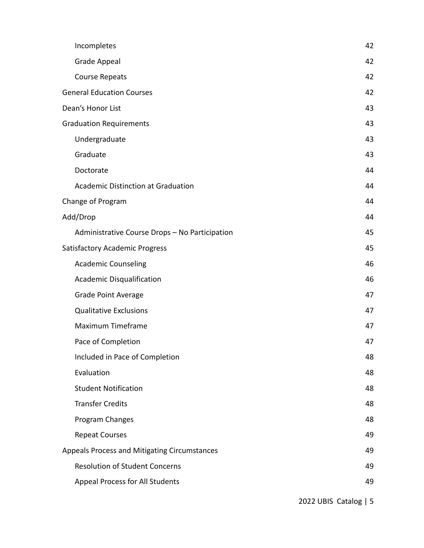| Incompletes                                    | 42 |
|------------------------------------------------|----|
| <b>Grade Appeal</b>                            | 42 |
| <b>Course Repeats</b>                          | 42 |
| <b>General Education Courses</b>               | 42 |
| Dean's Honor List                              | 43 |
| <b>Graduation Requirements</b>                 | 43 |
| Undergraduate                                  | 43 |
| Graduate                                       | 43 |
| Doctorate                                      | 44 |
| <b>Academic Distinction at Graduation</b>      | 44 |
| Change of Program                              | 44 |
| Add/Drop                                       | 44 |
| Administrative Course Drops - No Participation | 45 |
| <b>Satisfactory Academic Progress</b>          | 45 |
| <b>Academic Counseling</b>                     | 46 |
| <b>Academic Disqualification</b>               | 46 |
| <b>Grade Point Average</b>                     | 47 |
| <b>Qualitative Exclusions</b>                  | 47 |
| Maximum Timeframe                              | 47 |
| Pace of Completion                             | 47 |
| Included in Pace of Completion                 | 48 |
| Evaluation                                     | 48 |
| <b>Student Notification</b>                    | 48 |
| <b>Transfer Credits</b>                        | 48 |
| Program Changes                                | 48 |
| <b>Repeat Courses</b>                          | 49 |
| Appeals Process and Mitigating Circumstances   | 49 |
| <b>Resolution of Student Concerns</b>          | 49 |
| Appeal Process for All Students                | 49 |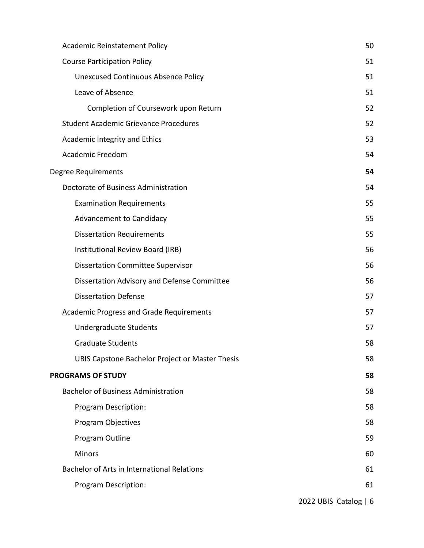| Academic Reinstatement Policy                   | 50                    |
|-------------------------------------------------|-----------------------|
| <b>Course Participation Policy</b>              | 51                    |
| <b>Unexcused Continuous Absence Policy</b>      | 51                    |
| Leave of Absence                                | 51                    |
| Completion of Coursework upon Return            | 52                    |
| <b>Student Academic Grievance Procedures</b>    | 52                    |
| Academic Integrity and Ethics                   | 53                    |
| <b>Academic Freedom</b>                         | 54                    |
| Degree Requirements                             | 54                    |
| Doctorate of Business Administration            | 54                    |
| <b>Examination Requirements</b>                 | 55                    |
| <b>Advancement to Candidacy</b>                 | 55                    |
| <b>Dissertation Requirements</b>                | 55                    |
| Institutional Review Board (IRB)                | 56                    |
| <b>Dissertation Committee Supervisor</b>        | 56                    |
| Dissertation Advisory and Defense Committee     | 56                    |
| <b>Dissertation Defense</b>                     | 57                    |
| Academic Progress and Grade Requirements        | 57                    |
| Undergraduate Students                          | 57                    |
| <b>Graduate Students</b>                        | 58                    |
| UBIS Capstone Bachelor Project or Master Thesis | 58                    |
| <b>PROGRAMS OF STUDY</b>                        | 58                    |
| <b>Bachelor of Business Administration</b>      | 58                    |
| Program Description:                            | 58                    |
| Program Objectives                              | 58                    |
| Program Outline                                 | 59                    |
| <b>Minors</b>                                   | 60                    |
| Bachelor of Arts in International Relations     | 61                    |
| Program Description:                            | 61                    |
|                                                 | 2022 UBIS Catalog   6 |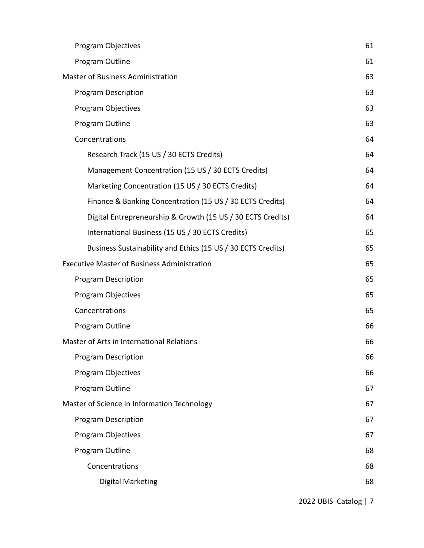| <b>Program Objectives</b>                                    | 61 |
|--------------------------------------------------------------|----|
| Program Outline                                              | 61 |
| <b>Master of Business Administration</b>                     | 63 |
| <b>Program Description</b>                                   | 63 |
| Program Objectives                                           | 63 |
| Program Outline                                              | 63 |
| Concentrations                                               | 64 |
| Research Track (15 US / 30 ECTS Credits)                     | 64 |
| Management Concentration (15 US / 30 ECTS Credits)           | 64 |
| Marketing Concentration (15 US / 30 ECTS Credits)            | 64 |
| Finance & Banking Concentration (15 US / 30 ECTS Credits)    | 64 |
| Digital Entrepreneurship & Growth (15 US / 30 ECTS Credits)  | 64 |
| International Business (15 US / 30 ECTS Credits)             | 65 |
| Business Sustainability and Ethics (15 US / 30 ECTS Credits) | 65 |
| <b>Executive Master of Business Administration</b>           | 65 |
| <b>Program Description</b>                                   | 65 |
| Program Objectives                                           | 65 |
| Concentrations                                               | 65 |
| Program Outline                                              | 66 |
| Master of Arts in International Relations                    | 66 |
| Program Description                                          | 66 |
| Program Objectives                                           | 66 |
| Program Outline                                              | 67 |
| Master of Science in Information Technology                  | 67 |
| <b>Program Description</b>                                   | 67 |
| Program Objectives                                           | 67 |
| Program Outline                                              | 68 |
| Concentrations                                               | 68 |
| <b>Digital Marketing</b>                                     | 68 |
|                                                              |    |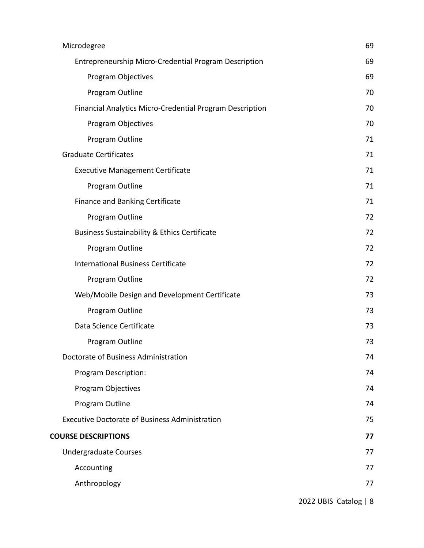| Microdegree                                              | 69 |
|----------------------------------------------------------|----|
| Entrepreneurship Micro-Credential Program Description    | 69 |
| <b>Program Objectives</b>                                | 69 |
| Program Outline                                          | 70 |
| Financial Analytics Micro-Credential Program Description | 70 |
| Program Objectives                                       | 70 |
| Program Outline                                          | 71 |
| <b>Graduate Certificates</b>                             | 71 |
| <b>Executive Management Certificate</b>                  | 71 |
| Program Outline                                          | 71 |
| <b>Finance and Banking Certificate</b>                   | 71 |
| Program Outline                                          | 72 |
| <b>Business Sustainability &amp; Ethics Certificate</b>  | 72 |
| Program Outline                                          | 72 |
| <b>International Business Certificate</b>                | 72 |
| Program Outline                                          | 72 |
| Web/Mobile Design and Development Certificate            | 73 |
| Program Outline                                          | 73 |
| Data Science Certificate                                 | 73 |
| Program Outline                                          | 73 |
| Doctorate of Business Administration                     | 74 |
| Program Description:                                     | 74 |
| Program Objectives                                       | 74 |
| Program Outline                                          | 74 |
| <b>Executive Doctorate of Business Administration</b>    | 75 |
| <b>COURSE DESCRIPTIONS</b>                               | 77 |
| <b>Undergraduate Courses</b>                             | 77 |
| Accounting                                               | 77 |
| Anthropology                                             | 77 |
|                                                          |    |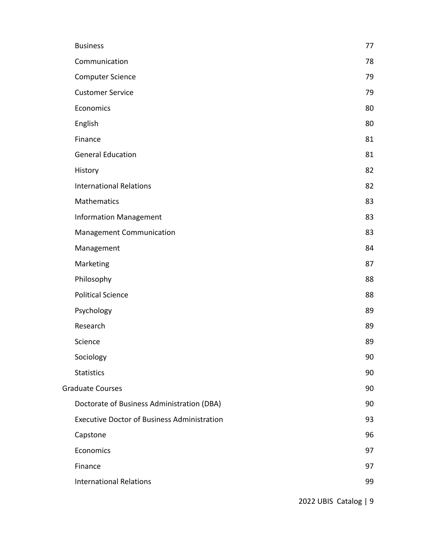| <b>Business</b>                                    | 77 |
|----------------------------------------------------|----|
| Communication                                      | 78 |
| <b>Computer Science</b>                            | 79 |
| <b>Customer Service</b>                            | 79 |
| Economics                                          | 80 |
| English                                            | 80 |
| Finance                                            | 81 |
| <b>General Education</b>                           | 81 |
| History                                            | 82 |
| <b>International Relations</b>                     | 82 |
| <b>Mathematics</b>                                 | 83 |
| <b>Information Management</b>                      | 83 |
| <b>Management Communication</b>                    | 83 |
| Management                                         | 84 |
| Marketing                                          | 87 |
| Philosophy                                         | 88 |
| <b>Political Science</b>                           | 88 |
| Psychology                                         | 89 |
| Research                                           | 89 |
| Science                                            | 89 |
| Sociology                                          | 90 |
| <b>Statistics</b>                                  | 90 |
| <b>Graduate Courses</b>                            | 90 |
| Doctorate of Business Administration (DBA)         | 90 |
| <b>Executive Doctor of Business Administration</b> | 93 |
| Capstone                                           | 96 |
| Economics                                          | 97 |
| Finance                                            | 97 |
| <b>International Relations</b>                     | 99 |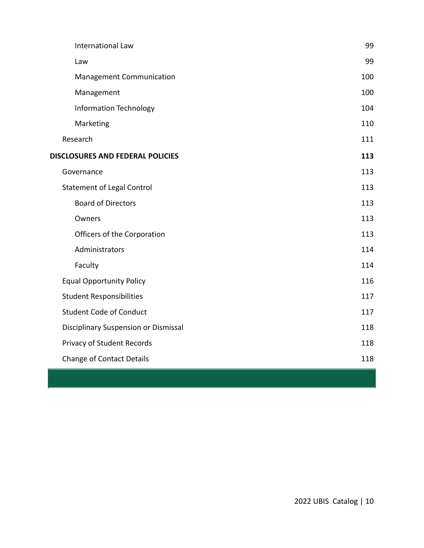| International Law                    | 99  |
|--------------------------------------|-----|
| Law                                  | 99  |
| Management Communication             | 100 |
| Management                           | 100 |
| <b>Information Technology</b>        | 104 |
| Marketing                            | 110 |
| Research                             | 111 |
| DISCLOSURES AND FEDERAL POLICIES     | 113 |
| Governance                           | 113 |
| <b>Statement of Legal Control</b>    | 113 |
| <b>Board of Directors</b>            | 113 |
| Owners                               | 113 |
| Officers of the Corporation          | 113 |
| Administrators                       | 114 |
| Faculty                              | 114 |
| <b>Equal Opportunity Policy</b>      | 116 |
| <b>Student Responsibilities</b>      | 117 |
| <b>Student Code of Conduct</b>       | 117 |
| Disciplinary Suspension or Dismissal | 118 |
| Privacy of Student Records           | 118 |
| <b>Change of Contact Details</b>     | 118 |
|                                      |     |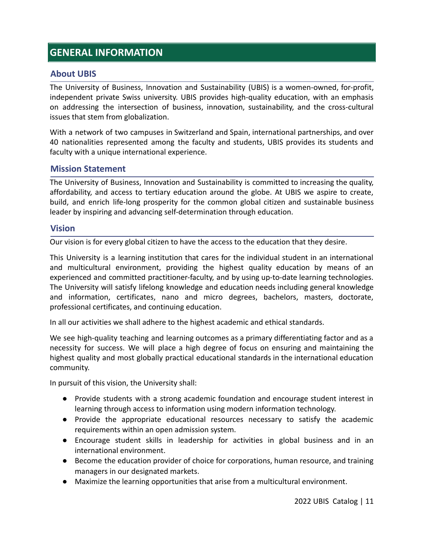# <span id="page-11-0"></span>**GENERAL INFORMATION**

#### <span id="page-11-1"></span>**About UBIS**

The University of Business, Innovation and Sustainability (UBIS) is a women-owned, for-profit, independent private Swiss university. UBIS provides high-quality education, with an emphasis on addressing the intersection of business, innovation, sustainability, and the cross-cultural issues that stem from globalization.

With a network of two campuses in Switzerland and Spain, international partnerships, and over 40 nationalities represented among the faculty and students, UBIS provides its students and faculty with a unique international experience.

#### <span id="page-11-2"></span>**Mission Statement**

The University of Business, Innovation and Sustainability is committed to increasing the quality, affordability, and access to tertiary education around the globe. At UBIS we aspire to create, build, and enrich life-long prosperity for the common global citizen and sustainable business leader by inspiring and advancing self-determination through education.

#### <span id="page-11-3"></span>**Vision**

Our vision is for every global citizen to have the access to the education that they desire.

This University is a learning institution that cares for the individual student in an international and multicultural environment, providing the highest quality education by means of an experienced and committed practitioner-faculty, and by using up-to-date learning technologies. The University will satisfy lifelong knowledge and education needs including general knowledge and information, certificates, nano and micro degrees, bachelors, masters, doctorate, professional certificates, and continuing education.

In all our activities we shall adhere to the highest academic and ethical standards.

We see high-quality teaching and learning outcomes as a primary differentiating factor and as a necessity for success. We will place a high degree of focus on ensuring and maintaining the highest quality and most globally practical educational standards in the international education community.

In pursuit of this vision, the University shall:

- Provide students with a strong academic foundation and encourage student interest in learning through access to information using modern information technology.
- Provide the appropriate educational resources necessary to satisfy the academic requirements within an open admission system.
- Encourage student skills in leadership for activities in global business and in an international environment.
- Become the education provider of choice for corporations, human resource, and training managers in our designated markets.
- Maximize the learning opportunities that arise from a multicultural environment.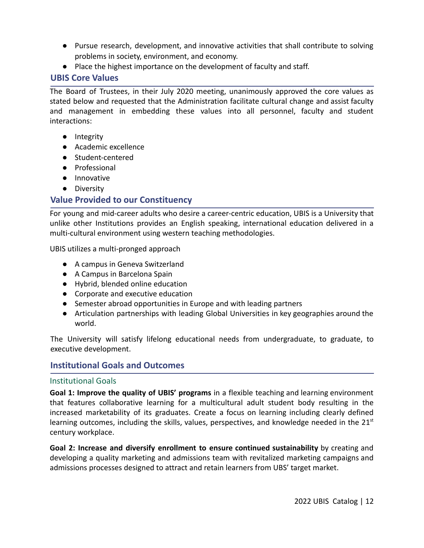- Pursue research, development, and innovative activities that shall contribute to solving problems in society, environment, and economy.
- Place the highest importance on the development of faculty and staff.

## <span id="page-12-0"></span>**UBIS Core Values**

The Board of Trustees, in their July 2020 meeting, unanimously approved the core values as stated below and requested that the Administration facilitate cultural change and assist faculty and management in embedding these values into all personnel, faculty and student interactions:

- Integrity
- Academic excellence
- Student-centered
- Professional
- Innovative
- Diversity

# <span id="page-12-1"></span>**Value Provided to our Constituency**

For young and mid-career adults who desire a career-centric education, UBIS is a University that unlike other Institutions provides an English speaking, international education delivered in a multi-cultural environment using western teaching methodologies.

UBIS utilizes a multi-pronged approach

- A campus in Geneva Switzerland
- A Campus in Barcelona Spain
- Hybrid, blended online education
- Corporate and executive education
- Semester abroad opportunities in Europe and with leading partners
- Articulation partnerships with leading Global Universities in key geographies around the world.

The University will satisfy lifelong educational needs from undergraduate, to graduate, to executive development.

# <span id="page-12-2"></span>**Institutional Goals and Outcomes**

## <span id="page-12-3"></span>Institutional Goals

**Goal 1: Improve the quality of UBIS' programs** in a flexible teaching and learning environment that features collaborative learning for a multicultural adult student body resulting in the increased marketability of its graduates. Create a focus on learning including clearly defined learning outcomes, including the skills, values, perspectives, and knowledge needed in the  $21<sup>st</sup>$ century workplace.

**Goal 2: Increase and diversify enrollment to ensure continued sustainability** by creating and developing a quality marketing and admissions team with revitalized marketing campaigns and admissions processes designed to attract and retain learners from UBS' target market.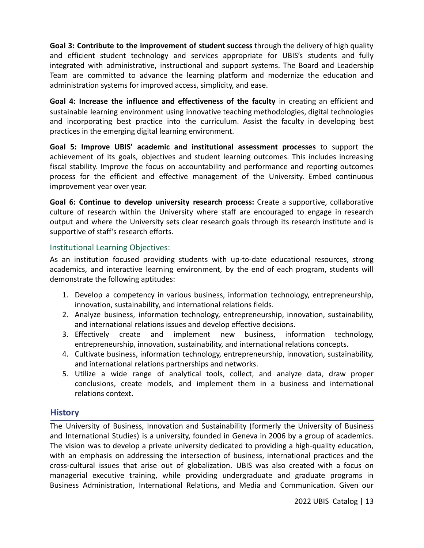**Goal 3: Contribute to the improvement of student success** through the delivery of high quality and efficient student technology and services appropriate for UBIS's students and fully integrated with administrative, instructional and support systems. The Board and Leadership Team are committed to advance the learning platform and modernize the education and administration systems for improved access, simplicity, and ease.

**Goal 4: Increase the influence and effectiveness of the faculty** in creating an efficient and sustainable learning environment using innovative teaching methodologies, digital technologies and incorporating best practice into the curriculum. Assist the faculty in developing best practices in the emerging digital learning environment.

**Goal 5: Improve UBIS' academic and institutional assessment processes** to support the achievement of its goals, objectives and student learning outcomes. This includes increasing fiscal stability. Improve the focus on accountability and performance and reporting outcomes process for the efficient and effective management of the University. Embed continuous improvement year over year.

**Goal 6: Continue to develop university research process:** Create a supportive, collaborative culture of research within the University where staff are encouraged to engage in research output and where the University sets clear research goals through its research institute and is supportive of staff's research efforts.

#### <span id="page-13-0"></span>Institutional Learning Objectives:

As an institution focused providing students with up-to-date educational resources, strong academics, and interactive learning environment, by the end of each program, students will demonstrate the following aptitudes:

- 1. Develop a competency in various business, information technology, entrepreneurship, innovation, sustainability, and international relations fields.
- 2. Analyze business, information technology, entrepreneurship, innovation, sustainability, and international relations issues and develop effective decisions.
- 3. Effectively create and implement new business, information technology, entrepreneurship, innovation, sustainability, and international relations concepts.
- 4. Cultivate business, information technology, entrepreneurship, innovation, sustainability, and international relations partnerships and networks.
- 5. Utilize a wide range of analytical tools, collect, and analyze data, draw proper conclusions, create models, and implement them in a business and international relations context.

## <span id="page-13-1"></span>**History**

The University of Business, Innovation and Sustainability (formerly the University of Business and International Studies) is a university, founded in Geneva in 2006 by a group of academics. The vision was to develop a private university dedicated to providing a high-quality education, with an emphasis on addressing the intersection of business, international practices and the cross-cultural issues that arise out of globalization. UBIS was also created with a focus on managerial executive training, while providing undergraduate and graduate programs in Business Administration, International Relations, and Media and Communication. Given our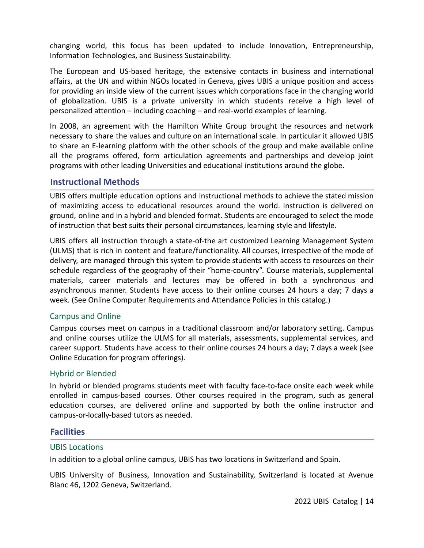changing world, this focus has been updated to include Innovation, Entrepreneurship, Information Technologies, and Business Sustainability.

The European and US-based heritage, the extensive contacts in business and international affairs, at the UN and within NGOs located in Geneva, gives UBIS a unique position and access for providing an inside view of the current issues which corporations face in the changing world of globalization. UBIS is a private university in which students receive a high level of personalized attention – including coaching – and real-world examples of learning.

In 2008, an agreement with the Hamilton White Group brought the resources and network necessary to share the values and culture on an international scale. In particular it allowed UBIS to share an E-learning platform with the other schools of the group and make available online all the programs offered, form articulation agreements and partnerships and develop joint programs with other leading Universities and educational institutions around the globe.

#### <span id="page-14-0"></span>**Instructional Methods**

UBIS offers multiple education options and instructional methods to achieve the stated mission of maximizing access to educational resources around the world. Instruction is delivered on ground, online and in a hybrid and blended format. Students are encouraged to select the mode of instruction that best suits their personal circumstances, learning style and lifestyle.

UBIS offers all instruction through a state-of-the art customized Learning Management System (ULMS) that is rich in content and feature/functionality. All courses, irrespective of the mode of delivery, are managed through this system to provide students with access to resources on their schedule regardless of the geography of their "home-country". Course materials, supplemental materials, career materials and lectures may be offered in both a synchronous and asynchronous manner. Students have access to their online courses 24 hours a day; 7 days a week. (See Online Computer Requirements and Attendance Policies in this catalog.)

#### <span id="page-14-1"></span>Campus and Online

Campus courses meet on campus in a traditional classroom and/or laboratory setting. Campus and online courses utilize the ULMS for all materials, assessments, supplemental services, and career support. Students have access to their online courses 24 hours a day; 7 days a week (see Online Education for program offerings).

#### <span id="page-14-2"></span>Hybrid or Blended

In hybrid or blended programs students meet with faculty face-to-face onsite each week while enrolled in campus-based courses. Other courses required in the program, such as general education courses, are delivered online and supported by both the online instructor and campus-or-locally-based tutors as needed.

#### <span id="page-14-3"></span>**Facilities**

#### <span id="page-14-4"></span>UBIS Locations

In addition to a global online campus, UBIS has two locations in Switzerland and Spain.

UBIS University of Business, Innovation and Sustainability, Switzerland is located at Avenue Blanc 46, 1202 Geneva, Switzerland.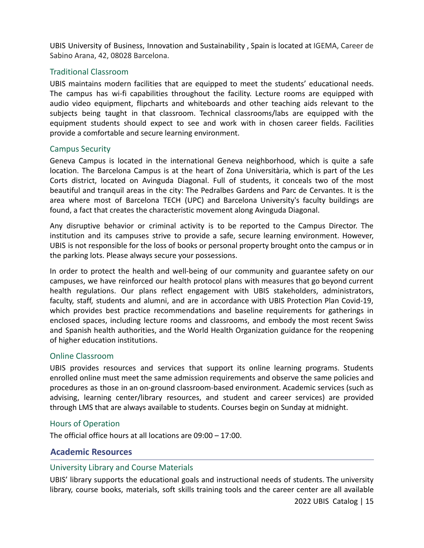UBIS University of Business, Innovation and Sustainability , Spain is located at IGEMA, Career de Sabino Arana, 42, 08028 Barcelona.

#### <span id="page-15-0"></span>Traditional Classroom

UBIS maintains modern facilities that are equipped to meet the students' educational needs. The campus has wi-fi capabilities throughout the facility. Lecture rooms are equipped with audio video equipment, flipcharts and whiteboards and other teaching aids relevant to the subjects being taught in that classroom. Technical classrooms/labs are equipped with the equipment students should expect to see and work with in chosen career fields. Facilities provide a comfortable and secure learning environment.

#### <span id="page-15-1"></span>Campus Security

Geneva Campus is located in the international Geneva neighborhood, which is quite a safe location. The Barcelona Campus is at the heart of Zona Universitària, which is part of the Les Corts district, located on Avinguda Diagonal. Full of students, it conceals two of the most beautiful and tranquil areas in the city: The Pedralbes Gardens and Parc de Cervantes. It is the area where most of Barcelona TECH (UPC) and Barcelona University's faculty buildings are found, a fact that creates the characteristic movement along Avinguda Diagonal.

Any disruptive behavior or criminal activity is to be reported to the Campus Director. The institution and its campuses strive to provide a safe, secure learning environment. However, UBIS is not responsible for the loss of books or personal property brought onto the campus or in the parking lots. Please always secure your possessions.

In order to protect the health and well-being of our community and guarantee safety on our campuses, we have reinforced our health protocol plans with measures that go beyond current health regulations. Our plans reflect engagement with UBIS stakeholders, administrators, faculty, staff, students and alumni, and are in accordance with UBIS Protection Plan Covid-19, which provides best practice recommendations and baseline requirements for gatherings in enclosed spaces, including lecture rooms and classrooms, and embody the most recent Swiss and Spanish health authorities, and the World Health Organization guidance for the reopening of higher education institutions.

#### <span id="page-15-2"></span>Online Classroom

UBIS provides resources and services that support its online learning programs. Students enrolled online must meet the same admission requirements and observe the same policies and procedures as those in an on-ground classroom-based environment. Academic services (such as advising, learning center/library resources, and student and career services) are provided through LMS that are always available to students. Courses begin on Sunday at midnight.

#### <span id="page-15-3"></span>Hours of Operation

The official office hours at all locations are 09:00 – 17:00.

#### <span id="page-15-4"></span>**Academic Resources**

#### <span id="page-15-5"></span>University Library and Course Materials

UBIS' library supports the educational goals and instructional needs of students. The university library, course books, materials, soft skills training tools and the career center are all available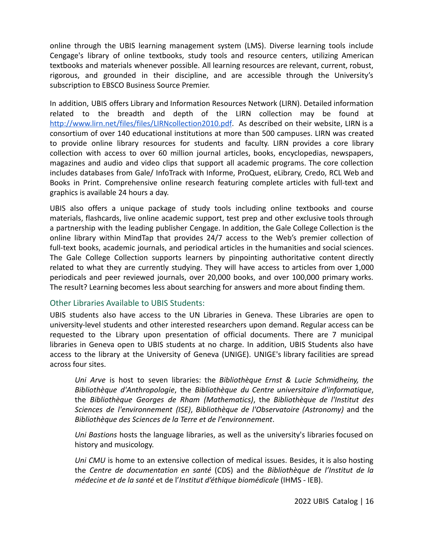online through the UBIS learning management system (LMS). Diverse learning tools include Cengage's library of online textbooks, study tools and resource centers, utilizing American textbooks and materials whenever possible. All learning resources are relevant, current, robust, rigorous, and grounded in their discipline, and are accessible through the University's subscription to EBSCO Business Source Premier.

In addition, UBIS offers Library and Information Resources Network (LIRN). Detailed information related to the breadth and depth of the LIRN collection may be found at [http://www.lirn.net/files/files/LIRNcollection2010.pdf.](http://www.lirn.net/files/files/LIRNcollection2010.pdf) As described on their website, LIRN is a consortium of over 140 educational institutions at more than 500 campuses. LIRN was created to provide online library resources for students and faculty. LIRN provides a core library collection with access to over 60 million journal articles, books, encyclopedias, newspapers, magazines and audio and video clips that support all academic programs. The core collection includes databases from Gale/ InfoTrack with Informe, ProQuest, eLibrary, Credo, RCL Web and Books in Print. Comprehensive online research featuring complete articles with full-text and graphics is available 24 hours a day.

UBIS also offers a unique package of study tools including online textbooks and course materials, flashcards, live online academic support, test prep and other exclusive tools through a partnership with the leading publisher Cengage. In addition, the Gale College Collection is the online library within MindTap that provides 24/7 access to the Web's premier collection of full-text books, academic journals, and periodical articles in the humanities and social sciences. The Gale College Collection supports learners by pinpointing authoritative content directly related to what they are currently studying. They will have access to articles from over 1,000 periodicals and peer reviewed journals, over 20,000 books, and over 100,000 primary works. The result? Learning becomes less about searching for answers and more about finding them.

#### <span id="page-16-0"></span>Other Libraries Available to UBIS Students:

UBIS students also have access to the UN Libraries in Geneva. These Libraries are open to university-level students and other interested researchers upon demand. Regular access can be requested to the Library upon presentation of official documents. There are 7 municipal libraries in Geneva open to UBIS students at no charge. In addition, UBIS Students also have access to the library at the University of Geneva (UNIGE). UNIGE's library facilities are spread across four sites.

*Uni Arve* is host to seven libraries: the *Bibliothèque Ernst & Lucie Schmidheiny, the Bibliothèque d'Anthropologie*, the *Bibliothèque du Centre universitaire d'informatique*, the *Bibliothèque Georges de Rham (Mathematics)*, the *Bibliothèque de l'Institut des Sciences de l'environnement (ISE)*, *Bibliothèque de l'Observatoire (Astronomy)* and the *Bibliothèque des Sciences de la Terre et de l'environnement*.

*Uni Bastions* hosts the language libraries, as well as the university's libraries focused on history and musicology.

*Uni CMU* is home to an extensive collection of medical issues. Besides, it is also hosting the *Centre de documentation en santé* (CDS) and the *Bibliothèque de l'Institut de la médecine et de la santé* et de l'*Institut d'éthique biomédicale* (IHMS - IEB).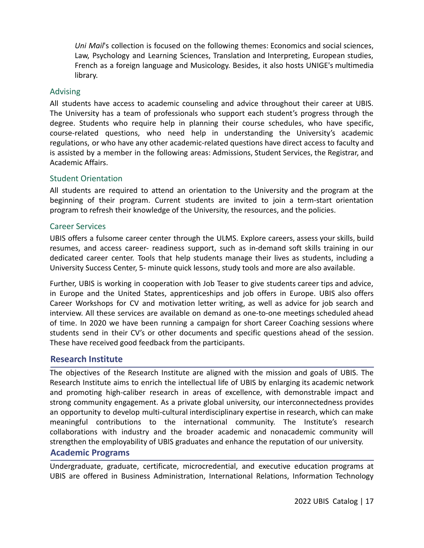*Uni Mail*'s collection is focused on the following themes: Economics and social sciences, Law, Psychology and Learning Sciences, Translation and Interpreting, European studies, French as a foreign language and Musicology. Besides, it also hosts UNIGE's multimedia library.

#### <span id="page-17-0"></span>Advising

All students have access to academic counseling and advice throughout their career at UBIS. The University has a team of professionals who support each student's progress through the degree. Students who require help in planning their course schedules, who have specific, course-related questions, who need help in understanding the University's academic regulations, or who have any other academic-related questions have direct access to faculty and is assisted by a member in the following areas: Admissions, Student Services, the Registrar, and Academic Affairs.

#### <span id="page-17-1"></span>Student Orientation

All students are required to attend an orientation to the University and the program at the beginning of their program. Current students are invited to join a term-start orientation program to refresh their knowledge of the University, the resources, and the policies.

#### <span id="page-17-2"></span>Career Services

UBIS offers a fulsome career center through the ULMS. Explore careers, assess your skills, build resumes, and access career- readiness support, such as in-demand soft skills training in our dedicated career center. Tools that help students manage their lives as students, including a University Success Center, 5- minute quick lessons, study tools and more are also available.

Further, UBIS is working in cooperation with Job Teaser to give students career tips and advice, in Europe and the United States, apprenticeships and job offers in Europe. UBIS also offers Career Workshops for CV and motivation letter writing, as well as advice for job search and interview. All these services are available on demand as one-to-one meetings scheduled ahead of time. In 2020 we have been running a campaign for short Career Coaching sessions where students send in their CV's or other documents and specific questions ahead of the session. These have received good feedback from the participants.

#### <span id="page-17-3"></span>**Research Institute**

The objectives of the Research Institute are aligned with the mission and goals of UBIS. The Research Institute aims to enrich the intellectual life of UBIS by enlarging its academic network and promoting high-caliber research in areas of excellence, with demonstrable impact and strong community engagement. As a private global university, our interconnectedness provides an opportunity to develop multi-cultural interdisciplinary expertise in research, which can make meaningful contributions to the international community. The Institute's research collaborations with industry and the broader academic and nonacademic community will strengthen the employability of UBIS graduates and enhance the reputation of our university.

#### <span id="page-17-4"></span>**Academic Programs**

Undergraduate, graduate, certificate, microcredential, and executive education programs at UBIS are offered in Business Administration, International Relations, Information Technology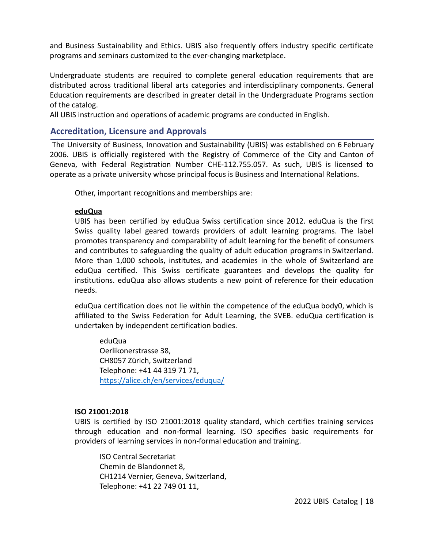and Business Sustainability and Ethics. UBIS also frequently offers industry specific certificate programs and seminars customized to the ever-changing marketplace.

Undergraduate students are required to complete general education requirements that are distributed across traditional liberal arts categories and interdisciplinary components. General Education requirements are described in greater detail in the Undergraduate Programs section of the catalog.

All UBIS instruction and operations of academic programs are conducted in English.

#### <span id="page-18-0"></span>**Accreditation, Licensure and Approvals**

The University of Business, Innovation and Sustainability (UBIS) was established on 6 February 2006. UBIS is officially registered with the Registry of Commerce of the City and Canton of Geneva, with Federal Registration Number CHE-112.755.057. As such, UBIS is licensed to operate as a private university whose principal focus is Business and International Relations.

Other, important recognitions and memberships are:

#### **eduQua**

UBIS has been certified by eduQua Swiss certification since 2012. eduQua is the first Swiss quality label geared towards providers of adult learning programs. The label promotes transparency and comparability of adult learning for the benefit of consumers and contributes to safeguarding the quality of adult education programs in Switzerland. More than 1,000 schools, institutes, and academies in the whole of Switzerland are eduQua certified. This Swiss certificate guarantees and develops the quality for institutions. eduQua also allows students a new point of reference for their education needs.

eduQua certification does not lie within the competence of the eduQua body0, which is affiliated to the Swiss Federation for Adult Learning, the SVEB. eduQua certification is undertaken by independent certification bodies.

eduQua Oerlikonerstrasse 38, CH8057 Zürich, Switzerland Telephone: +41 44 319 71 71, <https://alice.ch/en/services/eduqua/>

#### **ISO 21001:2018**

UBIS is certified by ISO 21001:2018 quality standard, which certifies training services through education and non-formal learning. ISO specifies basic requirements for providers of learning services in non-formal education and training.

ISO Central Secretariat Chemin de Blandonnet 8, CH1214 Vernier, Geneva, Switzerland, Telephone: +41 22 749 01 11,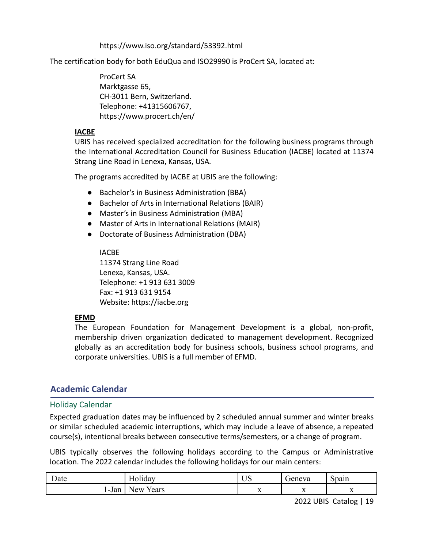https://www.iso.org/standard/53392.html

The certification body for both EduQua and ISO29990 is ProCert SA, located at:

ProCert SA Marktgasse 65, CH-3011 Bern, Switzerland. Telephone: +41315606767, https://www.procert.ch/en/

#### **IACBE**

UBIS has received specialized accreditation for the following business programs through the International Accreditation Council for Business Education (IACBE) located at 11374 Strang Line Road in Lenexa, Kansas, USA*.*

The programs accredited by IACBE at UBIS are the following:

- Bachelor's in Business Administration (BBA)
- Bachelor of Arts in International Relations (BAIR)
- Master's in Business Administration (MBA)
- Master of Arts in International Relations (MAIR)
- Doctorate of Business Administration (DBA)

IACBE 11374 Strang Line Road Lenexa, Kansas, USA. Telephone: +1 913 631 3009 Fax: +1 913 631 9154 Website: https://iacbe.org

#### **EFMD**

The European Foundation for Management Development is a global, non-profit, membership driven organization dedicated to management development. Recognized globally as an accreditation body for business schools, business school programs, and corporate universities. UBIS is a full member of EFMD.

#### <span id="page-19-0"></span>**Academic Calendar**

#### <span id="page-19-1"></span>Holiday Calendar

Expected graduation dates may be influenced by 2 scheduled annual summer and winter breaks or similar scheduled academic interruptions, which may include a leave of absence, a repeated course(s), intentional breaks between consecutive terms/semesters, or a change of program.

UBIS typically observes the following holidays according to the Campus or Administrative location. The 2022 calendar includes the following holidays for our main centers:

| $\overline{\phantom{a}}$<br>⊅ate | $\mathbf{v}$<br>. .<br>10/11 dav | $\mathbf{v}$ $\mathbf{v}$<br>ບບ | $\sim$<br>jeneva | $\overline{\phantom{a}}$<br>Spain |
|----------------------------------|----------------------------------|---------------------------------|------------------|-----------------------------------|
| $\mathbf{r}$                     | 'ears                            | $\mathbf{v}$                    | $-$              | $\overline{ }$                    |
| -Jan                             | New                              | 77                              | $\overline{A}$   |                                   |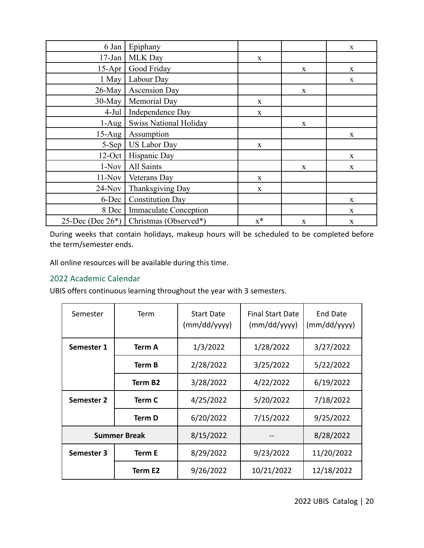| 6 Jan                            | Epiphany                                     |       |             | $\mathbf{X}$ |
|----------------------------------|----------------------------------------------|-------|-------------|--------------|
| $17$ -Jan                        | <b>MLK Day</b>                               | X     |             |              |
| $15-Apr$                         | Good Friday                                  |       | $\mathbf X$ | $\mathbf{X}$ |
| $1$ May                          | Labour Day                                   |       |             | $\mathbf{X}$ |
| $26$ -May                        | <b>Ascension Day</b>                         |       | $\mathbf X$ |              |
| $30$ -May                        | Memorial Day                                 | X     |             |              |
| $4-Jul$                          | Independence Day                             | X     |             |              |
| $1-Aug$                          | <b>Swiss National Holiday</b>                |       | X           |              |
| $15$ -Aug                        | Assumption                                   |       |             | $\mathbf{X}$ |
| 5-Sep                            | <b>US Labor Day</b>                          | X     |             |              |
| $12$ -Oct                        | Hispanic Day                                 |       |             | $\mathbf X$  |
| All Saints<br>$1-Nov$            |                                              |       | X           | $\mathbf{X}$ |
| $11-Nov$                         | Veterans Day                                 | X     |             |              |
| Thanksgiving Day<br>$24-Nov$     |                                              | X     |             |              |
| <b>Constitution Day</b><br>6-Dec |                                              |       |             | $\mathbf{X}$ |
|                                  | 8 Dec<br><b>Immaculate Conception</b>        |       |             | $\mathbf{X}$ |
|                                  | 25-Dec (Dec $26^*$ )   Christmas (Observed*) | $x^*$ | $\mathbf X$ | $\mathbf X$  |

During weeks that contain holidays, makeup hours will be scheduled to be completed before the term/semester ends.

All online resources will be available during this time.

## <span id="page-20-0"></span>2022 Academic Calendar

UBIS offers continuous learning throughout the year with 3 semesters.

| Semester   | Term                | <b>Start Date</b><br>(mm/dd/yyyy) | <b>Final Start Date</b><br>(mm/dd/yyyy) | End Date<br>(mm/dd/yyyy) |
|------------|---------------------|-----------------------------------|-----------------------------------------|--------------------------|
| Semester 1 | Term A              | 1/3/2022                          | 1/28/2022                               | 3/27/2022                |
|            | Term B              | 2/28/2022                         | 3/25/2022                               | 5/22/2022                |
|            | Term B <sub>2</sub> | 3/28/2022                         | 4/22/2022                               | 6/19/2022                |
| Semester 2 | Term C              | 4/25/2022                         | 5/20/2022                               | 7/18/2022                |
|            | Term D              | 6/20/2022                         | 7/15/2022                               | 9/25/2022                |
|            | <b>Summer Break</b> | 8/15/2022                         |                                         | 8/28/2022                |
| Semester 3 | Term E              | 8/29/2022                         | 9/23/2022                               | 11/20/2022               |
|            | Term E2             | 9/26/2022                         | 10/21/2022                              | 12/18/2022               |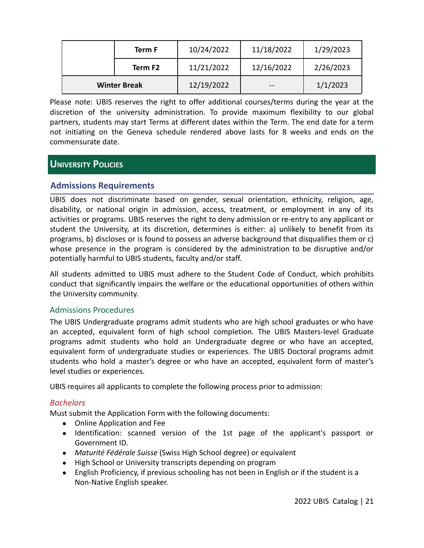|                     | Term F  | 10/24/2022 | 11/18/2022 | 1/29/2023 |
|---------------------|---------|------------|------------|-----------|
|                     | Term F2 | 11/21/2022 | 12/16/2022 | 2/26/2023 |
| <b>Winter Break</b> |         | 12/19/2022 | --         | 1/1/2023  |

Please note: UBIS reserves the right to offer additional courses/terms during the year at the discretion of the university administration. To provide maximum flexibility to our global partners, students may start Terms at different dates within the Term. The end date for a term not initiating on the Geneva schedule rendered above lasts for 8 weeks and ends on the commensurate date.

# <span id="page-21-0"></span>**UNIVERSITY POLICIES**

#### <span id="page-21-1"></span>**Admissions Requirements**

UBIS does not discriminate based on gender, sexual orientation, ethnicity, religion, age, disability, or national origin in admission, access, treatment, or employment in any of its activities or programs. UBIS reserves the right to deny admission or re-entry to any applicant or student the University, at its discretion, determines is either: a) unlikely to benefit from its programs, b) discloses or is found to possess an adverse background that disqualifies them or c) whose presence in the program is considered by the administration to be disruptive and/or potentially harmful to UBIS students, faculty and/or staff.

All students admitted to UBIS must adhere to the Student Code of Conduct, which prohibits conduct that significantly impairs the welfare or the educational opportunities of others within the University community.

#### <span id="page-21-2"></span>Admissions Procedures

The UBIS Undergraduate programs admit students who are high school graduates or who have an accepted, equivalent form of high school completion. The UBIS Masters-level Graduate programs admit students who hold an Undergraduate degree or who have an accepted, equivalent form of undergraduate studies or experiences. The UBIS Doctoral programs admit students who hold a master's degree or who have an accepted, equivalent form of master's level studies or experiences.

UBIS requires all applicants to complete the following process prior to admission:

#### <span id="page-21-3"></span>*Bachelors*

Must submit the Application Form with the following documents:

- Online Application and Fee
- Identification: scanned version of the 1st page of the applicant's passport or Government ID.
- *Maturité Fédérale Suisse* (Swiss High School degree) or equivalent
- High School or University transcripts depending on program
- English Proficiency, if previous schooling has not been in English or if the student is a Non-Native English speaker.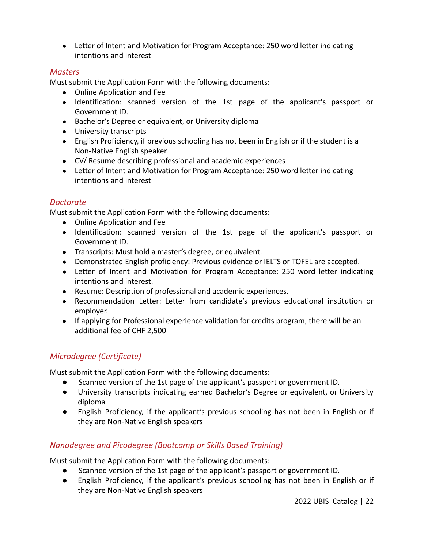● Letter of Intent and Motivation for Program Acceptance: 250 word letter indicating intentions and interest

#### <span id="page-22-0"></span>*Masters*

Must submit the Application Form with the following documents:

- Online Application and Fee
- Identification: scanned version of the 1st page of the applicant's passport or Government ID.
- Bachelor's Degree or equivalent, or University diploma
- University transcripts
- English Proficiency, if previous schooling has not been in English or if the student is a Non-Native English speaker.
- CV/ Resume describing professional and academic experiences
- Letter of Intent and Motivation for Program Acceptance: 250 word letter indicating intentions and interest

#### <span id="page-22-1"></span>*Doctorate*

Must submit the Application Form with the following documents:

- Online Application and Fee
- Identification: scanned version of the 1st page of the applicant's passport or Government ID.
- Transcripts: Must hold a master's degree, or equivalent.
- Demonstrated English proficiency: Previous evidence or IELTS or TOFEL are accepted.
- Letter of Intent and Motivation for Program Acceptance: 250 word letter indicating intentions and interest.
- Resume: Description of professional and academic experiences.
- Recommendation Letter: Letter from candidate's previous educational institution or employer.
- If applying for Professional experience validation for credits program, there will be an additional fee of CHF 2,500

# <span id="page-22-2"></span>*Microdegree (Certificate)*

Must submit the Application Form with the following documents:

- Scanned version of the 1st page of the applicant's passport or government ID.
- University transcripts indicating earned Bachelor's Degree or equivalent, or University diploma
- English Proficiency, if the applicant's previous schooling has not been in English or if they are Non-Native English speakers

## <span id="page-22-3"></span>*Nanodegree and Picodegree (Bootcamp or Skills Based Training)*

Must submit the Application Form with the following documents:

- Scanned version of the 1st page of the applicant's passport or government ID.
- English Proficiency, if the applicant's previous schooling has not been in English or if they are Non-Native English speakers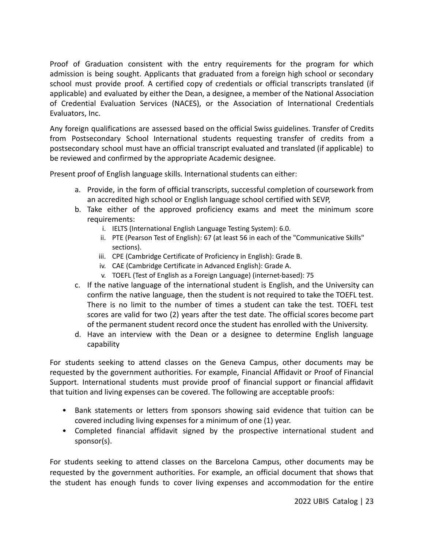Proof of Graduation consistent with the entry requirements for the program for which admission is being sought. Applicants that graduated from a foreign high school or secondary school must provide proof. A certified copy of credentials or official transcripts translated (if applicable) and evaluated by either the Dean, a designee, a member of the National Association of Credential Evaluation Services (NACES), or the Association of International Credentials Evaluators, Inc.

Any foreign qualifications are assessed based on the official Swiss guidelines. Transfer of Credits from Postsecondary School International students requesting transfer of credits from a postsecondary school must have an official transcript evaluated and translated (if applicable) to be reviewed and confirmed by the appropriate Academic designee.

Present proof of English language skills. International students can either:

- a. Provide, in the form of official transcripts, successful completion of coursework from an accredited high school or English language school certified with SEVP,
- b. Take either of the approved proficiency exams and meet the minimum score requirements:
	- i. IELTS (International English Language Testing System): 6.0.
	- ii. PTE (Pearson Test of English): 67 (at least 56 in each of the "Communicative Skills" sections).
	- iii. CPE (Cambridge Certificate of Proficiency in English): Grade B.
	- iv. CAE (Cambridge Certificate in Advanced English): Grade A.
	- v. TOEFL (Test of English as a Foreign Language) (internet-based): 75
- c. If the native language of the international student is English, and the University can confirm the native language, then the student is not required to take the TOEFL test. There is no limit to the number of times a student can take the test. TOEFL test scores are valid for two (2) years after the test date. The official scores become part of the permanent student record once the student has enrolled with the University.
- d. Have an interview with the Dean or a designee to determine English language capability

For students seeking to attend classes on the Geneva Campus, other documents may be requested by the government authorities. For example, Financial Affidavit or Proof of Financial Support. International students must provide proof of financial support or financial affidavit that tuition and living expenses can be covered. The following are acceptable proofs:

- Bank statements or letters from sponsors showing said evidence that tuition can be covered including living expenses for a minimum of one (1) year.
- Completed financial affidavit signed by the prospective international student and sponsor(s).

For students seeking to attend classes on the Barcelona Campus, other documents may be requested by the government authorities. For example, an official document that shows that the student has enough funds to cover living expenses and accommodation for the entire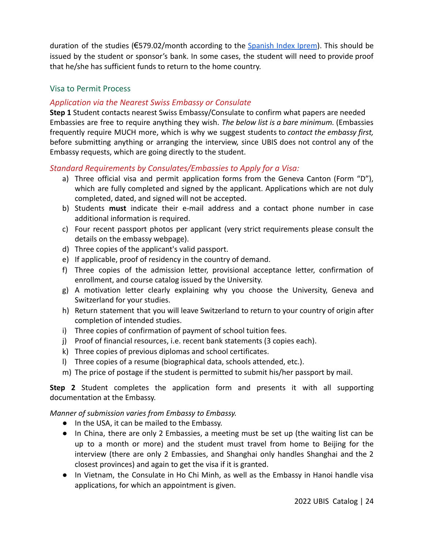duration of the studies ( $\epsilon$ 579.02/month according to the [Spanish](http://www.iprem.com.es/) Index Iprem). This should be issued by the student or sponsor's bank. In some cases, the student will need to provide proof that he/she has sufficient funds to return to the home country.

#### <span id="page-24-0"></span>Visa to Permit Process

#### <span id="page-24-1"></span>*Application via the Nearest Swiss Embassy or Consulate*

**Step 1** Student contacts nearest Swiss Embassy/Consulate to confirm what papers are needed Embassies are free to require anything they wish. *The below list is a bare minimum.* (Embassies frequently require MUCH more, which is why we suggest students to *contact the embassy first,* before submitting anything or arranging the interview, since UBIS does not control any of the Embassy requests, which are going directly to the student.

#### <span id="page-24-2"></span>*Standard Requirements by Consulates/Embassies to Apply for a Visa:*

- a) Three official visa and permit application forms from the Geneva Canton (Form "D"), which are fully completed and signed by the applicant. Applications which are not duly completed, dated, and signed will not be accepted.
- b) Students **must** indicate their e-mail address and a contact phone number in case additional information is required.
- c) Four recent passport photos per applicant (very strict requirements please consult the details on the embassy webpage).
- d) Three copies of the applicant's valid passport.
- e) If applicable, proof of residency in the country of demand.
- f) Three copies of the admission letter, provisional acceptance letter, confirmation of enrollment, and course catalog issued by the University.
- g) A motivation letter clearly explaining why you choose the University, Geneva and Switzerland for your studies.
- h) Return statement that you will leave Switzerland to return to your country of origin after completion of intended studies.
- i) Three copies of confirmation of payment of school tuition fees.
- j) Proof of financial resources, i.e. recent bank statements (3 copies each).
- k) Three copies of previous diplomas and school certificates.
- l) Three copies of a resume (biographical data, schools attended, etc.).
- m) The price of postage if the student is permitted to submit his/her passport by mail.

**Step 2** Student completes the application form and presents it with all supporting documentation at the Embassy.

*Manner of submission varies from Embassy to Embassy.*

- In the USA, it can be mailed to the Embassy.
- In China, there are only 2 Embassies, a meeting must be set up (the waiting list can be up to a month or more) and the student must travel from home to Beijing for the interview (there are only 2 Embassies, and Shanghai only handles Shanghai and the 2 closest provinces) and again to get the visa if it is granted.
- In Vietnam, the Consulate in Ho Chi Minh, as well as the Embassy in Hanoi handle visa applications, for which an appointment is given.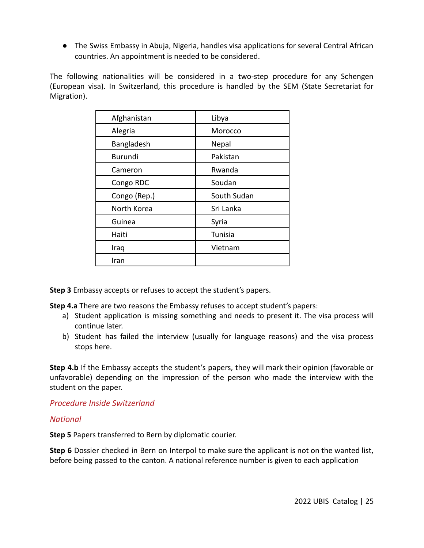● The Swiss Embassy in Abuja, Nigeria, handles visa applications for several Central African countries. An appointment is needed to be considered.

The following nationalities will be considered in a two-step procedure for any Schengen (European visa). In Switzerland, this procedure is handled by the SEM (State Secretariat for Migration).

| Afghanistan    | Libya       |  |
|----------------|-------------|--|
| Alegria        | Morocco     |  |
| Bangladesh     | Nepal       |  |
| <b>Burundi</b> | Pakistan    |  |
| Cameron        | Rwanda      |  |
| Congo RDC      | Soudan      |  |
| Congo (Rep.)   | South Sudan |  |
| North Korea    | Sri Lanka   |  |
| Guinea         | Syria       |  |
| Haiti          | Tunisia     |  |
| Iraq           | Vietnam     |  |
| Iran           |             |  |

**Step 3** Embassy accepts or refuses to accept the student's papers.

**Step 4.a** There are two reasons the Embassy refuses to accept student's papers:

- a) Student application is missing something and needs to present it. The visa process will continue later.
- b) Student has failed the interview (usually for language reasons) and the visa process stops here.

**Step 4.b** If the Embassy accepts the student's papers, they will mark their opinion (favorable or unfavorable) depending on the impression of the person who made the interview with the student on the paper.

<span id="page-25-0"></span>*Procedure Inside Switzerland*

#### <span id="page-25-1"></span>*National*

**Step 5** Papers transferred to Bern by diplomatic courier.

**Step 6** Dossier checked in Bern on Interpol to make sure the applicant is not on the wanted list, before being passed to the canton. A national reference number is given to each application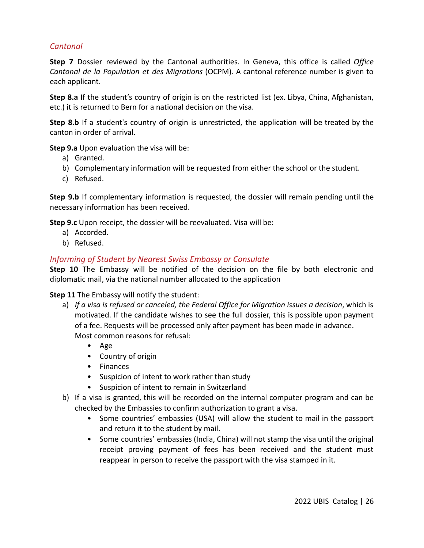## <span id="page-26-0"></span>*Cantonal*

**Step 7** Dossier reviewed by the Cantonal authorities. In Geneva, this office is called *Office Cantonal de la Population et des Migrations* (OCPM). A cantonal reference number is given to each applicant.

**Step 8.a** If the student's country of origin is on the restricted list (ex. Libya, China, Afghanistan, etc.) it is returned to Bern for a national decision on the visa.

**Step 8.b** If a student's country of origin is unrestricted, the application will be treated by the canton in order of arrival.

**Step 9.a** Upon evaluation the visa will be:

- a) Granted.
- b) Complementary information will be requested from either the school or the student.
- c) Refused.

**Step 9.b** If complementary information is requested, the dossier will remain pending until the necessary information has been received.

**Step 9.c** Upon receipt, the dossier will be reevaluated. Visa will be:

- a) Accorded.
- b) Refused.

#### <span id="page-26-1"></span>*Informing of Student by Nearest Swiss Embassy or Consulate*

**Step 10** The Embassy will be notified of the decision on the file by both electronic and diplomatic mail, via the national number allocated to the application

**Step 11** The Embassy will notify the student:

- a) *If a visa is refused or canceled, the Federal Office for Migration issues a decision*, which is motivated. If the candidate wishes to see the full dossier, this is possible upon payment of a fee. Requests will be processed only after payment has been made in advance. Most common reasons for refusal:
	- Age
	- Country of origin
	- Finances
	- Suspicion of intent to work rather than study
	- Suspicion of intent to remain in Switzerland
- b) If a visa is granted, this will be recorded on the internal computer program and can be checked by the Embassies to confirm authorization to grant a visa.
	- Some countries' embassies (USA) will allow the student to mail in the passport and return it to the student by mail.
	- Some countries' embassies (India, China) will not stamp the visa until the original receipt proving payment of fees has been received and the student must reappear in person to receive the passport with the visa stamped in it.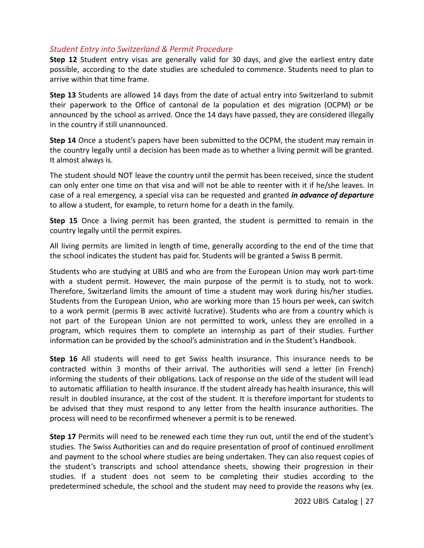#### <span id="page-27-0"></span>*Student Entry into Switzerland & Permit Procedure*

**Step 12** Student entry visas are generally valid for 30 days, and give the earliest entry date possible, according to the date studies are scheduled to commence. Students need to plan to arrive within that time frame.

**Step 13** Students are allowed 14 days from the date of actual entry into Switzerland to submit their paperwork to the Office of cantonal de la population et des migration (OCPM) or be announced by the school as arrived. Once the 14 days have passed, they are considered illegally in the country if still unannounced.

**Step 14** Once a student's papers have been submitted to the OCPM, the student may remain in the country legally until a decision has been made as to whether a living permit will be granted. It almost always is.

The student should NOT leave the country until the permit has been received, since the student can only enter one time on that visa and will not be able to reenter with it if he/she leaves. In case of a real emergency, a special visa can be requested and granted *in advance of departure* to allow a student, for example, to return home for a death in the family.

**Step 15** Once a living permit has been granted, the student is permitted to remain in the country legally until the permit expires.

All living permits are limited in length of time, generally according to the end of the time that the school indicates the student has paid for. Students will be granted a Swiss B permit.

Students who are studying at UBIS and who are from the European Union may work part-time with a student permit. However, the main purpose of the permit is to study, not to work. Therefore, Switzerland limits the amount of time a student may work during his/her studies. Students from the European Union, who are working more than 15 hours per week, can switch to a work permit (permis B avec activité lucrative). Students who are from a country which is not part of the European Union are not permitted to work, unless they are enrolled in a program, which requires them to complete an internship as part of their studies. Further information can be provided by the school's administration and in the Student's Handbook.

**Step 16** All students will need to get Swiss health insurance. This insurance needs to be contracted within 3 months of their arrival. The authorities will send a letter (in French) informing the students of their obligations. Lack of response on the side of the student will lead to automatic affiliation to health insurance. If the student already has health insurance, this will result in doubled insurance, at the cost of the student. It is therefore important for students to be advised that they must respond to any letter from the health insurance authorities. The process will need to be reconfirmed whenever a permit is to be renewed.

**Step 17** Permits will need to be renewed each time they run out, until the end of the student's studies. The Swiss Authorities can and do require presentation of proof of continued enrollment and payment to the school where studies are being undertaken. They can also request copies of the student's transcripts and school attendance sheets, showing their progression in their studies. If a student does not seem to be completing their studies according to the predetermined schedule, the school and the student may need to provide the reasons why (ex.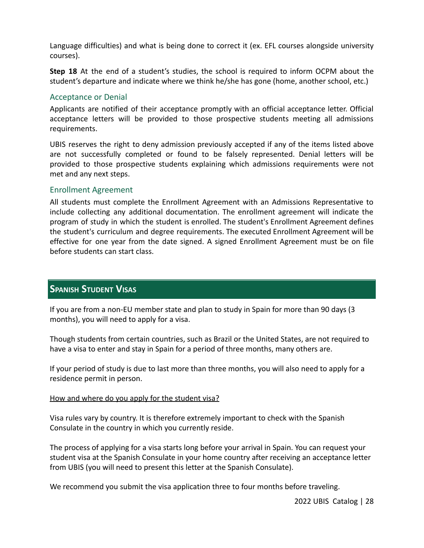Language difficulties) and what is being done to correct it (ex. EFL courses alongside university courses).

**Step 18** At the end of a student's studies, the school is required to inform OCPM about the student's departure and indicate where we think he/she has gone (home, another school, etc.)

#### <span id="page-28-0"></span>Acceptance or Denial

Applicants are notified of their acceptance promptly with an official acceptance letter. Official acceptance letters will be provided to those prospective students meeting all admissions requirements.

UBIS reserves the right to deny admission previously accepted if any of the items listed above are not successfully completed or found to be falsely represented. Denial letters will be provided to those prospective students explaining which admissions requirements were not met and any next steps.

#### <span id="page-28-1"></span>Enrollment Agreement

All students must complete the Enrollment Agreement with an Admissions Representative to include collecting any additional documentation. The enrollment agreement will indicate the program of study in which the student is enrolled. The student's Enrollment Agreement defines the student's curriculum and degree requirements. The executed Enrollment Agreement will be effective for one year from the date signed. A signed Enrollment Agreement must be on file before students can start class.

## <span id="page-28-2"></span>**SPANISH STUDENT VISAS**

If you are from a non-EU member state and plan to study in Spain for more than 90 days (3 months), you will need to apply for a visa.

Though students from certain countries, such as Brazil or the United States, are not required to have a visa to enter and stay in Spain for a period of three months, many others are.

If your period of study is due to last more than three months, you will also need to apply for a residence permit in person.

#### How and where do you apply for the student visa?

Visa rules vary by country. It is therefore extremely important to check with the Spanish Consulate in the country in which you currently reside.

The process of applying for a visa starts long before your arrival in Spain. You can request your student visa at the Spanish Consulate in your home country after receiving an acceptance letter from UBIS (you will need to present this letter at the Spanish Consulate).

We recommend you submit the visa application three to four months before traveling.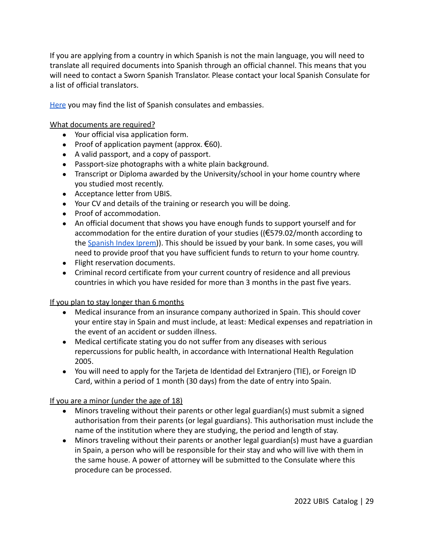If you are applying from a country in which Spanish is not the main language, you will need to translate all required documents into Spanish through an official channel. This means that you will need to contact a Sworn Spanish Translator. Please contact your local Spanish Consulate for a list of official translators.

[Here](http://www.exteriores.gob.es/Portal/en/ServiciosAlCiudadano/Paginas/EmbajadasConsulados.aspx) you may find the list of Spanish consulates and embassies.

What documents are required?

- Your official visa application form.
- Proof of application payment (approx.  $\epsilon$ 60).
- A valid passport, and a copy of passport.
- Passport-size photographs with a white plain background.
- Transcript or Diploma awarded by the University/school in your home country where you studied most recently.
- Acceptance letter from UBIS.
- Your CV and details of the training or research you will be doing.
- Proof of accommodation.
- An official document that shows you have enough funds to support yourself and for accommodation for the entire duration of your studies ((€579.02/month according to the [Spanish Index Iprem\)](http://www.iprem.com.es/)). This should be issued by your bank. In some cases, you will need to provide proof that you have sufficient funds to return to your home country.
- Flight reservation documents.
- Criminal record certificate from your current country of residence and all previous countries in which you have resided for more than 3 months in the past five years.

#### If you plan to stay longer than 6 months

- Medical insurance from an insurance company authorized in Spain. This should cover your entire stay in Spain and must include, at least: Medical expenses and repatriation in the event of an accident or sudden illness.
- Medical certificate stating you do not suffer from any diseases with serious repercussions for public health, in accordance with International Health Regulation 2005.
- You will need to apply for the Tarjeta de Identidad del Extranjero (TIE), or Foreign ID Card, within a period of 1 month (30 days) from the date of entry into Spain.

#### If you are a minor (under the age of 18)

- Minors traveling without their parents or other legal guardian(s) must submit a signed authorisation from their parents (or legal guardians). This authorisation must include the name of the institution where they are studying, the period and length of stay.
- Minors traveling without their parents or another legal guardian(s) must have a guardian in Spain, a person who will be responsible for their stay and who will live with them in the same house. A power of attorney will be submitted to the Consulate where this procedure can be processed.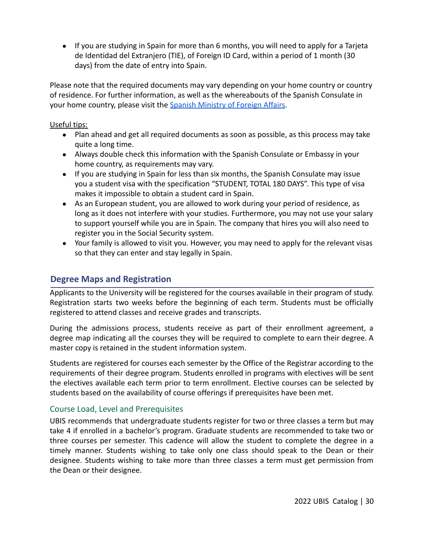● If you are studying in Spain for more than 6 months, you will need to apply for a Tarjeta de Identidad del Extranjero (TIE), of Foreign ID Card, within a period of 1 month (30 days) from the date of entry into Spain.

Please note that the required documents may vary depending on your home country or country of residence. For further information, as well as the whereabouts of the Spanish Consulate in your home country, please visit the Spanish Ministry [of Foreign Affairs.](http://www.exteriores.gob.es/Portal/en/Paginas/inicio.aspx)

#### Useful tips:

- Plan ahead and get all required documents as soon as possible, as this process may take quite a long time.
- Always double check this information with the Spanish Consulate or Embassy in your home country, as requirements may vary.
- If you are studying in Spain for less than six months, the Spanish Consulate may issue you a student visa with the specification "STUDENT, TOTAL 180 DAYS". This type of visa makes it impossible to obtain a student card in Spain.
- As an European student, you are allowed to work during your period of residence, as long as it does not interfere with your studies. Furthermore, you may not use your salary to support yourself while you are in Spain. The company that hires you will also need to register you in the Social Security system.
- Your family is allowed to visit you. However, you may need to apply for the relevant visas so that they can enter and stay legally in Spain.

# <span id="page-30-0"></span>**Degree Maps and Registration**

Applicants to the University will be registered for the courses available in their program of study. Registration starts two weeks before the beginning of each term. Students must be officially registered to attend classes and receive grades and transcripts.

During the admissions process, students receive as part of their enrollment agreement, a degree map indicating all the courses they will be required to complete to earn their degree. A master copy is retained in the student information system.

Students are registered for courses each semester by the Office of the Registrar according to the requirements of their degree program. Students enrolled in programs with electives will be sent the electives available each term prior to term enrollment. Elective courses can be selected by students based on the availability of course offerings if prerequisites have been met.

#### <span id="page-30-1"></span>Course Load, Level and Prerequisites

UBIS recommends that undergraduate students register for two or three classes a term but may take 4 if enrolled in a bachelor's program. Graduate students are recommended to take two or three courses per semester. This cadence will allow the student to complete the degree in a timely manner. Students wishing to take only one class should speak to the Dean or their designee. Students wishing to take more than three classes a term must get permission from the Dean or their designee.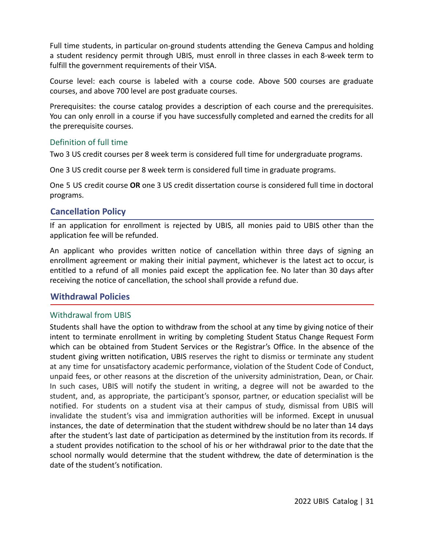Full time students, in particular on-ground students attending the Geneva Campus and holding a student residency permit through UBIS, must enroll in three classes in each 8-week term to fulfill the government requirements of their VISA.

Course level: each course is labeled with a course code. Above 500 courses are graduate courses, and above 700 level are post graduate courses.

Prerequisites: the course catalog provides a description of each course and the prerequisites. You can only enroll in a course if you have successfully completed and earned the credits for all the prerequisite courses.

#### <span id="page-31-0"></span>Definition of full time

Two 3 US credit courses per 8 week term is considered full time for undergraduate programs.

One 3 US credit course per 8 week term is considered full time in graduate programs.

One 5 US credit course **OR** one 3 US credit dissertation course is considered full time in doctoral programs.

## <span id="page-31-1"></span>**Cancellation Policy**

If an application for enrollment is rejected by UBIS, all monies paid to UBIS other than the application fee will be refunded.

An applicant who provides written notice of cancellation within three days of signing an enrollment agreement or making their initial payment, whichever is the latest act to occur, is entitled to a refund of all monies paid except the application fee. No later than 30 days after receiving the notice of cancellation, the school shall provide a refund due.

#### <span id="page-31-2"></span>**Withdrawal Policies**

#### <span id="page-31-3"></span>Withdrawal from UBIS

Students shall have the option to withdraw from the school at any time by giving notice of their intent to terminate enrollment in writing by completing Student Status Change Request Form which can be obtained from Student Services or the Registrar's Office. In the absence of the student giving written notification, UBIS reserves the right to dismiss or terminate any student at any time for unsatisfactory academic performance, violation of the Student Code of Conduct, unpaid fees, or other reasons at the discretion of the university administration, Dean, or Chair. In such cases, UBIS will notify the student in writing, a degree will not be awarded to the student, and, as appropriate, the participant's sponsor, partner, or education specialist will be notified. For students on a student visa at their campus of study, dismissal from UBIS will invalidate the student's visa and immigration authorities will be informed. Except in unusual instances, the date of determination that the student withdrew should be no later than 14 days after the student's last date of participation as determined by the institution from its records. If a student provides notification to the school of his or her withdrawal prior to the date that the school normally would determine that the student withdrew, the date of determination is the date of the student's notification.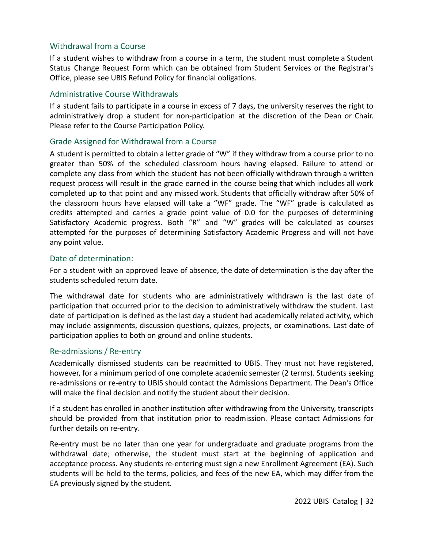#### <span id="page-32-0"></span>Withdrawal from a Course

If a student wishes to withdraw from a course in a term, the student must complete a Student Status Change Request Form which can be obtained from Student Services or the Registrar's Office, please see UBIS Refund Policy for financial obligations.

#### <span id="page-32-1"></span>Administrative Course Withdrawals

If a student fails to participate in a course in excess of 7 days, the university reserves the right to administratively drop a student for non-participation at the discretion of the Dean or Chair. Please refer to the Course Participation Policy.

#### <span id="page-32-2"></span>Grade Assigned for Withdrawal from a Course

A student is permitted to obtain a letter grade of "W" if they withdraw from a course prior to no greater than 50% of the scheduled classroom hours having elapsed. Failure to attend or complete any class from which the student has not been officially withdrawn through a written request process will result in the grade earned in the course being that which includes all work completed up to that point and any missed work. Students that officially withdraw after 50% of the classroom hours have elapsed will take a "WF" grade. The "WF" grade is calculated as credits attempted and carries a grade point value of 0.0 for the purposes of determining Satisfactory Academic progress. Both "R" and "W" grades will be calculated as courses attempted for the purposes of determining Satisfactory Academic Progress and will not have any point value.

#### <span id="page-32-3"></span>Date of determination:

For a student with an approved leave of absence, the date of determination is the day after the students scheduled return date.

The withdrawal date for students who are administratively withdrawn is the last date of participation that occurred prior to the decision to administratively withdraw the student. Last date of participation is defined as the last day a student had academically related activity, which may include assignments, discussion questions, quizzes, projects, or examinations. Last date of participation applies to both on ground and online students.

#### <span id="page-32-4"></span>Re-admissions / Re-entry

Academically dismissed students can be readmitted to UBIS. They must not have registered, however, for a minimum period of one complete academic semester (2 terms). Students seeking re-admissions or re-entry to UBIS should contact the Admissions Department. The Dean's Office will make the final decision and notify the student about their decision.

If a student has enrolled in another institution after withdrawing from the University, transcripts should be provided from that institution prior to readmission. Please contact Admissions for further details on re-entry.

Re-entry must be no later than one year for undergraduate and graduate programs from the withdrawal date; otherwise, the student must start at the beginning of application and acceptance process. Any students re-entering must sign a new Enrollment Agreement (EA). Such students will be held to the terms, policies, and fees of the new EA, which may differ from the EA previously signed by the student.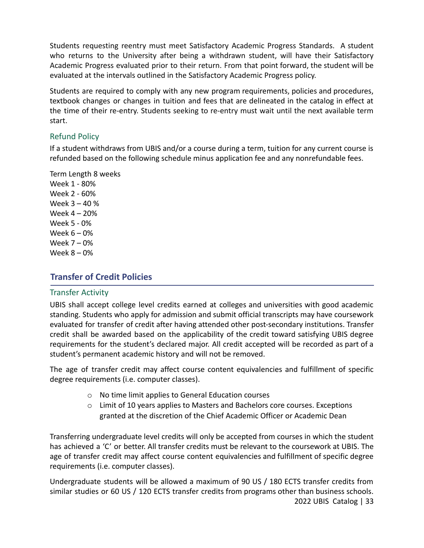Students requesting reentry must meet Satisfactory Academic Progress Standards. A student who returns to the University after being a withdrawn student, will have their Satisfactory Academic Progress evaluated prior to their return. From that point forward, the student will be evaluated at the intervals outlined in the Satisfactory Academic Progress policy.

Students are required to comply with any new program requirements, policies and procedures, textbook changes or changes in tuition and fees that are delineated in the catalog in effect at the time of their re-entry. Students seeking to re-entry must wait until the next available term start.

#### <span id="page-33-0"></span>Refund Policy

If a student withdraws from UBIS and/or a course during a term, tuition for any current course is refunded based on the following schedule minus application fee and any nonrefundable fees.

Term Length 8 weeks

Week 1 - 80% Week 2 - 60% Week 3 – 40 % Week 4 – 20% Week 5 - 0% Week 6 – 0% Week 7 – 0% Week 8 – 0%

# <span id="page-33-1"></span>**Transfer of Credit Policies**

#### <span id="page-33-2"></span>Transfer Activity

UBIS shall accept college level credits earned at colleges and universities with good academic standing. Students who apply for admission and submit official transcripts may have coursework evaluated for transfer of credit after having attended other post-secondary institutions. Transfer credit shall be awarded based on the applicability of the credit toward satisfying UBIS degree requirements for the student's declared major. All credit accepted will be recorded as part of a student's permanent academic history and will not be removed.

The age of transfer credit may affect course content equivalencies and fulfillment of specific degree requirements (i.e. computer classes).

- o No time limit applies to General Education courses
- $\circ$  Limit of 10 years applies to Masters and Bachelors core courses. Exceptions granted at the discretion of the Chief Academic Officer or Academic Dean

Transferring undergraduate level credits will only be accepted from courses in which the student has achieved a 'C' or better. All transfer credits must be relevant to the coursework at UBIS. The age of transfer credit may affect course content equivalencies and fulfillment of specific degree requirements (i.e. computer classes).

Undergraduate students will be allowed a maximum of 90 US / 180 ECTS transfer credits from similar studies or 60 US / 120 ECTS transfer credits from programs other than business schools. 2022 UBIS Catalog | 33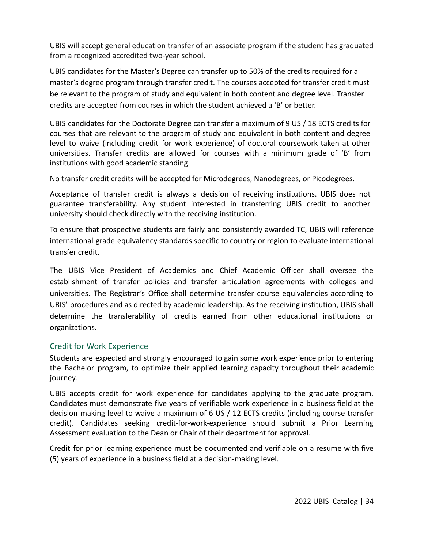UBIS will accept general education transfer of an associate program if the student has graduated from a recognized accredited two-year school.

UBIS candidates for the Master's Degree can transfer up to 50% of the credits required for a master's degree program through transfer credit. The courses accepted for transfer credit must be relevant to the program of study and equivalent in both content and degree level. Transfer credits are accepted from courses in which the student achieved a 'B' or better.

UBIS candidates for the Doctorate Degree can transfer a maximum of 9 US / 18 ECTS credits for courses that are relevant to the program of study and equivalent in both content and degree level to waive (including credit for work experience) of doctoral coursework taken at other universities. Transfer credits are allowed for courses with a minimum grade of 'B' from institutions with good academic standing.

No transfer credit credits will be accepted for Microdegrees, Nanodegrees, or Picodegrees.

Acceptance of transfer credit is always a decision of receiving institutions. UBIS does not guarantee transferability. Any student interested in transferring UBIS credit to another university should check directly with the receiving institution.

To ensure that prospective students are fairly and consistently awarded TC, UBIS will reference international grade equivalency standards specific to country or region to evaluate international transfer credit.

The UBIS Vice President of Academics and Chief Academic Officer shall oversee the establishment of transfer policies and transfer articulation agreements with colleges and universities. The Registrar's Office shall determine transfer course equivalencies according to UBIS' procedures and as directed by academic leadership. As the receiving institution, UBIS shall determine the transferability of credits earned from other educational institutions or organizations.

#### <span id="page-34-0"></span>Credit for Work Experience

Students are expected and strongly encouraged to gain some work experience prior to entering the Bachelor program, to optimize their applied learning capacity throughout their academic journey.

UBIS accepts credit for work experience for candidates applying to the graduate program. Candidates must demonstrate five years of verifiable work experience in a business field at the decision making level to waive a maximum of 6 US / 12 ECTS credits (including course transfer credit). Candidates seeking credit-for-work-experience should submit a Prior Learning Assessment evaluation to the Dean or Chair of their department for approval.

Credit for prior learning experience must be documented and verifiable on a resume with five (5) years of experience in a business field at a decision-making level.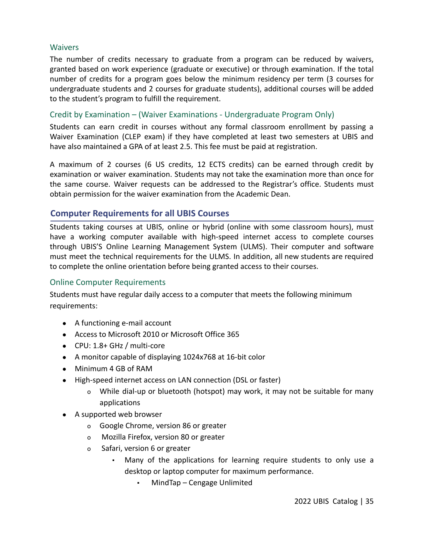#### <span id="page-35-0"></span>Waivers

The number of credits necessary to graduate from a program can be reduced by waivers, granted based on work experience (graduate or executive) or through examination. If the total number of credits for a program goes below the minimum residency per term (3 courses for undergraduate students and 2 courses for graduate students), additional courses will be added to the student's program to fulfill the requirement.

#### <span id="page-35-1"></span>Credit by Examination – (Waiver Examinations - Undergraduate Program Only)

Students can earn credit in courses without any formal classroom enrollment by passing a Waiver Examination (CLEP exam) if they have completed at least two semesters at UBIS and have also maintained a GPA of at least 2.5. This fee must be paid at registration.

A maximum of 2 courses (6 US credits, 12 ECTS credits) can be earned through credit by examination or waiver examination. Students may not take the examination more than once for the same course. Waiver requests can be addressed to the Registrar's office. Students must obtain permission for the waiver examination from the Academic Dean.

## <span id="page-35-2"></span>**Computer Requirements for all UBIS Courses**

Students taking courses at UBIS, online or hybrid (online with some classroom hours), must have a working computer available with high-speed internet access to complete courses through UBIS'S Online Learning Management System (ULMS). Their computer and software must meet the technical requirements for the ULMS. In addition, all new students are required to complete the online orientation before being granted access to their courses.

#### <span id="page-35-3"></span>Online Computer Requirements

Students must have regular daily access to a computer that meets the following minimum requirements:

- A functioning e-mail account
- Access to Microsoft 2010 or Microsoft Office 365
- CPU: 1.8+ GHz / multi-core
- A monitor capable of displaying 1024x768 at 16-bit color
- Minimum 4 GB of RAM
- High-speed internet access on LAN connection (DSL or faster)
	- o While dial-up or bluetooth (hotspot) may work, it may not be suitable for many applications
- A supported web browser
	- o Google Chrome, version 86 or greater
	- o Mozilla Firefox, version 80 or greater
	- o Safari, version 6 or greater
		- Many of the applications for learning require students to only use a desktop or laptop computer for maximum performance.
			- MindTap Cengage Unlimited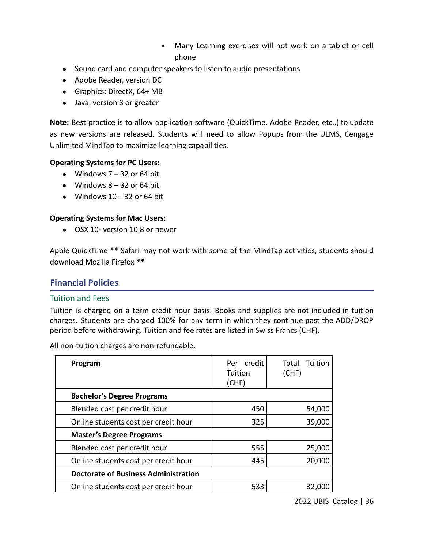- Many Learning exercises will not work on a tablet or cell phone
- Sound card and computer speakers to listen to audio presentations
- Adobe Reader, version DC
- Graphics: DirectX, 64+ MB
- Java, version 8 or greater

**Note:** Best practice is to allow application software (QuickTime, Adobe Reader, etc..) to update as new versions are released. Students will need to allow Popups from the ULMS, Cengage Unlimited MindTap to maximize learning capabilities.

### **Operating Systems for PC Users:**

- Windows  $7 32$  or 64 bit
- $\bullet$  Windows  $8 32$  or 64 bit
- $\bullet$  Windows 10 32 or 64 bit

### **Operating Systems for Mac Users:**

● OSX 10- version 10.8 or newer

Apple QuickTime \*\* Safari may not work with some of the MindTap activities, students should download Mozilla Firefox \*\*

## **Financial Policies**

### Tuition and Fees

Tuition is charged on a term credit hour basis. Books and supplies are not included in tuition charges. Students are charged 100% for any term in which they continue past the ADD/DROP period before withdrawing. Tuition and fee rates are listed in Swiss Francs (CHF).

All non-tuition charges are non-refundable.

| Program                                     | Per credit<br>Tuition<br>(CHF) | Total<br>Tuition<br>(CHF) |
|---------------------------------------------|--------------------------------|---------------------------|
| <b>Bachelor's Degree Programs</b>           |                                |                           |
| Blended cost per credit hour                | 450                            | 54,000                    |
| Online students cost per credit hour        | 325                            | 39,000                    |
| <b>Master's Degree Programs</b>             |                                |                           |
| Blended cost per credit hour                | 555                            | 25,000                    |
| Online students cost per credit hour        | 445                            | 20,000                    |
| <b>Doctorate of Business Administration</b> |                                |                           |
| Online students cost per credit hour        | 533                            | 32.000                    |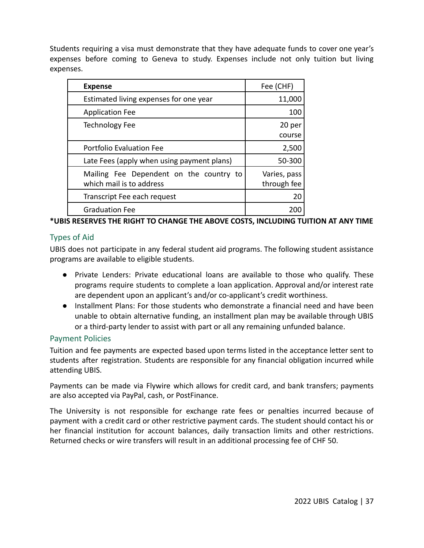Students requiring a visa must demonstrate that they have adequate funds to cover one year's expenses before coming to Geneva to study. Expenses include not only tuition but living expenses.

| <b>Expense</b>                                                      | Fee (CHF)                   |
|---------------------------------------------------------------------|-----------------------------|
| Estimated living expenses for one year                              | 11,000                      |
| <b>Application Fee</b>                                              | 100                         |
| <b>Technology Fee</b>                                               | 20 per<br>course            |
| Portfolio Evaluation Fee                                            | 2,500                       |
| Late Fees (apply when using payment plans)                          | 50-300                      |
| Mailing Fee Dependent on the country to<br>which mail is to address | Varies, pass<br>through fee |
| Transcript Fee each request                                         | 20                          |
| <b>Graduation Fee</b>                                               |                             |

## **\*UBIS RESERVES THE RIGHT TO CHANGE THE ABOVE COSTS, INCLUDING TUITION AT ANY TIME**

## Types of Aid

UBIS does not participate in any federal student aid programs. The following student assistance programs are available to eligible students.

- Private Lenders: Private educational loans are available to those who qualify. These programs require students to complete a loan application. Approval and/or interest rate are dependent upon an applicant's and/or co-applicant's credit worthiness.
- Installment Plans: For those students who demonstrate a financial need and have been unable to obtain alternative funding, an installment plan may be available through UBIS or a third-party lender to assist with part or all any remaining unfunded balance.

### Payment Policies

Tuition and fee payments are expected based upon terms listed in the acceptance letter sent to students after registration. Students are responsible for any financial obligation incurred while attending UBIS.

Payments can be made via Flywire which allows for credit card, and bank transfers; payments are also accepted via PayPal, cash, or PostFinance.

The University is not responsible for exchange rate fees or penalties incurred because of payment with a credit card or other restrictive payment cards. The student should contact his or her financial institution for account balances, daily transaction limits and other restrictions. Returned checks or wire transfers will result in an additional processing fee of CHF 50.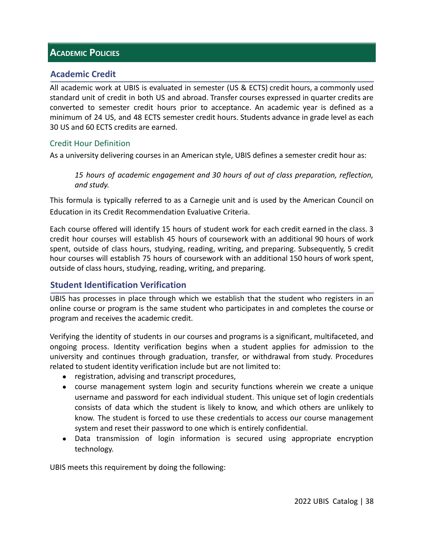# **ACADEMIC POLICIES**

# **Academic Credit**

All academic work at UBIS is evaluated in semester (US & ECTS) credit hours, a commonly used standard unit of credit in both US and abroad. Transfer courses expressed in quarter credits are converted to semester credit hours prior to acceptance. An academic year is defined as a minimum of 24 US, and 48 ECTS semester credit hours. Students advance in grade level as each 30 US and 60 ECTS credits are earned.

### Credit Hour Definition

As a university delivering courses in an American style, UBIS defines a semester credit hour as:

*15 hours of academic engagement and 30 hours of out of class preparation, reflection, and study.*

This formula is typically referred to as a Carnegie unit and is used by the American Council on Education in its Credit Recommendation Evaluative Criteria.

Each course offered will identify 15 hours of student work for each credit earned in the class. 3 credit hour courses will establish 45 hours of coursework with an additional 90 hours of work spent, outside of class hours, studying, reading, writing, and preparing. Subsequently, 5 credit hour courses will establish 75 hours of coursework with an additional 150 hours of work spent, outside of class hours, studying, reading, writing, and preparing.

# **Student Identification Verification**

UBIS has processes in place through which we establish that the student who registers in an online course or program is the same student who participates in and completes the course or program and receives the academic credit.

Verifying the identity of students in our courses and programs is a significant, multifaceted, and ongoing process. Identity verification begins when a student applies for admission to the university and continues through graduation, transfer, or withdrawal from study. Procedures related to student identity verification include but are not limited to:

- registration, advising and transcript procedures,
- course management system login and security functions wherein we create a unique username and password for each individual student. This unique set of login credentials consists of data which the student is likely to know, and which others are unlikely to know. The student is forced to use these credentials to access our course management system and reset their password to one which is entirely confidential.
- Data transmission of login information is secured using appropriate encryption technology.

UBIS meets this requirement by doing the following: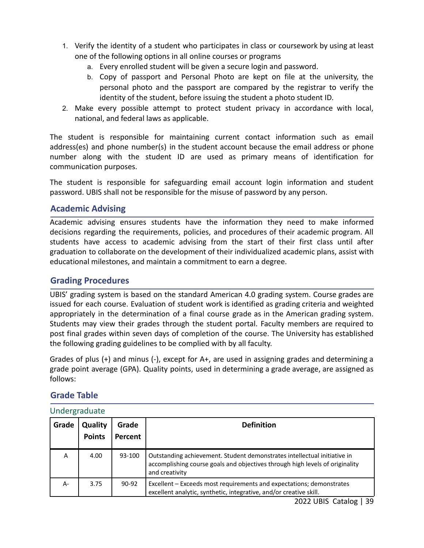- 1. Verify the identity of a student who participates in class or coursework by using at least one of the following options in all online courses or programs
	- a. Every enrolled student will be given a secure login and password.
	- b. Copy of passport and Personal Photo are kept on file at the university, the personal photo and the passport are compared by the registrar to verify the identity of the student, before issuing the student a photo student ID.
- 2. Make every possible attempt to protect student privacy in accordance with local, national, and federal laws as applicable.

The student is responsible for maintaining current contact information such as email address(es) and phone number(s) in the student account because the email address or phone number along with the student ID are used as primary means of identification for communication purposes.

The student is responsible for safeguarding email account login information and student password. UBIS shall not be responsible for the misuse of password by any person.

# **Academic Advising**

Academic advising ensures students have the information they need to make informed decisions regarding the requirements, policies, and procedures of their academic program. All students have access to academic advising from the start of their first class until after graduation to collaborate on the development of their individualized academic plans, assist with educational milestones, and maintain a commitment to earn a degree.

## **Grading Procedures**

UBIS' grading system is based on the standard American 4.0 grading system. Course grades are issued for each course. Evaluation of student work is identified as grading criteria and weighted appropriately in the determination of a final course grade as in the American grading system. Students may view their grades through the student portal. Faculty members are required to post final grades within seven days of completion of the course. The University has established the following grading guidelines to be complied with by all faculty.

Grades of plus (+) and minus (-), except for A+, are used in assigning grades and determining a grade point average (GPA). Quality points, used in determining a grade average, are assigned as follows:

## **Grade Table**

| Undergraduate |  |
|---------------|--|
|---------------|--|

| Grade | Quality<br><b>Points</b> | Grade<br>Percent | <b>Definition</b>                                                                                                                                                          |
|-------|--------------------------|------------------|----------------------------------------------------------------------------------------------------------------------------------------------------------------------------|
| Α     | 4.00                     | 93-100           | Outstanding achievement. Student demonstrates intellectual initiative in<br>accomplishing course goals and objectives through high levels of originality<br>and creativity |
| A-    | 3.75                     | 90-92            | Excellent – Exceeds most requirements and expectations; demonstrates<br>excellent analytic, synthetic, integrative, and/or creative skill.                                 |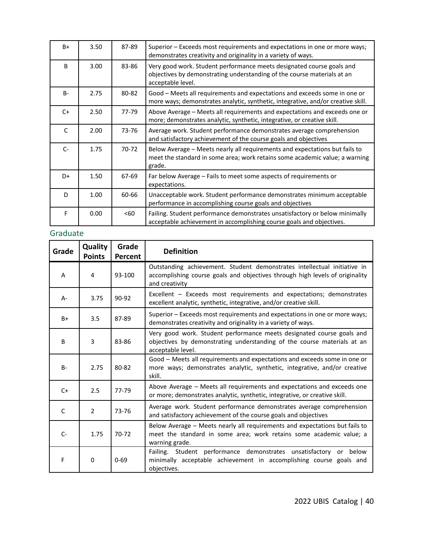| $B+$         | 3.50 | 87-89 | Superior – Exceeds most requirements and expectations in one or more ways;<br>demonstrates creativity and originality in a variety of ways.                           |
|--------------|------|-------|-----------------------------------------------------------------------------------------------------------------------------------------------------------------------|
| <sub>B</sub> | 3.00 | 83-86 | Very good work. Student performance meets designated course goals and<br>objectives by demonstrating understanding of the course materials at an<br>acceptable level. |
| $B -$        | 2.75 | 80-82 | Good – Meets all requirements and expectations and exceeds some in one or<br>more ways; demonstrates analytic, synthetic, integrative, and/or creative skill.         |
| $C+$         | 2.50 | 77-79 | Above Average - Meets all requirements and expectations and exceeds one or<br>more; demonstrates analytic, synthetic, integrative, or creative skill.                 |
| C            | 2.00 | 73-76 | Average work. Student performance demonstrates average comprehension<br>and satisfactory achievement of the course goals and objectives                               |
| $C-$         | 1.75 | 70-72 | Below Average - Meets nearly all requirements and expectations but fails to<br>meet the standard in some area; work retains some academic value; a warning<br>grade.  |
| $D+$         | 1.50 | 67-69 | Far below Average – Fails to meet some aspects of requirements or<br>expectations.                                                                                    |
| D            | 1.00 | 60-66 | Unacceptable work. Student performance demonstrates minimum acceptable<br>performance in accomplishing course goals and objectives                                    |
| F            | 0.00 | < 60  | Failing. Student performance demonstrates unsatisfactory or below minimally<br>acceptable achievement in accomplishing course goals and objectives.                   |

# Graduate

| Grade        | Quality<br><b>Points</b> | Grade<br>Percent | <b>Definition</b>                                                                                                                                                          |
|--------------|--------------------------|------------------|----------------------------------------------------------------------------------------------------------------------------------------------------------------------------|
| A            | 4                        | 93-100           | Outstanding achievement. Student demonstrates intellectual initiative in<br>accomplishing course goals and objectives through high levels of originality<br>and creativity |
| $A -$        | 3.75                     | $90 - 92$        | Excellent - Exceeds most requirements and expectations; demonstrates<br>excellent analytic, synthetic, integrative, and/or creative skill.                                 |
| $B+$         | 3.5                      | 87-89            | Superior - Exceeds most requirements and expectations in one or more ways;<br>demonstrates creativity and originality in a variety of ways.                                |
| B            | 3                        | 83-86            | Very good work. Student performance meets designated course goals and<br>objectives by demonstrating understanding of the course materials at an<br>acceptable level.      |
| $B -$        | 2.75                     | 80-82            | Good - Meets all requirements and expectations and exceeds some in one or<br>more ways; demonstrates analytic, synthetic, integrative, and/or creative<br>skill.           |
| $C+$         | 2.5                      | 77-79            | Above Average - Meets all requirements and expectations and exceeds one<br>or more; demonstrates analytic, synthetic, integrative, or creative skill.                      |
| $\mathsf{C}$ | $\overline{2}$           | 73-76            | Average work. Student performance demonstrates average comprehension<br>and satisfactory achievement of the course goals and objectives                                    |
| $C-$         | 1.75                     | $70-72$          | Below Average - Meets nearly all requirements and expectations but fails to<br>meet the standard in some area; work retains some academic value; a<br>warning grade.       |
| F            | 0                        | $0 - 69$         | Failing. Student performance demonstrates unsatisfactory<br>or below<br>minimally acceptable achievement in accomplishing course goals and<br>objectives.                  |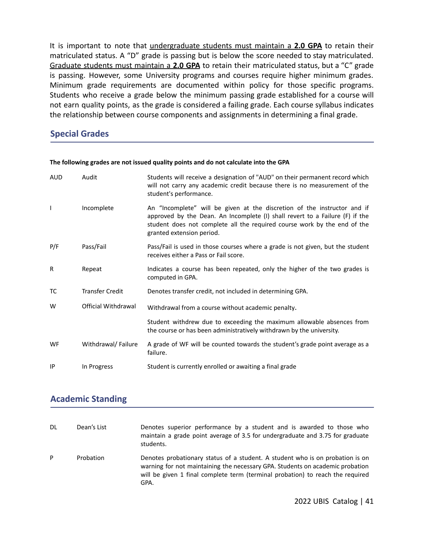It is important to note that undergraduate students must maintain a **2.0 GPA** to retain their matriculated status. A "D" grade is passing but is below the score needed to stay matriculated. Graduate students must maintain a **2.0 GPA** to retain their matriculated status, but a "C" grade is passing. However, some University programs and courses require higher minimum grades. Minimum grade requirements are documented within policy for those specific programs. Students who receive a grade below the minimum passing grade established for a course will not earn quality points, as the grade is considered a failing grade. Each course syllabus indicates the relationship between course components and assignments in determining a final grade.

## **Special Grades**

| <b>AUD</b> | Audit                  | Students will receive a designation of "AUD" on their permanent record which<br>will not carry any academic credit because there is no measurement of the<br>student's performance.                                                                               |
|------------|------------------------|-------------------------------------------------------------------------------------------------------------------------------------------------------------------------------------------------------------------------------------------------------------------|
| ı          | Incomplete             | An "Incomplete" will be given at the discretion of the instructor and if<br>approved by the Dean. An Incomplete (I) shall revert to a Failure (F) if the<br>student does not complete all the required course work by the end of the<br>granted extension period. |
| P/F        | Pass/Fail              | Pass/Fail is used in those courses where a grade is not given, but the student<br>receives either a Pass or Fail score.                                                                                                                                           |
| R          | Repeat                 | Indicates a course has been repeated, only the higher of the two grades is<br>computed in GPA.                                                                                                                                                                    |
| тс         | <b>Transfer Credit</b> | Denotes transfer credit, not included in determining GPA.                                                                                                                                                                                                         |
| W          | Official Withdrawal    | Withdrawal from a course without academic penalty.                                                                                                                                                                                                                |
|            |                        | Student withdrew due to exceeding the maximum allowable absences from<br>the course or has been administratively withdrawn by the university.                                                                                                                     |
| WF         | Withdrawal/Failure     | A grade of WF will be counted towards the student's grade point average as a<br>failure.                                                                                                                                                                          |
| IP         | In Progress            | Student is currently enrolled or awaiting a final grade                                                                                                                                                                                                           |

#### **The following grades are not issued quality points and do not calculate into the GPA**

## **Academic Standing**

| DL | Dean's List | Denotes superior performance by a student and is awarded to those who<br>maintain a grade point average of 3.5 for undergraduate and 3.75 for graduate<br>students.                                                                                      |
|----|-------------|----------------------------------------------------------------------------------------------------------------------------------------------------------------------------------------------------------------------------------------------------------|
| P  | Probation   | Denotes probationary status of a student. A student who is on probation is on<br>warning for not maintaining the necessary GPA. Students on academic probation<br>will be given 1 final complete term (terminal probation) to reach the required<br>GPA. |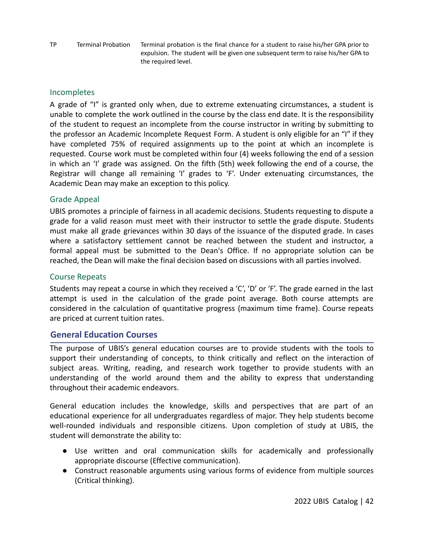TP Terminal Probation Terminal probation is the final chance for a student to raise his/her GPA prior to expulsion. The student will be given one subsequent term to raise his/her GPA to the required level.

### **Incompletes**

A grade of "I" is granted only when, due to extreme extenuating circumstances, a student is unable to complete the work outlined in the course by the class end date. It is the responsibility of the student to request an incomplete from the course instructor in writing by submitting to the professor an Academic Incomplete Request Form. A student is only eligible for an "I" if they have completed 75% of required assignments up to the point at which an incomplete is requested. Course work must be completed within four (4) weeks following the end of a session in which an 'I' grade was assigned. On the fifth (5th) week following the end of a course, the Registrar will change all remaining 'I' grades to 'F'. Under extenuating circumstances, the Academic Dean may make an exception to this policy.

### Grade Appeal

UBIS promotes a principle of fairness in all academic decisions. Students requesting to dispute a grade for a valid reason must meet with their instructor to settle the grade dispute. Students must make all grade grievances within 30 days of the issuance of the disputed grade. In cases where a satisfactory settlement cannot be reached between the student and instructor, a formal appeal must be submitted to the Dean's Office. If no appropriate solution can be reached, the Dean will make the final decision based on discussions with all parties involved.

### Course Repeats

Students may repeat a course in which they received a 'C', 'D' or 'F'. The grade earned in the last attempt is used in the calculation of the grade point average. Both course attempts are considered in the calculation of quantitative progress (maximum time frame). Course repeats are priced at current tuition rates.

## **General Education Courses**

The purpose of UBIS's general education courses are to provide students with the tools to support their understanding of concepts, to think critically and reflect on the interaction of subject areas. Writing, reading, and research work together to provide students with an understanding of the world around them and the ability to express that understanding throughout their academic endeavors.

General education includes the knowledge, skills and perspectives that are part of an educational experience for all undergraduates regardless of major. They help students become well-rounded individuals and responsible citizens. Upon completion of study at UBIS, the student will demonstrate the ability to:

- Use written and oral communication skills for academically and professionally appropriate discourse (Effective communication).
- Construct reasonable arguments using various forms of evidence from multiple sources (Critical thinking).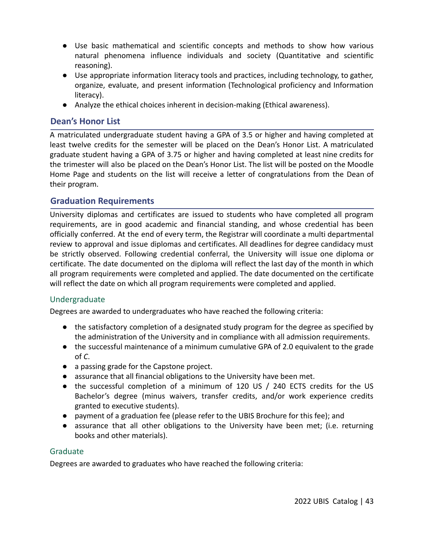- Use basic mathematical and scientific concepts and methods to show how various natural phenomena influence individuals and society (Quantitative and scientific reasoning).
- Use appropriate information literacy tools and practices, including technology, to gather, organize, evaluate, and present information (Technological proficiency and Information literacy).
- Analyze the ethical choices inherent in decision-making (Ethical awareness).

# **Dean's Honor List**

A matriculated undergraduate student having a GPA of 3.5 or higher and having completed at least twelve credits for the semester will be placed on the Dean's Honor List. A matriculated graduate student having a GPA of 3.75 or higher and having completed at least nine credits for the trimester will also be placed on the Dean's Honor List. The list will be posted on the Moodle Home Page and students on the list will receive a letter of congratulations from the Dean of their program.

# **Graduation Requirements**

University diplomas and certificates are issued to students who have completed all program requirements, are in good academic and financial standing, and whose credential has been officially conferred. At the end of every term, the Registrar will coordinate a multi departmental review to approval and issue diplomas and certificates. All deadlines for degree candidacy must be strictly observed. Following credential conferral, the University will issue one diploma or certificate. The date documented on the diploma will reflect the last day of the month in which all program requirements were completed and applied. The date documented on the certificate will reflect the date on which all program requirements were completed and applied.

# Undergraduate

Degrees are awarded to undergraduates who have reached the following criteria:

- the satisfactory completion of a designated study program for the degree as specified by the administration of the University and in compliance with all admission requirements.
- the successful maintenance of a minimum cumulative GPA of 2.0 equivalent to the grade of *C*.
- a passing grade for the Capstone project.
- assurance that all financial obligations to the University have been met.
- the successful completion of a minimum of 120 US / 240 ECTS credits for the US Bachelor's degree (minus waivers, transfer credits, and/or work experience credits granted to executive students).
- payment of a graduation fee (please refer to the UBIS Brochure for this fee); and
- assurance that all other obligations to the University have been met; (i.e. returning books and other materials).

## Graduate

Degrees are awarded to graduates who have reached the following criteria: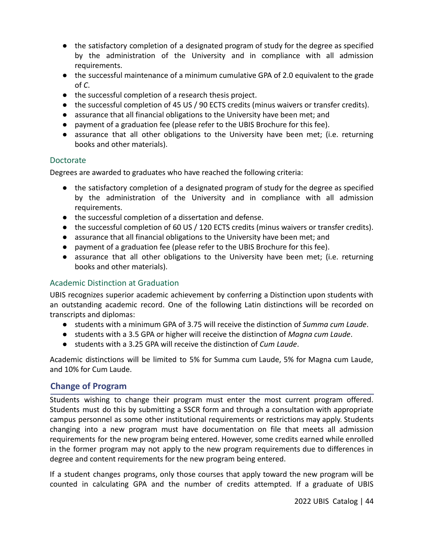- the satisfactory completion of a designated program of study for the degree as specified by the administration of the University and in compliance with all admission requirements.
- the successful maintenance of a minimum cumulative GPA of 2.0 equivalent to the grade of *C*.
- the successful completion of a research thesis project.
- the successful completion of 45 US / 90 ECTS credits (minus waivers or transfer credits).
- assurance that all financial obligations to the University have been met; and
- payment of a graduation fee (please refer to the UBIS Brochure for this fee).
- assurance that all other obligations to the University have been met; (i.e. returning books and other materials).

### Doctorate

Degrees are awarded to graduates who have reached the following criteria:

- the satisfactory completion of a designated program of study for the degree as specified by the administration of the University and in compliance with all admission requirements.
- the successful completion of a dissertation and defense.
- the successful completion of 60 US / 120 ECTS credits (minus waivers or transfer credits).
- assurance that all financial obligations to the University have been met; and
- payment of a graduation fee (please refer to the UBIS Brochure for this fee).
- assurance that all other obligations to the University have been met; (i.e. returning books and other materials).

## Academic Distinction at Graduation

UBIS recognizes superior academic achievement by conferring a Distinction upon students with an outstanding academic record. One of the following Latin distinctions will be recorded on transcripts and diplomas:

- students with a minimum GPA of 3.75 will receive the distinction of *Summa cum Laude*.
- students with a 3.5 GPA or higher will receive the distinction of *Magna cum Laude*.
- students with a 3.25 GPA will receive the distinction of *Cum Laude*.

Academic distinctions will be limited to 5% for Summa cum Laude, 5% for Magna cum Laude, and 10% for Cum Laude.

# **Change of Program**

Students wishing to change their program must enter the most current program offered. Students must do this by submitting a SSCR form and through a consultation with appropriate campus personnel as some other institutional requirements or restrictions may apply. Students changing into a new program must have documentation on file that meets all admission requirements for the new program being entered. However, some credits earned while enrolled in the former program may not apply to the new program requirements due to differences in degree and content requirements for the new program being entered.

If a student changes programs, only those courses that apply toward the new program will be counted in calculating GPA and the number of credits attempted. If a graduate of UBIS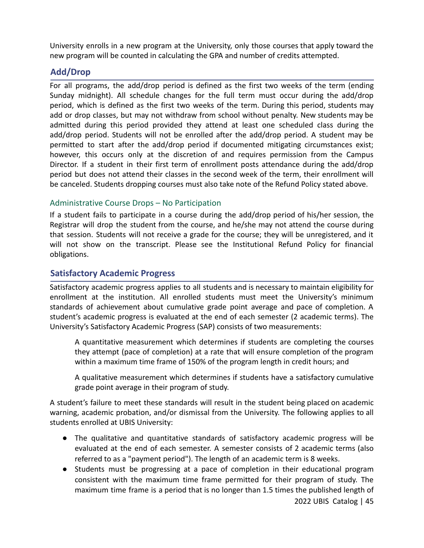University enrolls in a new program at the University, only those courses that apply toward the new program will be counted in calculating the GPA and number of credits attempted.

# **Add/Drop**

For all programs, the add/drop period is defined as the first two weeks of the term (ending Sunday midnight). All schedule changes for the full term must occur during the add/drop period, which is defined as the first two weeks of the term. During this period, students may add or drop classes, but may not withdraw from school without penalty. New students may be admitted during this period provided they attend at least one scheduled class during the add/drop period. Students will not be enrolled after the add/drop period. A student may be permitted to start after the add/drop period if documented mitigating circumstances exist; however, this occurs only at the discretion of and requires permission from the Campus Director. If a student in their first term of enrollment posts attendance during the add/drop period but does not attend their classes in the second week of the term, their enrollment will be canceled. Students dropping courses must also take note of the Refund Policy stated above.

# Administrative Course Drops – No Participation

If a student fails to participate in a course during the add/drop period of his/her session, the Registrar will drop the student from the course, and he/she may not attend the course during that session. Students will not receive a grade for the course; they will be unregistered, and it will not show on the transcript. Please see the Institutional Refund Policy for financial obligations.

# **Satisfactory Academic Progress**

Satisfactory academic progress applies to all students and is necessary to maintain eligibility for enrollment at the institution. All enrolled students must meet the University's minimum standards of achievement about cumulative grade point average and pace of completion. A student's academic progress is evaluated at the end of each semester (2 academic terms). The University's Satisfactory Academic Progress (SAP) consists of two measurements:

A quantitative measurement which determines if students are completing the courses they attempt (pace of completion) at a rate that will ensure completion of the program within a maximum time frame of 150% of the program length in credit hours; and

A qualitative measurement which determines if students have a satisfactory cumulative grade point average in their program of study.

A student's failure to meet these standards will result in the student being placed on academic warning, academic probation, and/or dismissal from the University. The following applies to all students enrolled at UBIS University:

- The qualitative and quantitative standards of satisfactory academic progress will be evaluated at the end of each semester. A semester consists of 2 academic terms (also referred to as a "payment period"). The length of an academic term is 8 weeks.
- Students must be progressing at a pace of completion in their educational program consistent with the maximum time frame permitted for their program of study. The maximum time frame is a period that is no longer than 1.5 times the published length of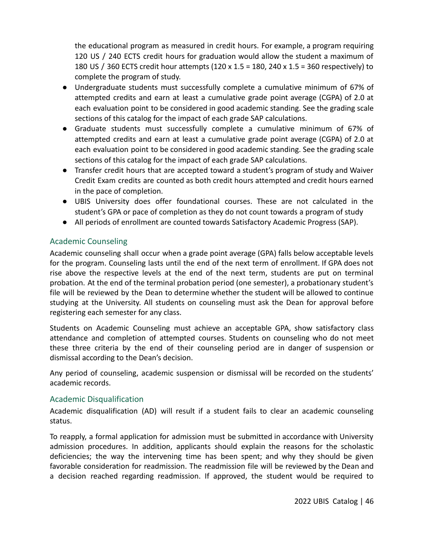the educational program as measured in credit hours. For example, a program requiring 120 US / 240 ECTS credit hours for graduation would allow the student a maximum of 180 US / 360 ECTS credit hour attempts (120 x 1.5 = 180, 240 x 1.5 = 360 respectively) to complete the program of study.

- Undergraduate students must successfully complete a cumulative minimum of 67% of attempted credits and earn at least a cumulative grade point average (CGPA) of 2.0 at each evaluation point to be considered in good academic standing. See the grading scale sections of this catalog for the impact of each grade SAP calculations.
- Graduate students must successfully complete a cumulative minimum of 67% of attempted credits and earn at least a cumulative grade point average (CGPA) of 2.0 at each evaluation point to be considered in good academic standing. See the grading scale sections of this catalog for the impact of each grade SAP calculations.
- Transfer credit hours that are accepted toward a student's program of study and Waiver Credit Exam credits are counted as both credit hours attempted and credit hours earned in the pace of completion.
- UBIS University does offer foundational courses. These are not calculated in the student's GPA or pace of completion as they do not count towards a program of study
- All periods of enrollment are counted towards Satisfactory Academic Progress (SAP).

# Academic Counseling

Academic counseling shall occur when a grade point average (GPA) falls below acceptable levels for the program. Counseling lasts until the end of the next term of enrollment. If GPA does not rise above the respective levels at the end of the next term, students are put on terminal probation. At the end of the terminal probation period (one semester), a probationary student's file will be reviewed by the Dean to determine whether the student will be allowed to continue studying at the University. All students on counseling must ask the Dean for approval before registering each semester for any class.

Students on Academic Counseling must achieve an acceptable GPA, show satisfactory class attendance and completion of attempted courses. Students on counseling who do not meet these three criteria by the end of their counseling period are in danger of suspension or dismissal according to the Dean's decision.

Any period of counseling, academic suspension or dismissal will be recorded on the students' academic records.

# Academic Disqualification

Academic disqualification (AD) will result if a student fails to clear an academic counseling status.

To reapply, a formal application for admission must be submitted in accordance with University admission procedures. In addition, applicants should explain the reasons for the scholastic deficiencies; the way the intervening time has been spent; and why they should be given favorable consideration for readmission. The readmission file will be reviewed by the Dean and a decision reached regarding readmission. If approved, the student would be required to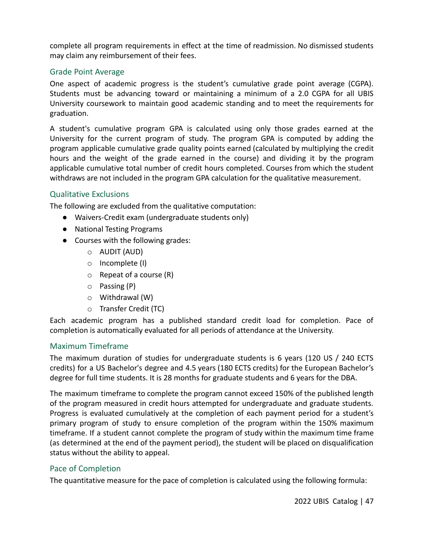complete all program requirements in effect at the time of readmission. No dismissed students may claim any reimbursement of their fees.

## Grade Point Average

One aspect of academic progress is the student's cumulative grade point average (CGPA). Students must be advancing toward or maintaining a minimum of a 2.0 CGPA for all UBIS University coursework to maintain good academic standing and to meet the requirements for graduation.

A student's cumulative program GPA is calculated using only those grades earned at the University for the current program of study. The program GPA is computed by adding the program applicable cumulative grade quality points earned (calculated by multiplying the credit hours and the weight of the grade earned in the course) and dividing it by the program applicable cumulative total number of credit hours completed. Courses from which the student withdraws are not included in the program GPA calculation for the qualitative measurement.

### Qualitative Exclusions

The following are excluded from the qualitative computation:

- Waivers-Credit exam (undergraduate students only)
- National Testing Programs
- Courses with the following grades:
	- o AUDIT (AUD)
	- o Incomplete (I)
	- $\circ$  Repeat of a course (R)
	- o Passing (P)
	- o Withdrawal (W)
	- o Transfer Credit (TC)

Each academic program has a published standard credit load for completion. Pace of completion is automatically evaluated for all periods of attendance at the University.

### Maximum Timeframe

The maximum duration of studies for undergraduate students is 6 years (120 US / 240 ECTS credits) for a US Bachelor's degree and 4.5 years (180 ECTS credits) for the European Bachelor's degree for full time students. It is 28 months for graduate students and 6 years for the DBA.

The maximum timeframe to complete the program cannot exceed 150% of the published length of the program measured in credit hours attempted for undergraduate and graduate students. Progress is evaluated cumulatively at the completion of each payment period for a student's primary program of study to ensure completion of the program within the 150% maximum timeframe. If a student cannot complete the program of study within the maximum time frame (as determined at the end of the payment period), the student will be placed on disqualification status without the ability to appeal.

### Pace of Completion

The quantitative measure for the pace of completion is calculated using the following formula: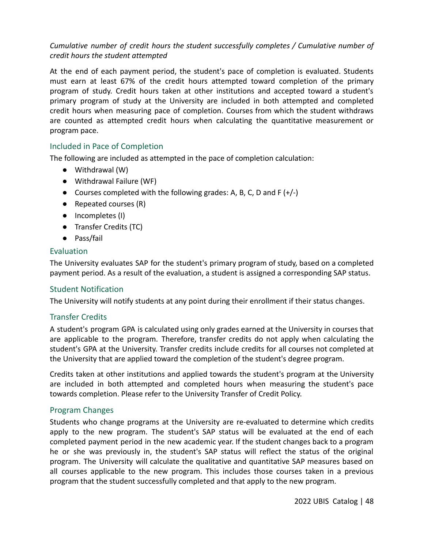# *Cumulative number of credit hours the student successfully completes / Cumulative number of credit hours the student attempted*

At the end of each payment period, the student's pace of completion is evaluated. Students must earn at least 67% of the credit hours attempted toward completion of the primary program of study. Credit hours taken at other institutions and accepted toward a student's primary program of study at the University are included in both attempted and completed credit hours when measuring pace of completion. Courses from which the student withdraws are counted as attempted credit hours when calculating the quantitative measurement or program pace.

# Included in Pace of Completion

The following are included as attempted in the pace of completion calculation:

- Withdrawal (W)
- Withdrawal Failure (WF)
- Courses completed with the following grades: A, B, C, D and F  $(+/-)$
- Repeated courses (R)
- Incompletes (I)
- Transfer Credits (TC)
- Pass/fail

## Evaluation

The University evaluates SAP for the student's primary program of study, based on a completed payment period. As a result of the evaluation, a student is assigned a corresponding SAP status.

## Student Notification

The University will notify students at any point during their enrollment if their status changes.

## Transfer Credits

A student's program GPA is calculated using only grades earned at the University in courses that are applicable to the program. Therefore, transfer credits do not apply when calculating the student's GPA at the University. Transfer credits include credits for all courses not completed at the University that are applied toward the completion of the student's degree program.

Credits taken at other institutions and applied towards the student's program at the University are included in both attempted and completed hours when measuring the student's pace towards completion. Please refer to the University Transfer of Credit Policy.

## Program Changes

Students who change programs at the University are re-evaluated to determine which credits apply to the new program. The student's SAP status will be evaluated at the end of each completed payment period in the new academic year. If the student changes back to a program he or she was previously in, the student's SAP status will reflect the status of the original program. The University will calculate the qualitative and quantitative SAP measures based on all courses applicable to the new program. This includes those courses taken in a previous program that the student successfully completed and that apply to the new program.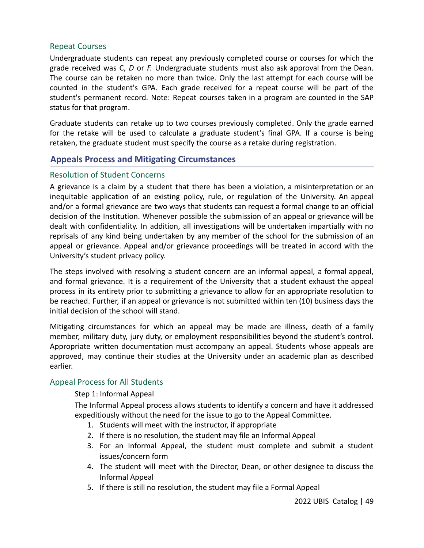#### Repeat Courses

Undergraduate students can repeat any previously completed course or courses for which the grade received was C, *D* or *F.* Undergraduate students must also ask approval from the Dean. The course can be retaken no more than twice. Only the last attempt for each course will be counted in the student's GPA. Each grade received for a repeat course will be part of the student's permanent record. Note: Repeat courses taken in a program are counted in the SAP status for that program.

Graduate students can retake up to two courses previously completed. Only the grade earned for the retake will be used to calculate a graduate student's final GPA. If a course is being retaken, the graduate student must specify the course as a retake during registration.

# **Appeals Process and Mitigating Circumstances**

### Resolution of Student Concerns

A grievance is a claim by a student that there has been a violation, a misinterpretation or an inequitable application of an existing policy, rule, or regulation of the University. An appeal and/or a formal grievance are two ways that students can request a formal change to an official decision of the Institution. Whenever possible the submission of an appeal or grievance will be dealt with confidentiality. In addition, all investigations will be undertaken impartially with no reprisals of any kind being undertaken by any member of the school for the submission of an appeal or grievance. Appeal and/or grievance proceedings will be treated in accord with the University's student privacy policy.

The steps involved with resolving a student concern are an informal appeal, a formal appeal, and formal grievance. It is a requirement of the University that a student exhaust the appeal process in its entirety prior to submitting a grievance to allow for an appropriate resolution to be reached. Further, if an appeal or grievance is not submitted within ten (10) business days the initial decision of the school will stand.

Mitigating circumstances for which an appeal may be made are illness, death of a family member, military duty, jury duty, or employment responsibilities beyond the student's control. Appropriate written documentation must accompany an appeal. Students whose appeals are approved, may continue their studies at the University under an academic plan as described earlier.

## Appeal Process for All Students

### Step 1: Informal Appeal

The Informal Appeal process allows students to identify a concern and have it addressed expeditiously without the need for the issue to go to the Appeal Committee.

- 1. Students will meet with the instructor, if appropriate
- 2. If there is no resolution, the student may file an Informal Appeal
- 3. For an Informal Appeal, the student must complete and submit a student issues/concern form
- 4. The student will meet with the Director, Dean, or other designee to discuss the Informal Appeal
- 5. If there is still no resolution, the student may file a Formal Appeal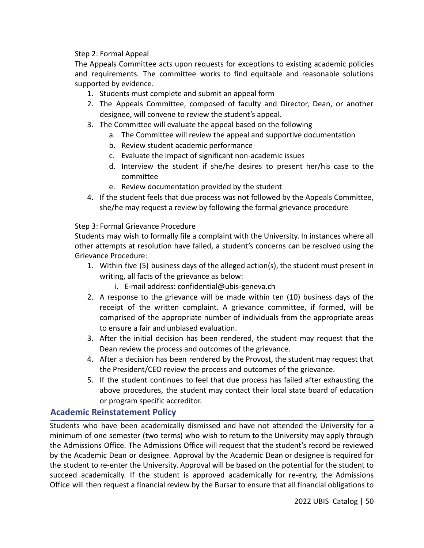### Step 2: Formal Appeal

The Appeals Committee acts upon requests for exceptions to existing academic policies and requirements. The committee works to find equitable and reasonable solutions supported by evidence.

- 1. Students must complete and submit an appeal form
- 2. The Appeals Committee, composed of faculty and Director, Dean, or another designee, will convene to review the student's appeal.
- 3. The Committee will evaluate the appeal based on the following
	- a. The Committee will review the appeal and supportive documentation
		- b. Review student academic performance
		- c. Evaluate the impact of significant non-academic issues
		- d. Interview the student if she/he desires to present her/his case to the committee
		- e. Review documentation provided by the student
- 4. If the student feels that due process was not followed by the Appeals Committee, she/he may request a review by following the formal grievance procedure

Step 3: Formal Grievance Procedure

Students may wish to formally file a complaint with the University. In instances where all other attempts at resolution have failed, a student's concerns can be resolved using the Grievance Procedure:

- 1. Within five (5) business days of the alleged action(s), the student must present in writing, all facts of the grievance as below:
	- i. E-mail address: confidential@ubis-geneva.ch
- 2. A response to the grievance will be made within ten (10) business days of the receipt of the written complaint. A grievance committee, if formed, will be comprised of the appropriate number of individuals from the appropriate areas to ensure a fair and unbiased evaluation.
- 3. After the initial decision has been rendered, the student may request that the Dean review the process and outcomes of the grievance.
- 4. After a decision has been rendered by the Provost, the student may request that the President/CEO review the process and outcomes of the grievance.
- 5. If the student continues to feel that due process has failed after exhausting the above procedures, the student may contact their local state board of education or program specific accreditor.

# **Academic Reinstatement Policy**

Students who have been academically dismissed and have not attended the University for a minimum of one semester (two terms) who wish to return to the University may apply through the Admissions Office. The Admissions Office will request that the student's record be reviewed by the Academic Dean or designee. Approval by the Academic Dean or designee is required for the student to re-enter the University. Approval will be based on the potential for the student to succeed academically. If the student is approved academically for re-entry, the Admissions Office will then request a financial review by the Bursar to ensure that all financial obligations to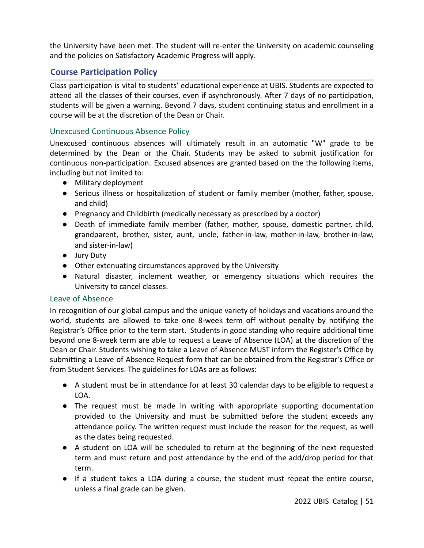the University have been met. The student will re-enter the University on academic counseling and the policies on Satisfactory Academic Progress will apply.

# **Course Participation Policy**

Class participation is vital to students' educational experience at UBIS. Students are expected to attend all the classes of their courses, even if asynchronously. After 7 days of no participation, students will be given a warning. Beyond 7 days, student continuing status and enrollment in a course will be at the discretion of the Dean or Chair.

# Unexcused Continuous Absence Policy

Unexcused continuous absences will ultimately result in an automatic "W" grade to be determined by the Dean or the Chair. Students may be asked to submit justification for continuous non-participation. Excused absences are granted based on the the following items, including but not limited to:

- Military deployment
- Serious illness or hospitalization of student or family member (mother, father, spouse, and child)
- Pregnancy and Childbirth (medically necessary as prescribed by a doctor)
- Death of immediate family member (father, mother, spouse, domestic partner, child, grandparent, brother, sister, aunt, uncle, father-in-law, mother-in-law, brother-in-law, and sister-in-law)
- Jury Duty
- Other extenuating circumstances approved by the University
- Natural disaster, inclement weather, or emergency situations which requires the University to cancel classes.

## Leave of Absence

In recognition of our global campus and the unique variety of holidays and vacations around the world, students are allowed to take one 8-week term off without penalty by notifying the Registrar's Office prior to the term start. Students in good standing who require additional time beyond one 8-week term are able to request a Leave of Absence (LOA) at the discretion of the Dean or Chair. Students wishing to take a Leave of Absence MUST inform the Register's Office by submitting a Leave of Absence Request form that can be obtained from the Registrar's Office or from Student Services. The guidelines for LOAs are as follows:

- A student must be in attendance for at least 30 calendar days to be eligible to request a LOA.
- The request must be made in writing with appropriate supporting documentation provided to the University and must be submitted before the student exceeds any attendance policy. The written request must include the reason for the request, as well as the dates being requested.
- A student on LOA will be scheduled to return at the beginning of the next requested term and must return and post attendance by the end of the add/drop period for that term.
- If a student takes a LOA during a course, the student must repeat the entire course, unless a final grade can be given.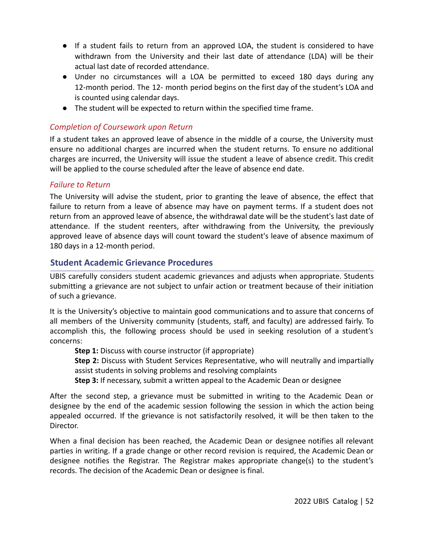- If a student fails to return from an approved LOA, the student is considered to have withdrawn from the University and their last date of attendance (LDA) will be their actual last date of recorded attendance.
- Under no circumstances will a LOA be permitted to exceed 180 days during any 12-month period. The 12- month period begins on the first day of the student's LOA and is counted using calendar days.
- The student will be expected to return within the specified time frame.

# *Completion of Coursework upon Return*

If a student takes an approved leave of absence in the middle of a course, the University must ensure no additional charges are incurred when the student returns. To ensure no additional charges are incurred, the University will issue the student a leave of absence credit. This credit will be applied to the course scheduled after the leave of absence end date.

# *Failure to Return*

The University will advise the student, prior to granting the leave of absence, the effect that failure to return from a leave of absence may have on payment terms. If a student does not return from an approved leave of absence, the withdrawal date will be the student's last date of attendance. If the student reenters, after withdrawing from the University, the previously approved leave of absence days will count toward the student's leave of absence maximum of 180 days in a 12-month period.

# **Student Academic Grievance Procedures**

UBIS carefully considers student academic grievances and adjusts when appropriate. Students submitting a grievance are not subject to unfair action or treatment because of their initiation of such a grievance.

It is the University's objective to maintain good communications and to assure that concerns of all members of the University community (students, staff, and faculty) are addressed fairly. To accomplish this, the following process should be used in seeking resolution of a student's concerns:

**Step 1:** Discuss with course instructor (if appropriate)

**Step 2:** Discuss with Student Services Representative, who will neutrally and impartially assist students in solving problems and resolving complaints

**Step 3:** If necessary, submit a written appeal to the Academic Dean or designee

After the second step, a grievance must be submitted in writing to the Academic Dean or designee by the end of the academic session following the session in which the action being appealed occurred. If the grievance is not satisfactorily resolved, it will be then taken to the Director.

When a final decision has been reached, the Academic Dean or designee notifies all relevant parties in writing. If a grade change or other record revision is required, the Academic Dean or designee notifies the Registrar. The Registrar makes appropriate change(s) to the student's records. The decision of the Academic Dean or designee is final.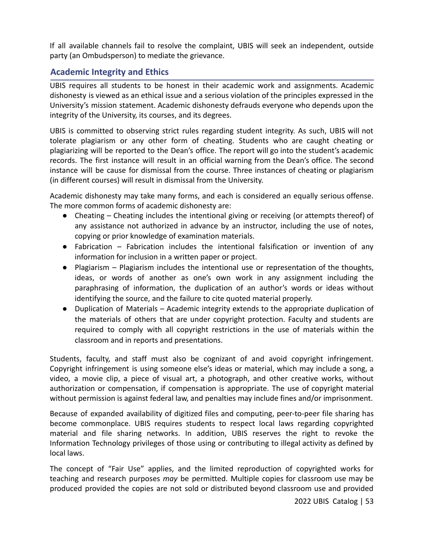If all available channels fail to resolve the complaint, UBIS will seek an independent, outside party (an Ombudsperson) to mediate the grievance.

# **Academic Integrity and Ethics**

UBIS requires all students to be honest in their academic work and assignments. Academic dishonesty is viewed as an ethical issue and a serious violation of the principles expressed in the University's mission statement. Academic dishonesty defrauds everyone who depends upon the integrity of the University, its courses, and its degrees.

UBIS is committed to observing strict rules regarding student integrity. As such, UBIS will not tolerate plagiarism or any other form of cheating. Students who are caught cheating or plagiarizing will be reported to the Dean's office. The report will go into the student's academic records. The first instance will result in an official warning from the Dean's office. The second instance will be cause for dismissal from the course. Three instances of cheating or plagiarism (in different courses) will result in dismissal from the University.

Academic dishonesty may take many forms, and each is considered an equally serious offense. The more common forms of academic dishonesty are:

- Cheating Cheating includes the intentional giving or receiving (or attempts thereof) of any assistance not authorized in advance by an instructor, including the use of notes, copying or prior knowledge of examination materials.
- Fabrication Fabrication includes the intentional falsification or invention of any information for inclusion in a written paper or project.
- Plagiarism Plagiarism includes the intentional use or representation of the thoughts, ideas, or words of another as one's own work in any assignment including the paraphrasing of information, the duplication of an author's words or ideas without identifying the source, and the failure to cite quoted material properly.
- Duplication of Materials Academic integrity extends to the appropriate duplication of the materials of others that are under copyright protection. Faculty and students are required to comply with all copyright restrictions in the use of materials within the classroom and in reports and presentations.

Students, faculty, and staff must also be cognizant of and avoid copyright infringement. Copyright infringement is using someone else's ideas or material, which may include a song, a video, a movie clip, a piece of visual art, a photograph, and other creative works, without authorization or compensation, if compensation is appropriate. The use of copyright material without permission is against federal law, and penalties may include fines and/or imprisonment.

Because of expanded availability of digitized files and computing, peer-to-peer file sharing has become commonplace. UBIS requires students to respect local laws regarding copyrighted material and file sharing networks. In addition, UBIS reserves the right to revoke the Information Technology privileges of those using or contributing to illegal activity as defined by local laws.

The concept of "Fair Use" applies, and the limited reproduction of copyrighted works for teaching and research purposes *may* be permitted. Multiple copies for classroom use may be produced provided the copies are not sold or distributed beyond classroom use and provided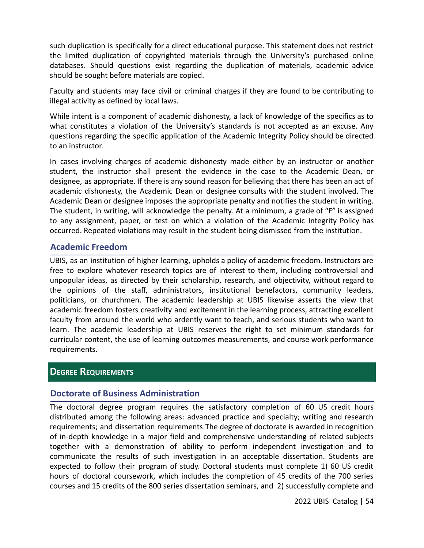such duplication is specifically for a direct educational purpose. This statement does not restrict the limited duplication of copyrighted materials through the University's purchased online databases. Should questions exist regarding the duplication of materials, academic advice should be sought before materials are copied.

Faculty and students may face civil or criminal charges if they are found to be contributing to illegal activity as defined by local laws.

While intent is a component of academic dishonesty, a lack of knowledge of the specifics as to what constitutes a violation of the University's standards is not accepted as an excuse. Any questions regarding the specific application of the Academic Integrity Policy should be directed to an instructor.

In cases involving charges of academic dishonesty made either by an instructor or another student, the instructor shall present the evidence in the case to the Academic Dean, or designee, as appropriate. If there is any sound reason for believing that there has been an act of academic dishonesty, the Academic Dean or designee consults with the student involved. The Academic Dean or designee imposes the appropriate penalty and notifies the student in writing. The student, in writing, will acknowledge the penalty. At a minimum, a grade of "F" is assigned to any assignment, paper, or test on which a violation of the Academic Integrity Policy has occurred. Repeated violations may result in the student being dismissed from the institution.

## **Academic Freedom**

UBIS, as an institution of higher learning, upholds a policy of academic freedom. Instructors are free to explore whatever research topics are of interest to them, including controversial and unpopular ideas, as directed by their scholarship, research, and objectivity, without regard to the opinions of the staff, administrators, institutional benefactors, community leaders, politicians, or churchmen. The academic leadership at UBIS likewise asserts the view that academic freedom fosters creativity and excitement in the learning process, attracting excellent faculty from around the world who ardently want to teach, and serious students who want to learn. The academic leadership at UBIS reserves the right to set minimum standards for curricular content, the use of learning outcomes measurements, and course work performance requirements.

# **DEGREE REQUIREMENTS**

# **Doctorate of Business Administration**

The doctoral degree program requires the satisfactory completion of 60 US credit hours distributed among the following areas: advanced practice and specialty; writing and research requirements; and dissertation requirements The degree of doctorate is awarded in recognition of in-depth knowledge in a major field and comprehensive understanding of related subjects together with a demonstration of ability to perform independent investigation and to communicate the results of such investigation in an acceptable dissertation. Students are expected to follow their program of study. Doctoral students must complete 1) 60 US credit hours of doctoral coursework, which includes the completion of 45 credits of the 700 series courses and 15 credits of the 800 series dissertation seminars, and 2) successfully complete and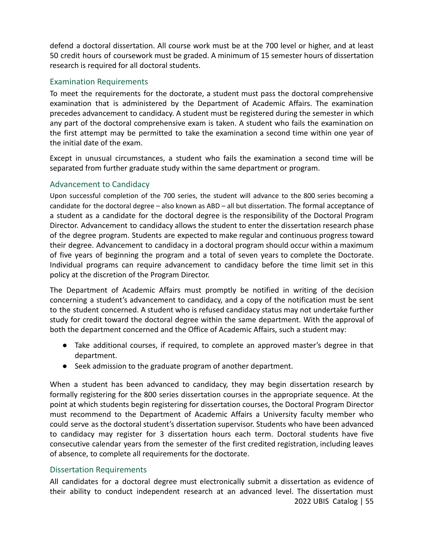defend a doctoral dissertation. All course work must be at the 700 level or higher, and at least 50 credit hours of coursework must be graded. A minimum of 15 semester hours of dissertation research is required for all doctoral students.

# Examination Requirements

To meet the requirements for the doctorate, a student must pass the doctoral comprehensive examination that is administered by the Department of Academic Affairs. The examination precedes advancement to candidacy. A student must be registered during the semester in which any part of the doctoral comprehensive exam is taken. A student who fails the examination on the first attempt may be permitted to take the examination a second time within one year of the initial date of the exam.

Except in unusual circumstances, a student who fails the examination a second time will be separated from further graduate study within the same department or program.

# Advancement to Candidacy

Upon successful completion of the 700 series, the student will advance to the 800 series becoming a candidate for the doctoral degree – also known as ABD – all but dissertation. The formal acceptance of a student as a candidate for the doctoral degree is the responsibility of the Doctoral Program Director. Advancement to candidacy allows the student to enter the dissertation research phase of the degree program. Students are expected to make regular and continuous progress toward their degree. Advancement to candidacy in a doctoral program should occur within a maximum of five years of beginning the program and a total of seven years to complete the Doctorate. Individual programs can require advancement to candidacy before the time limit set in this policy at the discretion of the Program Director.

The Department of Academic Affairs must promptly be notified in writing of the decision concerning a student's advancement to candidacy, and a copy of the notification must be sent to the student concerned. A student who is refused candidacy status may not undertake further study for credit toward the doctoral degree within the same department. With the approval of both the department concerned and the Office of Academic Affairs, such a student may:

- Take additional courses, if required, to complete an approved master's degree in that department.
- Seek admission to the graduate program of another department.

When a student has been advanced to candidacy, they may begin dissertation research by formally registering for the 800 series dissertation courses in the appropriate sequence. At the point at which students begin registering for dissertation courses, the Doctoral Program Director must recommend to the Department of Academic Affairs a University faculty member who could serve as the doctoral student's dissertation supervisor. Students who have been advanced to candidacy may register for 3 dissertation hours each term. Doctoral students have five consecutive calendar years from the semester of the first credited registration, including leaves of absence, to complete all requirements for the doctorate.

## Dissertation Requirements

All candidates for a doctoral degree must electronically submit a dissertation as evidence of their ability to conduct independent research at an advanced level. The dissertation must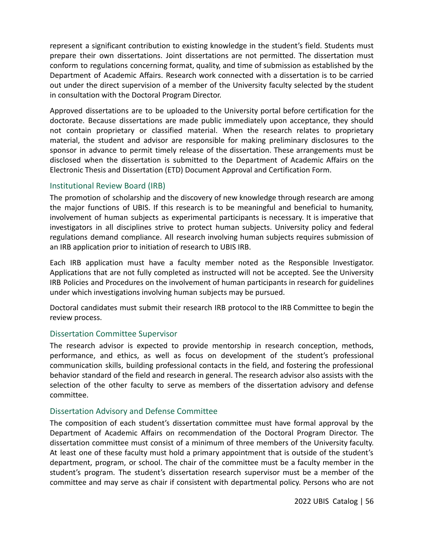represent a significant contribution to existing knowledge in the student's field. Students must prepare their own dissertations. Joint dissertations are not permitted. The dissertation must conform to regulations concerning format, quality, and time of submission as established by the Department of Academic Affairs. Research work connected with a dissertation is to be carried out under the direct supervision of a member of the University faculty selected by the student in consultation with the Doctoral Program Director.

Approved dissertations are to be uploaded to the University portal before certification for the doctorate. Because dissertations are made public immediately upon acceptance, they should not contain proprietary or classified material. When the research relates to proprietary material, the student and advisor are responsible for making preliminary disclosures to the sponsor in advance to permit timely release of the dissertation. These arrangements must be disclosed when the dissertation is submitted to the Department of Academic Affairs on the Electronic Thesis and Dissertation (ETD) Document Approval and Certification Form.

### Institutional Review Board (IRB)

The promotion of scholarship and the discovery of new knowledge through research are among the major functions of UBIS. If this research is to be meaningful and beneficial to humanity, involvement of human subjects as experimental participants is necessary. It is imperative that investigators in all disciplines strive to protect human subjects. University policy and federal regulations demand compliance. All research involving human subjects requires submission of an IRB application prior to initiation of research to UBIS IRB.

Each IRB application must have a faculty member noted as the Responsible Investigator. Applications that are not fully completed as instructed will not be accepted. See the University IRB Policies and Procedures on the involvement of human participants in research for guidelines under which investigations involving human subjects may be pursued.

Doctoral candidates must submit their research IRB protocol to the IRB Committee to begin the review process.

### Dissertation Committee Supervisor

The research advisor is expected to provide mentorship in research conception, methods, performance, and ethics, as well as focus on development of the student's professional communication skills, building professional contacts in the field, and fostering the professional behavior standard of the field and research in general. The research advisor also assists with the selection of the other faculty to serve as members of the dissertation advisory and defense committee.

### Dissertation Advisory and Defense Committee

The composition of each student's dissertation committee must have formal approval by the Department of Academic Affairs on recommendation of the Doctoral Program Director. The dissertation committee must consist of a minimum of three members of the University faculty. At least one of these faculty must hold a primary appointment that is outside of the student's department, program, or school. The chair of the committee must be a faculty member in the student's program. The student's dissertation research supervisor must be a member of the committee and may serve as chair if consistent with departmental policy. Persons who are not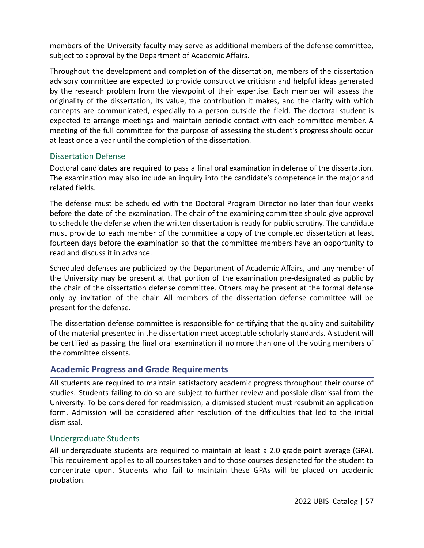members of the University faculty may serve as additional members of the defense committee, subject to approval by the Department of Academic Affairs.

Throughout the development and completion of the dissertation, members of the dissertation advisory committee are expected to provide constructive criticism and helpful ideas generated by the research problem from the viewpoint of their expertise. Each member will assess the originality of the dissertation, its value, the contribution it makes, and the clarity with which concepts are communicated, especially to a person outside the field. The doctoral student is expected to arrange meetings and maintain periodic contact with each committee member. A meeting of the full committee for the purpose of assessing the student's progress should occur at least once a year until the completion of the dissertation.

## Dissertation Defense

Doctoral candidates are required to pass a final oral examination in defense of the dissertation. The examination may also include an inquiry into the candidate's competence in the major and related fields.

The defense must be scheduled with the Doctoral Program Director no later than four weeks before the date of the examination. The chair of the examining committee should give approval to schedule the defense when the written dissertation is ready for public scrutiny. The candidate must provide to each member of the committee a copy of the completed dissertation at least fourteen days before the examination so that the committee members have an opportunity to read and discuss it in advance.

Scheduled defenses are publicized by the Department of Academic Affairs, and any member of the University may be present at that portion of the examination pre-designated as public by the chair of the dissertation defense committee. Others may be present at the formal defense only by invitation of the chair. All members of the dissertation defense committee will be present for the defense.

The dissertation defense committee is responsible for certifying that the quality and suitability of the material presented in the dissertation meet acceptable scholarly standards. A student will be certified as passing the final oral examination if no more than one of the voting members of the committee dissents.

# **Academic Progress and Grade Requirements**

All students are required to maintain satisfactory academic progress throughout their course of studies. Students failing to do so are subject to further review and possible dismissal from the University. To be considered for readmission, a dismissed student must resubmit an application form. Admission will be considered after resolution of the difficulties that led to the initial dismissal.

## Undergraduate Students

All undergraduate students are required to maintain at least a 2.0 grade point average (GPA). This requirement applies to all courses taken and to those courses designated for the student to concentrate upon. Students who fail to maintain these GPAs will be placed on academic probation.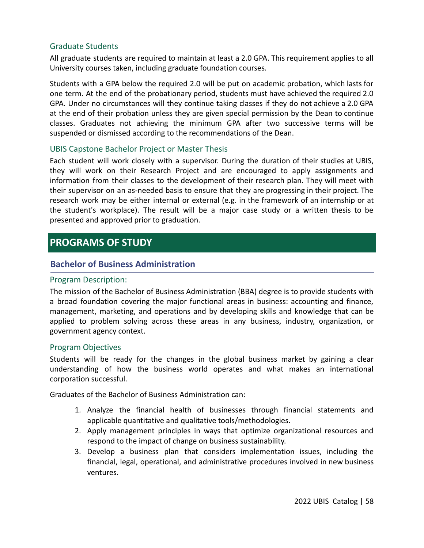## Graduate Students

All graduate students are required to maintain at least a 2.0 GPA. This requirement applies to all University courses taken, including graduate foundation courses.

Students with a GPA below the required 2.0 will be put on academic probation, which lasts for one term. At the end of the probationary period, students must have achieved the required 2.0 GPA. Under no circumstances will they continue taking classes if they do not achieve a 2.0 GPA at the end of their probation unless they are given special permission by the Dean to continue classes. Graduates not achieving the minimum GPA after two successive terms will be suspended or dismissed according to the recommendations of the Dean.

### UBIS Capstone Bachelor Project or Master Thesis

Each student will work closely with a supervisor. During the duration of their studies at UBIS, they will work on their Research Project and are encouraged to apply assignments and information from their classes to the development of their research plan. They will meet with their supervisor on an as-needed basis to ensure that they are progressing in their project. The research work may be either internal or external (e.g. in the framework of an internship or at the student's workplace). The result will be a major case study or a written thesis to be presented and approved prior to graduation.

# **PROGRAMS OF STUDY**

# **Bachelor of Business Administration**

### Program Description:

The mission of the Bachelor of Business Administration (BBA) degree is to provide students with a broad foundation covering the major functional areas in business: accounting and finance, management, marketing, and operations and by developing skills and knowledge that can be applied to problem solving across these areas in any business, industry, organization, or government agency context.

### Program Objectives

Students will be ready for the changes in the global business market by gaining a clear understanding of how the business world operates and what makes an international corporation successful.

Graduates of the Bachelor of Business Administration can:

- 1. Analyze the financial health of businesses through financial statements and applicable quantitative and qualitative tools/methodologies.
- 2. Apply management principles in ways that optimize organizational resources and respond to the impact of change on business sustainability.
- 3. Develop a business plan that considers implementation issues, including the financial, legal, operational, and administrative procedures involved in new business ventures.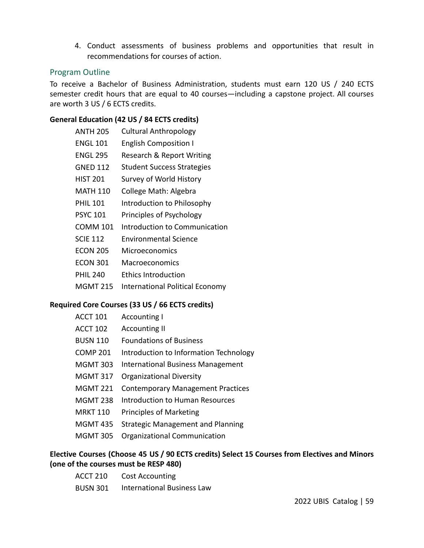4. Conduct assessments of business problems and opportunities that result in recommendations for courses of action.

### Program Outline

To receive a Bachelor of Business Administration, students must earn 120 US / 240 ECTS semester credit hours that are equal to 40 courses—including a capstone project. All courses are worth 3 US / 6 ECTS credits.

### **General Education (42 US / 84 ECTS credits)**

- ANTH 205 Cultural Anthropology
- ENGL 101 English Composition I
- ENGL 295 Research & Report Writing
- GNED 112 Student Success Strategies
- HIST 201 Survey of World History
- MATH 110 College Math: Algebra
- PHIL 101 Introduction to Philosophy
- PSYC 101 Principles of Psychology
- COMM 101 Introduction to Communication
- SCIE 112 Environmental Science
- ECON 205 Microeconomics
- ECON 301 Macroeconomics
- PHIL 240 Ethics Introduction
- MGMT 215 International Political Economy

## **Required Core Courses (33 US / 66 ECTS credits)**

| <b>ACCT 101</b> | <b>Accounting I</b>                      |
|-----------------|------------------------------------------|
| <b>ACCT 102</b> | <b>Accounting II</b>                     |
| <b>BUSN 110</b> | <b>Foundations of Business</b>           |
| COMP 201        | Introduction to Information Technology   |
| <b>MGMT 303</b> | International Business Management        |
| <b>MGMT 317</b> | <b>Organizational Diversity</b>          |
| <b>MGMT 221</b> | <b>Contemporary Management Practices</b> |
| <b>MGMT 238</b> | Introduction to Human Resources          |
| <b>MRKT 110</b> | <b>Principles of Marketing</b>           |
| <b>MGMT 435</b> | <b>Strategic Management and Planning</b> |
| <b>MGMT 305</b> | Organizational Communication             |
|                 |                                          |

### **Elective Courses (Choose 45 US / 90 ECTS credits) Select 15 Courses from Electives and Minors (one of the courses must be RESP 480)**

| <b>ACCT 210</b> | <b>Cost Accounting</b>            |
|-----------------|-----------------------------------|
| <b>BUSN 301</b> | <b>International Business Law</b> |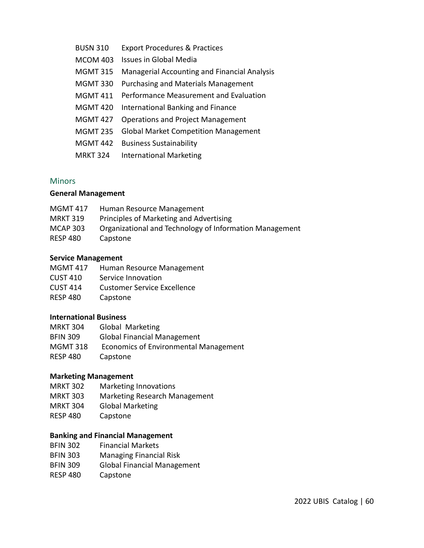BUSN 310 Export Procedures & Practices MCOM 403 Issues in Global Media MGMT 315 Managerial Accounting and Financial Analysis MGMT 330 Purchasing and Materials Management MGMT 411 Performance Measurement and Evaluation MGMT 420 International Banking and Finance MGMT 427 Operations and Project Management MGMT 235 Global Market Competition Management MGMT 442 Business Sustainability MRKT 324 International Marketing

### **Minors**

#### **General Management**

| <b>MGMT 417</b> | Human Resource Management                               |
|-----------------|---------------------------------------------------------|
| <b>MRKT 319</b> | Principles of Marketing and Advertising                 |
| <b>MCAP 303</b> | Organizational and Technology of Information Management |
| RESP 480        | Capstone                                                |

#### **Service Management**

| <b>MGMT 417</b> | Human Resource Management          |
|-----------------|------------------------------------|
| <b>CUST 410</b> | Service Innovation                 |
| <b>CUST 414</b> | <b>Customer Service Excellence</b> |
| <b>RESP 480</b> | Capstone                           |

### **International Business**

| <b>MRKT 304</b> | Global Marketing                      |
|-----------------|---------------------------------------|
| <b>BFIN 309</b> | <b>Global Financial Management</b>    |
| <b>MGMT 318</b> | Economics of Environmental Management |
| <b>RESP 480</b> | Capstone                              |

### **Marketing Management**

- MRKT 302 Marketing Innovations
- MRKT 303 Marketing Research Management
- MRKT 304 Global Marketing
- RESP 480 Capstone

#### **Banking and Financial Management**

- BFIN 302 Financial Markets
- BFIN 303 Managing Financial Risk
- BFIN 309 Global Financial Management
- RESP 480 Capstone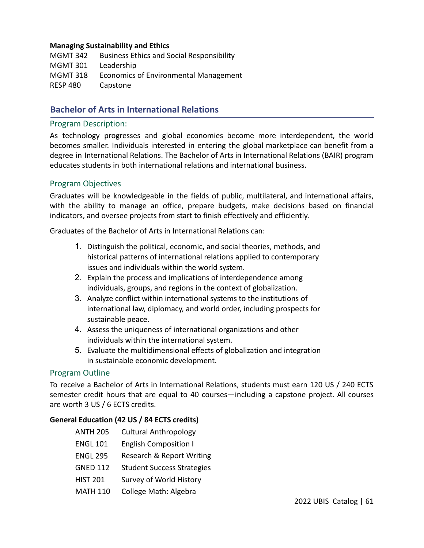#### **Managing Sustainability and Ethics**

MGMT 342 Business Ethics and Social Responsibility MGMT 301 Leadership MGMT 318 Economics of Environmental Management RESP 480 Capstone

# **Bachelor of Arts in International Relations**

#### Program Description:

As technology progresses and global economies become more interdependent, the world becomes smaller. Individuals interested in entering the global marketplace can benefit from a degree in International Relations. The Bachelor of Arts in International Relations (BAIR) program educates students in both international relations and international business.

### Program Objectives

Graduates will be knowledgeable in the fields of public, multilateral, and international affairs, with the ability to manage an office, prepare budgets, make decisions based on financial indicators, and oversee projects from start to finish effectively and efficiently.

Graduates of the Bachelor of Arts in International Relations can:

- 1. Distinguish the political, economic, and social theories, methods, and historical patterns of international relations applied to contemporary issues and individuals within the world system.
- 2. Explain the process and implications of interdependence among individuals, groups, and regions in the context of globalization.
- 3. Analyze conflict within international systems to the institutions of international law, diplomacy, and world order, including prospects for sustainable peace.
- 4. Assess the uniqueness of international organizations and other individuals within the international system.
- 5. Evaluate the multidimensional effects of globalization and integration in sustainable economic development.

### Program Outline

To receive a Bachelor of Arts in International Relations, students must earn 120 US / 240 ECTS semester credit hours that are equal to 40 courses—including a capstone project. All courses are worth 3 US / 6 ECTS credits.

### **General Education (42 US / 84 ECTS credits)**

- ANTH 205 Cultural Anthropology ENGL 101 English Composition I ENGL 295 Research & Report Writing GNED 112 Student Success Strategies
- HIST 201 Survey of World History
- MATH 110 College Math: Algebra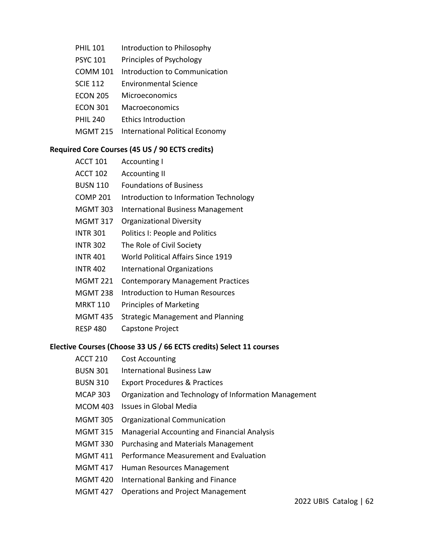- PHIL 101 Introduction to Philosophy
- PSYC 101 Principles of Psychology
- COMM 101 Introduction to Communication
- SCIE 112 Environmental Science
- ECON 205 Microeconomics
- ECON 301 Macroeconomics
- PHIL 240 Ethics Introduction
- MGMT 215 International Political Economy

### **Required Core Courses (45 US / 90 ECTS credits)**

- ACCT 101 Accounting I
- ACCT 102 Accounting II
- BUSN 110 Foundations of Business
- COMP 201 Introduction to Information Technology
- MGMT 303 International Business Management
- MGMT 317 Organizational Diversity
- INTR 301 Politics I: People and Politics
- INTR 302 The Role of Civil Society
- INTR 401 World Political Affairs Since 1919
- INTR 402 International Organizations
- MGMT 221 Contemporary Management Practices
- MGMT 238 Introduction to Human Resources
- MRKT 110 Principles of Marketing
- MGMT 435 Strategic Management and Planning
- RESP 480 Capstone Project

## **Elective Courses (Choose 33 US / 66 ECTS credits) Select 11 courses**

- ACCT 210 Cost Accounting
- BUSN 301 International Business Law
- BUSN 310 Export Procedures & Practices
- MCAP 303 Organization and Technology of Information Management
- MCOM 403 Issues in Global Media
- MGMT 305 Organizational Communication
- MGMT 315 Managerial Accounting and Financial Analysis
- MGMT 330 Purchasing and Materials Management
- MGMT 411 Performance Measurement and Evaluation
- MGMT 417 Human Resources Management
- MGMT 420 International Banking and Finance
- MGMT 427 Operations and Project Management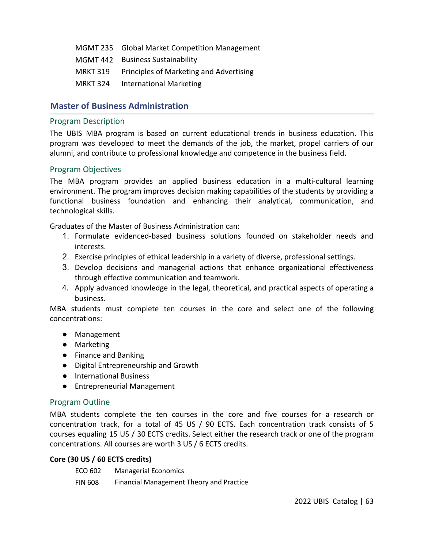- MGMT 235 Global Market Competition Management MGMT 442 Business Sustainability
- MRKT 319 Principles of Marketing and Advertising
- MRKT 324 International Marketing

# **Master of Business Administration**

### Program Description

The UBIS MBA program is based on current educational trends in business education. This program was developed to meet the demands of the job, the market, propel carriers of our alumni, and contribute to professional knowledge and competence in the business field.

# Program Objectives

The MBA program provides an applied business education in a multi-cultural learning environment. The program improves decision making capabilities of the students by providing a functional business foundation and enhancing their analytical, communication, and technological skills.

Graduates of the Master of Business Administration can:

- 1. Formulate evidenced-based business solutions founded on stakeholder needs and interests.
- 2. Exercise principles of ethical leadership in a variety of diverse, professional settings.
- 3. Develop decisions and managerial actions that enhance organizational effectiveness through effective communication and teamwork.
- 4. Apply advanced knowledge in the legal, theoretical, and practical aspects of operating a business.

MBA students must complete ten courses in the core and select one of the following concentrations:

- Management
- Marketing
- Finance and Banking
- Digital Entrepreneurship and Growth
- International Business
- Entrepreneurial Management

## Program Outline

MBA students complete the ten courses in the core and five courses for a research or concentration track, for a total of 45 US / 90 ECTS. Each concentration track consists of 5 courses equaling 15 US / 30 ECTS credits. Select either the research track or one of the program concentrations. All courses are worth 3 US / 6 ECTS credits.

## **Core (30 US / 60 ECTS credits)**

| ECO 602        | <b>Managerial Economics</b>              |
|----------------|------------------------------------------|
| <b>FIN 608</b> | Financial Management Theory and Practice |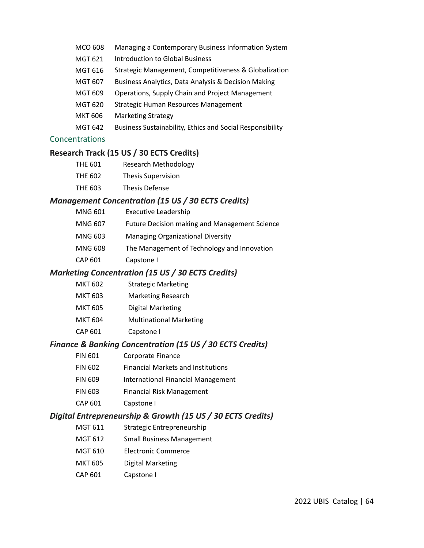- MCO 608 Managing a Contemporary Business Information System
- MGT 621 Introduction to Global Business
- MGT 616 Strategic Management, Competitiveness & Globalization
- MGT 607 Business Analytics, Data Analysis & Decision Making
- MGT 609 Operations, Supply Chain and Project Management
- MGT 620 Strategic Human Resources Management
- MKT 606 Marketing Strategy
- MGT 642 Business Sustainability, Ethics and Social Responsibility

### Concentrations

### **Research Track (15 US / 30 ECTS Credits)**

- THE 601 Research Methodology
- THE 602 Thesis Supervision
- THE 603 Thesis Defense

### *Management Concentration (15 US / 30 ECTS Credits)*

- MNG 601 Executive Leadership
- MNG 607 Future Decision making and Management Science
- MNG 603 Managing Organizational Diversity
- MNG 608 The Management of Technology and Innovation
- CAP 601 Capstone I

### *Marketing Concentration (15 US / 30 ECTS Credits)*

- MKT 602 Strategic Marketing
- MKT 603 Marketing Research
- MKT 605 Digital Marketing
- MKT 604 Multinational Marketing
- CAP 601 Capstone I

### *Finance & Banking Concentration (15 US / 30 ECTS Credits)*

- FIN 601 Corporate Finance
- FIN 602 Financial Markets and Institutions
- FIN 609 International Financial Management
- FIN 603 Financial Risk Management
- CAP 601 Capstone I

## *Digital Entrepreneurship & Growth (15 US / 30 ECTS Credits)*

- MGT 611 Strategic Entrepreneurship
- MGT 612 Small Business Management
- MGT 610 Electronic Commerce
- MKT 605 Digital Marketing
- CAP 601 Capstone I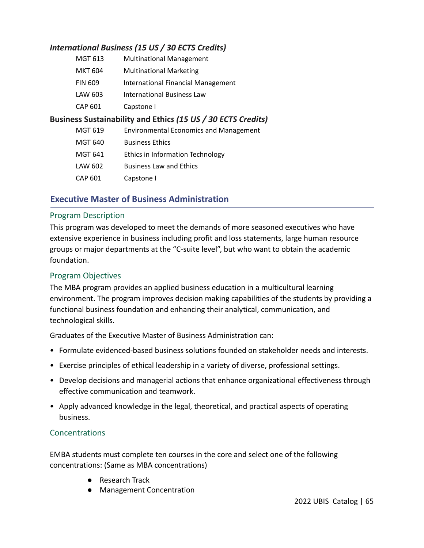# *International Business (15 US / 30 ECTS Credits)*

| MGT 613        | <b>Multinational Management</b>    |
|----------------|------------------------------------|
| <b>MKT 604</b> | <b>Multinational Marketing</b>     |
| <b>FIN 609</b> | International Financial Management |
| LAW 603        | <b>International Business Law</b>  |
| CAP 601        | Capstone I                         |

# **Business Sustainability and Ethic***s (15 US / 30 ECTS Credits)*

| MGT 619 | <b>Environmental Economics and Management</b> |
|---------|-----------------------------------------------|
| MGT 640 | <b>Business Ethics</b>                        |
| MGT 641 | Ethics in Information Technology              |
| LAW 602 | <b>Business Law and Ethics</b>                |
| CAP 601 | Capstone I                                    |

# **Executive Master of Business Administration**

### Program Description

This program was developed to meet the demands of more seasoned executives who have extensive experience in business including profit and loss statements, large human resource groups or major departments at the "C-suite level", but who want to obtain the academic foundation.

# Program Objectives

The MBA program provides an applied business education in a multicultural learning environment. The program improves decision making capabilities of the students by providing a functional business foundation and enhancing their analytical, communication, and technological skills.

Graduates of the Executive Master of Business Administration can:

- Formulate evidenced-based business solutions founded on stakeholder needs and interests.
- Exercise principles of ethical leadership in a variety of diverse, professional settings.
- Develop decisions and managerial actions that enhance organizational effectiveness through effective communication and teamwork.
- Apply advanced knowledge in the legal, theoretical, and practical aspects of operating business.

## Concentrations

EMBA students must complete ten courses in the core and select one of the following concentrations: (Same as MBA concentrations)

- Research Track
- Management Concentration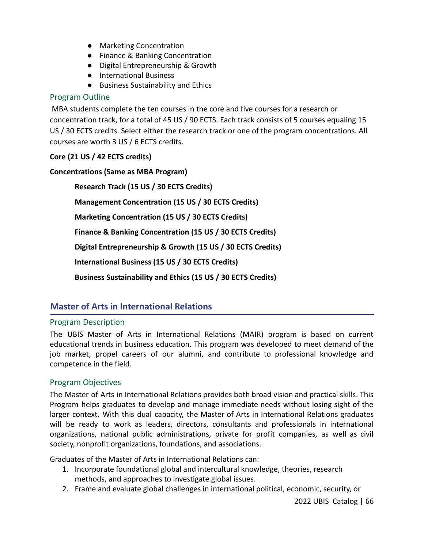- Marketing Concentration
- Finance & Banking Concentration
- Digital Entrepreneurship & Growth
- International Business
- Business Sustainability and Ethics

# Program Outline

MBA students complete the ten courses in the core and five courses for a research or concentration track, for a total of 45 US / 90 ECTS. Each track consists of 5 courses equaling 15 US / 30 ECTS credits. Select either the research track or one of the program concentrations. All courses are worth 3 US / 6 ECTS credits.

# **Core (21 US / 42 ECTS credits)**

## **Concentrations (Same as MBA Program)**

**Research Track (15 US / 30 ECTS Credits) Management Concentration (15 US / 30 ECTS Credits) Marketing Concentration (15 US / 30 ECTS Credits) Finance & Banking Concentration (15 US / 30 ECTS Credits) Digital Entrepreneurship & Growth (15 US / 30 ECTS Credits) International Business (15 US / 30 ECTS Credits) Business Sustainability and Ethics (15 US / 30 ECTS Credits)**

# **Master of Arts in International Relations**

# Program Description

The UBIS Master of Arts in International Relations (MAIR) program is based on current educational trends in business education. This program was developed to meet demand of the job market, propel careers of our alumni, and contribute to professional knowledge and competence in the field.

# Program Objectives

The Master of Arts in International Relations provides both broad vision and practical skills. This Program helps graduates to develop and manage immediate needs without losing sight of the larger context. With this dual capacity, the Master of Arts in International Relations graduates will be ready to work as leaders, directors, consultants and professionals in international organizations, national public administrations, private for profit companies, as well as civil society, nonprofit organizations, foundations, and associations.

Graduates of the Master of Arts in International Relations can:

- 1. Incorporate foundational global and intercultural knowledge, theories, research methods, and approaches to investigate global issues.
- 2. Frame and evaluate global challenges in international political, economic, security, or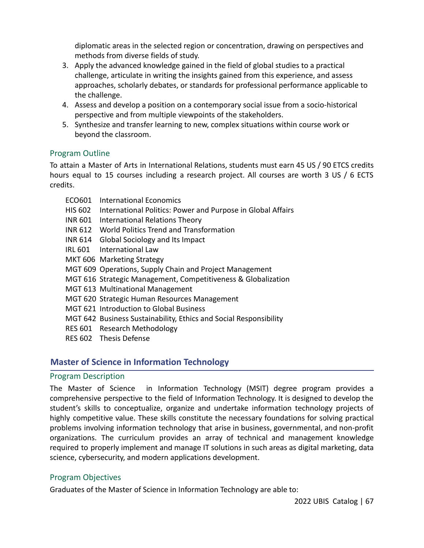diplomatic areas in the selected region or concentration, drawing on perspectives and methods from diverse fields of study.

- 3. Apply the advanced knowledge gained in the field of global studies to a practical challenge, articulate in writing the insights gained from this experience, and assess approaches, scholarly debates, or standards for professional performance applicable to the challenge.
- 4. Assess and develop a position on a contemporary social issue from a socio-historical perspective and from multiple viewpoints of the stakeholders.
- 5. Synthesize and transfer learning to new, complex situations within course work or beyond the classroom.

## Program Outline

To attain a Master of Arts in International Relations, students must earn 45 US / 90 ETCS credits hours equal to 15 courses including a research project. All courses are worth 3 US / 6 ECTS credits.

- ECO601 International Economics
- HIS 602 International Politics: Power and Purpose in Global Affairs
- INR 601 International Relations Theory
- INR 612 World Politics Trend and Transformation
- INR 614 Global Sociology and Its Impact
- IRL 601 International Law
- MKT 606 Marketing Strategy
- MGT 609 Operations, Supply Chain and Project Management
- MGT 616 Strategic Management, Competitiveness & Globalization
- MGT 613 Multinational Management
- MGT 620 Strategic Human Resources Management
- MGT 621 Introduction to Global Business
- MGT 642 Business Sustainability, Ethics and Social Responsibility
- RES 601 Research Methodology
- RES 602 Thesis Defense

# **Master of Science in Information Technology**

## Program Description

The Master of Science in Information Technology (MSIT) degree program provides a comprehensive perspective to the field of Information Technology. It is designed to develop the student's skills to conceptualize, organize and undertake information technology projects of highly competitive value. These skills constitute the necessary foundations for solving practical problems involving information technology that arise in business, governmental, and non-profit organizations. The curriculum provides an array of technical and management knowledge required to properly implement and manage IT solutions in such areas as digital marketing, data science, cybersecurity, and modern applications development.

# Program Objectives

Graduates of the Master of Science in Information Technology are able to: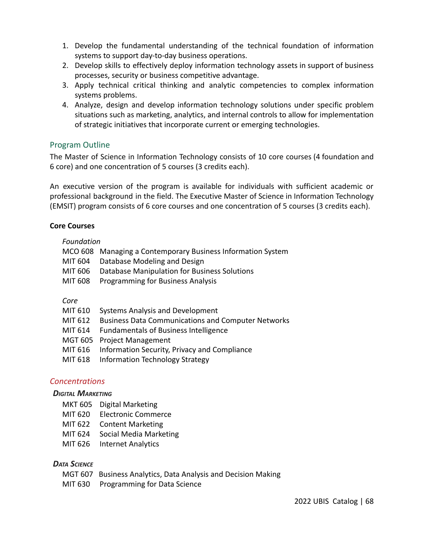- 1. Develop the fundamental understanding of the technical foundation of information systems to support day-to-day business operations.
- 2. Develop skills to effectively deploy information technology assets in support of business processes, security or business competitive advantage.
- 3. Apply technical critical thinking and analytic competencies to complex information systems problems.
- 4. Analyze, design and develop information technology solutions under specific problem situations such as marketing, analytics, and internal controls to allow for implementation of strategic initiatives that incorporate current or emerging technologies.

## Program Outline

The Master of Science in Information Technology consists of 10 core courses (4 foundation and 6 core) and one concentration of 5 courses (3 credits each).

An executive version of the program is available for individuals with sufficient academic or professional background in the field. The Executive Master of Science in Information Technology (EMSIT) program consists of 6 core courses and one concentration of 5 courses (3 credits each).

#### **Core Courses**

#### *Foundation*

| MCO 608 Managing a Contemporary Business Information System |
|-------------------------------------------------------------|
| MIT 604 Database Modeling and Design                        |
| MIT 606 Database Manipulation for Business Solutions        |
| MIT 608 Programming for Business Analysis                   |

#### *Core*

- MIT 610 Systems Analysis and Development
- MIT 612 Business Data Communications and Computer Networks
- MIT 614 Fundamentals of Business Intelligence
- MGT 605 Project Management
- MIT 616 Information Security, Privacy and Compliance
- MIT 618 Information Technology Strategy

### *Concentrations*

#### *DIGITAL MARKETING*

- MKT 605 Digital Marketing
- MIT 620 Electronic Commerce
- MIT 622 Content Marketing
- MIT 624 Social Media Marketing
- MIT 626 Internet Analytics

### *DATA SCIENCE*

- MGT 607 Business Analytics, Data Analysis and Decision Making
- MIT 630 Programming for Data Science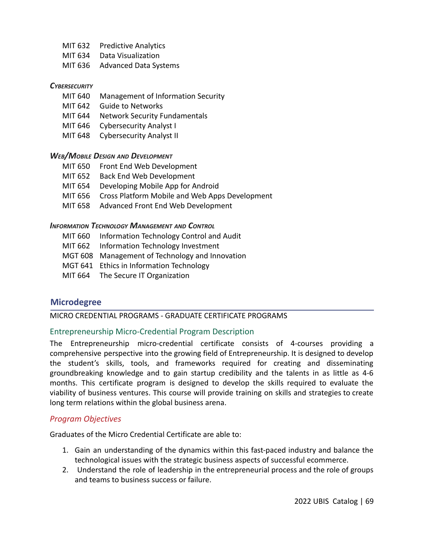- MIT 632 Predictive Analytics
- MIT 634 Data Visualization
- MIT 636 Advanced Data Systems

#### *CYBERSECURITY*

- MIT 640 Management of Information Security
- MIT 642 Guide to Networks
- MIT 644 Network Security Fundamentals
- MIT 646 Cybersecurity Analyst I
- MIT 648 Cybersecurity Analyst II

#### *WEB/MOBILE DESIGN AND DEVELOPMENT*

- MIT 650 Front End Web Development
- MIT 652 Back End Web Development
- MIT 654 Developing Mobile App for Android
- MIT 656 Cross Platform Mobile and Web Apps Development
- MIT 658 Advanced Front End Web Development

#### *INFORMATION TECHNOLOGY MANAGEMENT AND CONTROL*

- MIT 660 Information Technology Control and Audit
- MIT 662 Information Technology Investment
- MGT 608 Management of Technology and Innovation
- MGT 641 Ethics in Information Technology
- MIT 664 The Secure IT Organization

## **Microdegree**

### MICRO CREDENTIAL PROGRAMS - GRADUATE CERTIFICATE PROGRAMS

### Entrepreneurship Micro-Credential Program Description

The Entrepreneurship micro-credential certificate consists of 4-courses providing a comprehensive perspective into the growing field of Entrepreneurship. It is designed to develop the student's skills, tools, and frameworks required for creating and disseminating groundbreaking knowledge and to gain startup credibility and the talents in as little as 4-6 months. This certificate program is designed to develop the skills required to evaluate the viability of business ventures. This course will provide training on skills and strategies to create long term relations within the global business arena.

### *Program Objectives*

Graduates of the Micro Credential Certificate are able to:

- 1. Gain an understanding of the dynamics within this fast-paced industry and balance the technological issues with the strategic business aspects of successful ecommerce.
- 2. Understand the role of leadership in the entrepreneurial process and the role of groups and teams to business success or failure.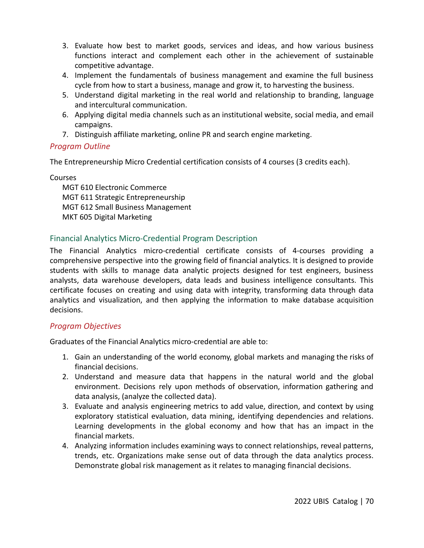- 3. Evaluate how best to market goods, services and ideas, and how various business functions interact and complement each other in the achievement of sustainable competitive advantage.
- 4. Implement the fundamentals of business management and examine the full business cycle from how to start a business, manage and grow it, to harvesting the business.
- 5. Understand digital marketing in the real world and relationship to branding, language and intercultural communication.
- 6. Applying digital media channels such as an institutional website, social media, and email campaigns.
- 7. Distinguish affiliate marketing, online PR and search engine marketing.

# *Program Outline*

The Entrepreneurship Micro Credential certification consists of 4 courses (3 credits each).

Courses

MGT 610 Electronic Commerce MGT 611 Strategic Entrepreneurship MGT 612 Small Business Management MKT 605 Digital Marketing

# Financial Analytics Micro-Credential Program Description

The Financial Analytics micro-credential certificate consists of 4-courses providing a comprehensive perspective into the growing field of financial analytics. It is designed to provide students with skills to manage data analytic projects designed for test engineers, business analysts, data warehouse developers, data leads and business intelligence consultants. This certificate focuses on creating and using data with integrity, transforming data through data analytics and visualization, and then applying the information to make database acquisition decisions.

# *Program Objectives*

Graduates of the Financial Analytics micro-credential are able to:

- 1. Gain an understanding of the world economy, global markets and managing the risks of financial decisions.
- 2. Understand and measure data that happens in the natural world and the global environment. Decisions rely upon methods of observation, information gathering and data analysis, (analyze the collected data).
- 3. Evaluate and analysis engineering metrics to add value, direction, and context by using exploratory statistical evaluation, data mining, identifying dependencies and relations. Learning developments in the global economy and how that has an impact in the financial markets.
- 4. Analyzing information includes examining ways to connect relationships, reveal patterns, trends, etc. Organizations make sense out of data through the data analytics process. Demonstrate global risk management as it relates to managing financial decisions.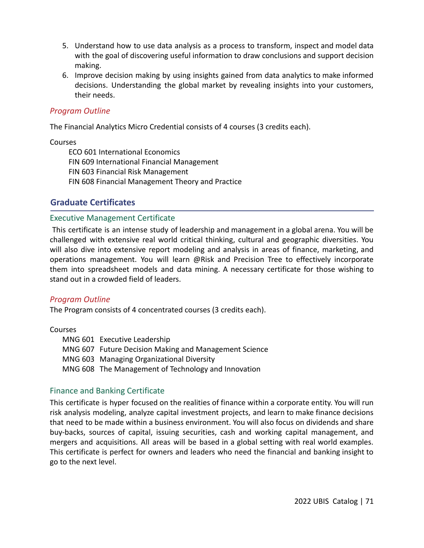- 5. Understand how to use data analysis as a process to transform, inspect and model data with the goal of discovering useful information to draw conclusions and support decision making.
- 6. Improve decision making by using insights gained from data analytics to make informed decisions. Understanding the global market by revealing insights into your customers, their needs.

### *Program Outline*

The Financial Analytics Micro Credential consists of 4 courses (3 credits each).

#### Courses

ECO 601 International Economics FIN 609 International Financial Management FIN 603 Financial Risk Management FIN 608 Financial Management Theory and Practice

# **Graduate Certificates**

### Executive Management Certificate

This certificate is an intense study of leadership and management in a global arena. You will be challenged with extensive real world critical thinking, cultural and geographic diversities. You will also dive into extensive report modeling and analysis in areas of finance, marketing, and operations management. You will learn @Risk and Precision Tree to effectively incorporate them into spreadsheet models and data mining. A necessary certificate for those wishing to stand out in a crowded field of leaders.

### *Program Outline*

The Program consists of 4 concentrated courses (3 credits each).

### Courses

MNG 601 Executive Leadership MNG 607 Future Decision Making and Management Science MNG 603 Managing Organizational Diversity MNG 608 The Management of Technology and Innovation

## Finance and Banking Certificate

This certificate is hyper focused on the realities of finance within a corporate entity. You will run risk analysis modeling, analyze capital investment projects, and learn to make finance decisions that need to be made within a business environment. You will also focus on dividends and share buy-backs, sources of capital, issuing securities, cash and working capital management, and mergers and acquisitions. All areas will be based in a global setting with real world examples. This certificate is perfect for owners and leaders who need the financial and banking insight to go to the next level.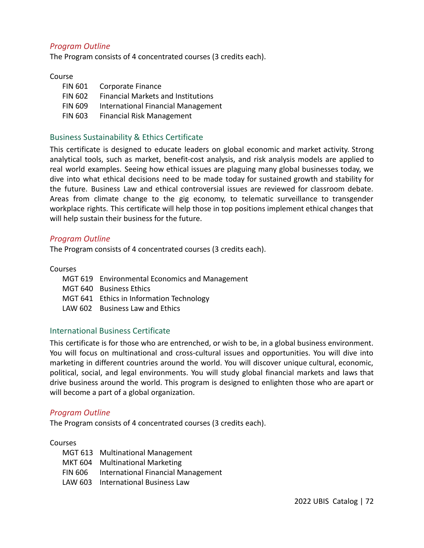### *Program Outline*

The Program consists of 4 concentrated courses (3 credits each).

#### Course

| <b>FIN 601</b> | Corporate Finance                         |
|----------------|-------------------------------------------|
| <b>FIN 602</b> | <b>Financial Markets and Institutions</b> |
| <b>FIN 609</b> | International Financial Management        |
| <b>FIN 603</b> | <b>Financial Risk Management</b>          |

### Business Sustainability & Ethics Certificate

This certificate is designed to educate leaders on global economic and market activity. Strong analytical tools, such as market, benefit-cost analysis, and risk analysis models are applied to real world examples. Seeing how ethical issues are plaguing many global businesses today, we dive into what ethical decisions need to be made today for sustained growth and stability for the future. Business Law and ethical controversial issues are reviewed for classroom debate. Areas from climate change to the gig economy, to telematic surveillance to transgender workplace rights. This certificate will help those in top positions implement ethical changes that will help sustain their business for the future.

### *Program Outline*

The Program consists of 4 concentrated courses (3 credits each).

#### Courses

- MGT 619 Environmental Economics and Management MGT 640 Business Ethics MGT 641 Ethics in Information Technology
- LAW 602 Business Law and Ethics

### International Business Certificate

This certificate is for those who are entrenched, or wish to be, in a global business environment. You will focus on multinational and cross-cultural issues and opportunities. You will dive into marketing in different countries around the world. You will discover unique cultural, economic, political, social, and legal environments. You will study global financial markets and laws that drive business around the world. This program is designed to enlighten those who are apart or will become a part of a global organization.

### *Program Outline*

The Program consists of 4 concentrated courses (3 credits each).

### Courses

| MGT 613 Multinational Management           |
|--------------------------------------------|
| MKT 604 Multinational Marketing            |
| FIN 606 International Financial Management |
| LAW 603 International Business Law         |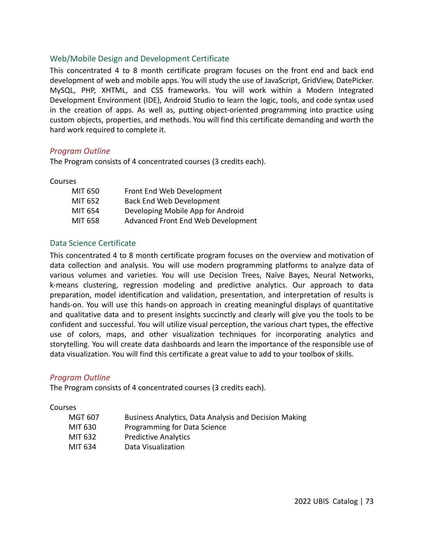## Web/Mobile Design and Development Certificate

This concentrated 4 to 8 month certificate program focuses on the front end and back end development of web and mobile apps. You will study the use of JavaScript, GridView, DatePicker. MySQL, PHP, XHTML, and CSS frameworks. You will work within a Modern Integrated Development Environment (IDE), Android Studio to learn the logic, tools, and code syntax used in the creation of apps. As well as, putting object-oriented programming into practice using custom objects, properties, and methods. You will find this certificate demanding and worth the hard work required to complete it.

### *Program Outline*

The Program consists of 4 concentrated courses (3 credits each).

Courses

| MIT 650 | Front End Web Development          |
|---------|------------------------------------|
| MIT 652 | <b>Back End Web Development</b>    |
| MIT 654 | Developing Mobile App for Android  |
| MIT 658 | Advanced Front End Web Development |

### Data Science Certificate

This concentrated 4 to 8 month certificate program focuses on the overview and motivation of data collection and analysis. You will use modern programming platforms to analyze data of various volumes and varieties. You will use Decision Trees, Naïve Bayes, Neural Networks, k-means clustering, regression modeling and predictive analytics. Our approach to data preparation, model identification and validation, presentation, and interpretation of results is hands-on. You will use this hands-on approach in creating meaningful displays of quantitative and qualitative data and to present insights succinctly and clearly will give you the tools to be confident and successful. You will utilize visual perception, the various chart types, the effective use of colors, maps, and other visualization techniques for incorporating analytics and storytelling. You will create data dashboards and learn the importance of the responsible use of data visualization. You will find this certificate a great value to add to your toolbox of skills.

### *Program Outline*

The Program consists of 4 concentrated courses (3 credits each).

Courses

| MGT 607 | Business Analytics, Data Analysis and Decision Making |
|---------|-------------------------------------------------------|
| MIT 630 | Programming for Data Science                          |
| MIT 632 | <b>Predictive Analytics</b>                           |
| MIT 634 | Data Visualization                                    |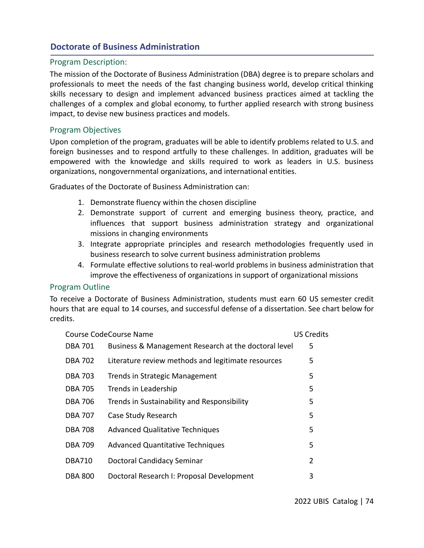## **Doctorate of Business Administration**

## Program Description:

The mission of the Doctorate of Business Administration (DBA) degree is to prepare scholars and professionals to meet the needs of the fast changing business world, develop critical thinking skills necessary to design and implement advanced business practices aimed at tackling the challenges of a complex and global economy, to further applied research with strong business impact, to devise new business practices and models.

## Program Objectives

Upon completion of the program, graduates will be able to identify problems related to U.S. and foreign businesses and to respond artfully to these challenges. In addition, graduates will be empowered with the knowledge and skills required to work as leaders in U.S. business organizations, nongovernmental organizations, and international entities.

Graduates of the Doctorate of Business Administration can:

- 1. Demonstrate fluency within the chosen discipline
- 2. Demonstrate support of current and emerging business theory, practice, and influences that support business administration strategy and organizational missions in changing environments
- 3. Integrate appropriate principles and research methodologies frequently used in business research to solve current business administration problems
- 4. Formulate effective solutions to real-world problems in business administration that improve the effectiveness of organizations in support of organizational missions

## Program Outline

To receive a Doctorate of Business Administration, students must earn 60 US semester credit hours that are equal to 14 courses, and successful defense of a dissertation. See chart below for credits.

|                | Course CodeCourse Name                               | <b>US Credits</b> |
|----------------|------------------------------------------------------|-------------------|
| <b>DBA 701</b> | Business & Management Research at the doctoral level | 5                 |
| <b>DBA 702</b> | Literature review methods and legitimate resources   | 5                 |
| <b>DBA 703</b> | Trends in Strategic Management                       | 5                 |
| <b>DBA 705</b> | Trends in Leadership                                 | 5                 |
| <b>DBA 706</b> | Trends in Sustainability and Responsibility          | 5                 |
| <b>DBA 707</b> | Case Study Research                                  | 5                 |
| <b>DBA 708</b> | <b>Advanced Qualitative Techniques</b>               | 5                 |
| <b>DBA 709</b> | <b>Advanced Quantitative Techniques</b>              | 5                 |
| <b>DBA710</b>  | Doctoral Candidacy Seminar                           | $\overline{2}$    |
| <b>DBA 800</b> | Doctoral Research I: Proposal Development            | 3                 |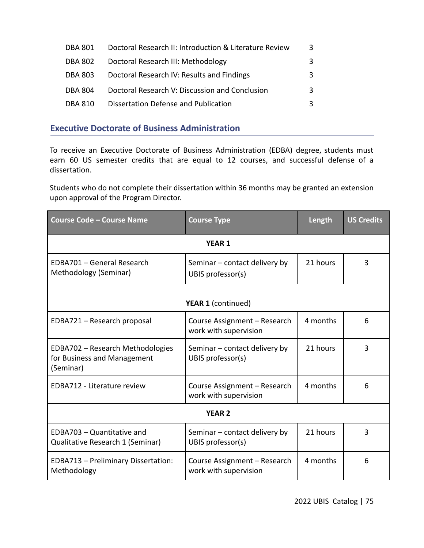| DBA 801        | Doctoral Research II: Introduction & Literature Review | 3 |
|----------------|--------------------------------------------------------|---|
| <b>DBA 802</b> | Doctoral Research III: Methodology                     |   |
| <b>DBA 803</b> | Doctoral Research IV: Results and Findings             |   |
| <b>DBA 804</b> | Doctoral Research V: Discussion and Conclusion         | २ |
| <b>DBA 810</b> | Dissertation Defense and Publication                   |   |

# **Executive Doctorate of Business Administration**

To receive an Executive Doctorate of Business Administration (EDBA) degree, students must earn 60 US semester credits that are equal to 12 courses, and successful defense of a dissertation.

Students who do not complete their dissertation within 36 months may be granted an extension upon approval of the Program Director.

| <b>Course Code - Course Name</b>                                             | <b>Course Type</b>                                    | Length   | <b>US Credits</b> |  |
|------------------------------------------------------------------------------|-------------------------------------------------------|----------|-------------------|--|
|                                                                              | <b>YEAR 1</b>                                         |          |                   |  |
| EDBA701 - General Research<br>Methodology (Seminar)                          | Seminar - contact delivery by<br>UBIS professor(s)    | 21 hours | 3                 |  |
| <b>YEAR 1 (continued)</b>                                                    |                                                       |          |                   |  |
| EDBA721 - Research proposal                                                  | Course Assignment - Research<br>work with supervision | 4 months | 6                 |  |
| EDBA702 - Research Methodologies<br>for Business and Management<br>(Seminar) | Seminar – contact delivery by<br>UBIS professor(s)    | 21 hours | 3                 |  |
| <b>EDBA712 - Literature review</b>                                           | Course Assignment - Research<br>work with supervision | 4 months | 6                 |  |
| <b>YEAR 2</b>                                                                |                                                       |          |                   |  |
| EDBA703 - Quantitative and<br>Qualitative Research 1 (Seminar)               | Seminar - contact delivery by<br>UBIS professor(s)    | 21 hours | 3                 |  |
| <b>EDBA713 - Preliminary Dissertation:</b><br>Methodology                    | Course Assignment - Research<br>work with supervision | 4 months | 6                 |  |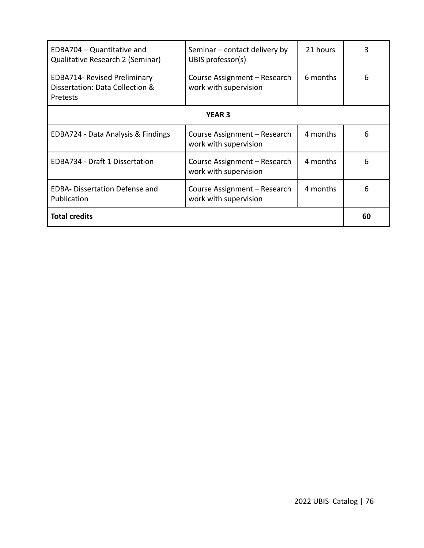| <b>Total credits</b>                                                               |                                                       |          | 60 |
|------------------------------------------------------------------------------------|-------------------------------------------------------|----------|----|
| <b>EDBA- Dissertation Defense and</b><br>Publication                               | Course Assignment – Research<br>work with supervision | 4 months | 6  |
| EDBA734 - Draft 1 Dissertation                                                     | Course Assignment – Research<br>work with supervision | 4 months | 6  |
| EDBA724 - Data Analysis & Findings                                                 | Course Assignment - Research<br>work with supervision | 4 months | 6  |
| <b>YEAR 3</b>                                                                      |                                                       |          |    |
| <b>EDBA714- Revised Preliminary</b><br>Dissertation: Data Collection &<br>Pretests | Course Assignment – Research<br>work with supervision | 6 months | 6  |
| EDBA704 - Quantitative and<br>Qualitative Research 2 (Seminar)                     | Seminar – contact delivery by<br>UBIS professor(s)    | 21 hours | 3  |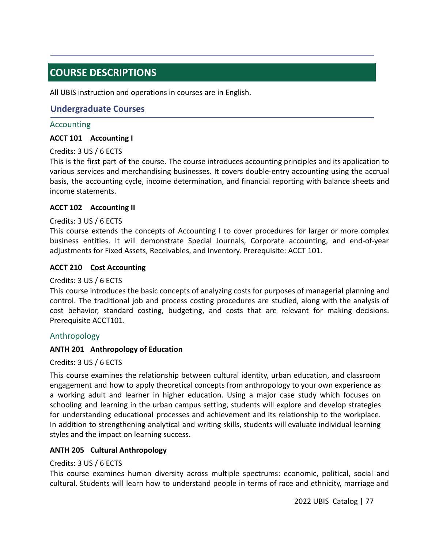# **COURSE DESCRIPTIONS**

All UBIS instruction and operations in courses are in English.

## **Undergraduate Courses**

### Accounting

### **ACCT 101 Accounting I**

### Credits: 3 US / 6 ECTS

This is the first part of the course. The course introduces accounting principles and its application to various services and merchandising businesses. It covers double-entry accounting using the accrual basis, the accounting cycle, income determination, and financial reporting with balance sheets and income statements.

### **ACCT 102 Accounting II**

### Credits: 3 US / 6 ECTS

This course extends the concepts of Accounting I to cover procedures for larger or more complex business entities. It will demonstrate Special Journals, Corporate accounting, and end-of-year adjustments for Fixed Assets, Receivables, and Inventory. Prerequisite: ACCT 101.

### **ACCT 210 Cost Accounting**

### Credits: 3 US / 6 ECTS

This course introduces the basic concepts of analyzing costs for purposes of managerial planning and control. The traditional job and process costing procedures are studied, along with the analysis of cost behavior, standard costing, budgeting, and costs that are relevant for making decisions. Prerequisite ACCT101.

### Anthropology

### **ANTH 201 Anthropology of Education**

### Credits: 3 US / 6 ECTS

This course examines the relationship between cultural identity, urban education, and classroom engagement and how to apply theoretical concepts from anthropology to your own experience as a working adult and learner in higher education. Using a major case study which focuses on schooling and learning in the urban campus setting, students will explore and develop strategies for understanding educational processes and achievement and its relationship to the workplace. In addition to strengthening analytical and writing skills, students will evaluate individual learning styles and the impact on learning success.

### **ANTH 205 Cultural Anthropology**

### Credits: 3 US / 6 ECTS

This course examines human diversity across multiple spectrums: economic, political, social and cultural. Students will learn how to understand people in terms of race and ethnicity, marriage and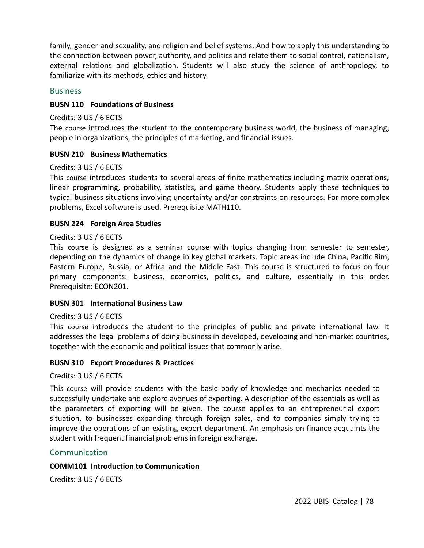family, gender and sexuality, and religion and belief systems. And how to apply this understanding to the connection between power, authority, and politics and relate them to social control, nationalism, external relations and globalization. Students will also study the science of anthropology, to familiarize with its methods, ethics and history.

#### **Business**

#### **BUSN 110 Foundations of Business**

#### Credits: 3 US / 6 ECTS

The course introduces the student to the contemporary business world, the business of managing, people in organizations, the principles of marketing, and financial issues.

#### **BUSN 210 Business Mathematics**

#### Credits: 3 US / 6 ECTS

This course introduces students to several areas of finite mathematics including matrix operations, linear programming, probability, statistics, and game theory. Students apply these techniques to typical business situations involving uncertainty and/or constraints on resources. For more complex problems, Excel software is used. Prerequisite MATH110.

#### **BUSN 224 Foreign Area Studies**

#### Credits: 3 US / 6 ECTS

This course is designed as a seminar course with topics changing from semester to semester, depending on the dynamics of change in key global markets. Topic areas include China, Pacific Rim, Eastern Europe, Russia, or Africa and the Middle East. This course is structured to focus on four primary components: business, economics, politics, and culture, essentially in this order. Prerequisite: ECON201.

#### **BUSN 301 International Business Law**

#### Credits: 3 US / 6 ECTS

This course introduces the student to the principles of public and private international law. It addresses the legal problems of doing business in developed, developing and non-market countries, together with the economic and political issues that commonly arise.

#### **BUSN 310 Export Procedures & Practices**

### Credits: 3 US / 6 ECTS

This course will provide students with the basic body of knowledge and mechanics needed to successfully undertake and explore avenues of exporting. A description of the essentials as well as the parameters of exporting will be given. The course applies to an entrepreneurial export situation, to businesses expanding through foreign sales, and to companies simply trying to improve the operations of an existing export department. An emphasis on finance acquaints the student with frequent financial problems in foreign exchange.

### Communication

#### **COMM101 Introduction to Communication**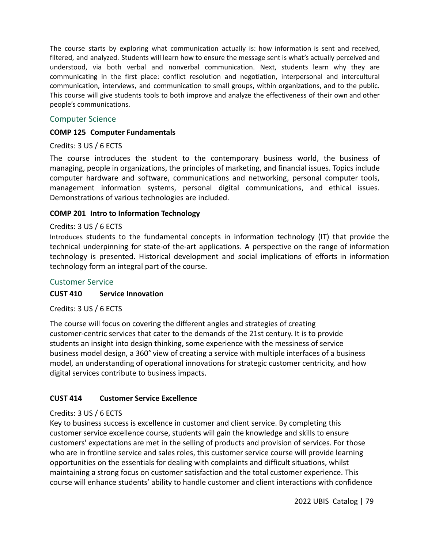The course starts by exploring what communication actually is: how information is sent and received, filtered, and analyzed. Students will learn how to ensure the message sent is what's actually perceived and understood, via both verbal and nonverbal communication. Next, students learn why they are communicating in the first place: conflict resolution and negotiation, interpersonal and intercultural communication, interviews, and communication to small groups, within organizations, and to the public. This course will give students tools to both improve and analyze the effectiveness of their own and other people's communications.

## Computer Science

#### **COMP 125 Computer Fundamentals**

### Credits: 3 US / 6 ECTS

The course introduces the student to the contemporary business world, the business of managing, people in organizations, the principles of marketing, and financial issues. Topics include computer hardware and software, communications and networking, personal computer tools, management information systems, personal digital communications, and ethical issues. Demonstrations of various technologies are included.

## **COMP 201 Intro to Information Technology**

### Credits: 3 US / 6 ECTS

Introduces students to the fundamental concepts in information technology (IT) that provide the technical underpinning for state-of the-art applications. A perspective on the range of information technology is presented. Historical development and social implications of efforts in information technology form an integral part of the course.

### Customer Service

### **CUST 410 Service Innovation**

Credits: 3 US / 6 ECTS

The course will focus on covering the different angles and strategies of creating customer-centric services that cater to the demands of the 21st century. It is to provide students an insight into design thinking, some experience with the messiness of service business model design, a 360° view of creating a service with multiple interfaces of a business model, an understanding of operational innovations for strategic customer centricity, and how digital services contribute to business impacts.

### **CUST 414 Customer Service Excellence**

### Credits: 3 US / 6 ECTS

Key to business success is excellence in customer and client service. By completing this customer service excellence course, students will gain the knowledge and skills to ensure customers' expectations are met in the selling of products and provision of services. For those who are in frontline service and sales roles, this customer service course will provide learning opportunities on the essentials for dealing with complaints and difficult situations, whilst maintaining a strong focus on customer satisfaction and the total customer experience. This course will enhance students' ability to handle customer and client interactions with confidence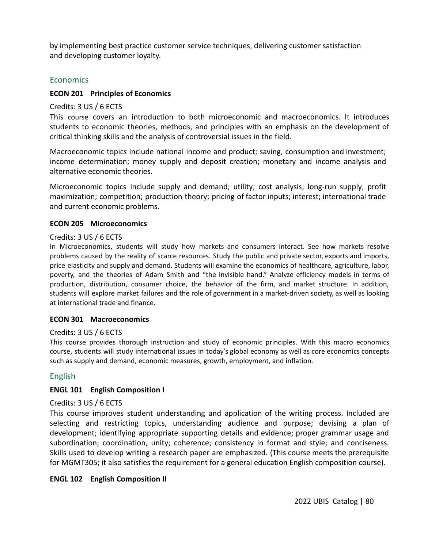by implementing best practice customer service techniques, delivering customer satisfaction and developing customer loyalty.

### **Economics**

### **ECON 201 Principles of Economics**

#### Credits: 3 US / 6 ECTS

This course covers an introduction to both microeconomic and macroeconomics. It introduces students to economic theories, methods, and principles with an emphasis on the development of critical thinking skills and the analysis of controversial issues in the field.

Macroeconomic topics include national income and product; saving, consumption and investment; income determination; money supply and deposit creation; monetary and income analysis and alternative economic theories.

Microeconomic topics include supply and demand; utility; cost analysis; long-run supply; profit maximization; competition; production theory; pricing of factor inputs; interest; international trade and current economic problems.

#### **ECON 205 Microeconomics**

#### Credits: 3 US / 6 ECTS

In Microeconomics, students will study how markets and consumers interact. See how markets resolve problems caused by the reality of scarce resources. Study the public and private sector, exports and imports, price elasticity and supply and demand. Students will examine the economics of healthcare, agriculture, labor, poverty, and the theories of Adam Smith and "the invisible hand." Analyze efficiency models in terms of production, distribution, consumer choice, the behavior of the firm, and market structure. In addition, students will explore market failures and the role of government in a market-driven society, as well as looking at international trade and finance.

### **ECON 301 Macroeconomics**

### Credits: 3 US / 6 ECTS

This course provides thorough instruction and study of economic principles. With this macro economics course, students will study international issues in today's global economy as well as core economics concepts such as supply and demand, economic measures, growth, employment, and inflation.

### English

### **ENGL 101 English Composition I**

#### Credits: 3 US / 6 ECTS

This course improves student understanding and application of the writing process. Included are selecting and restricting topics, understanding audience and purpose; devising a plan of development; identifying appropriate supporting details and evidence; proper grammar usage and subordination; coordination, unity; coherence; consistency in format and style; and conciseness. Skills used to develop writing a research paper are emphasized. (This course meets the prerequisite for MGMT305; it also satisfies the requirement for a general education English composition course).

#### **ENGL 102 English Composition II**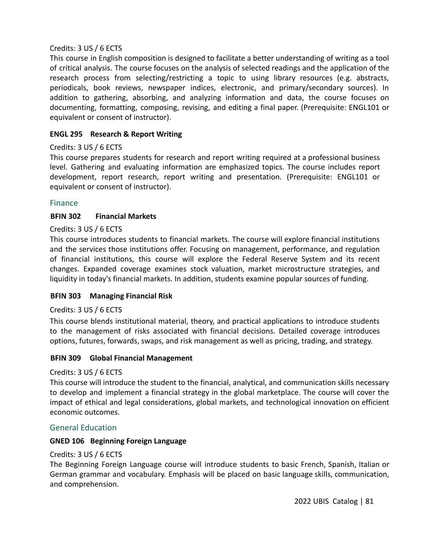## Credits: 3 US / 6 ECTS

This course in English composition is designed to facilitate a better understanding of writing as a tool of critical analysis. The course focuses on the analysis of selected readings and the application of the research process from selecting/restricting a topic to using library resources (e.g. abstracts, periodicals, book reviews, newspaper indices, electronic, and primary/secondary sources). In addition to gathering, absorbing, and analyzing information and data, the course focuses on documenting, formatting, composing, revising, and editing a final paper. (Prerequisite: ENGL101 or equivalent or consent of instructor).

## **ENGL 295 Research & Report Writing**

## Credits: 3 US / 6 ECTS

This course prepares students for research and report writing required at a professional business level. Gathering and evaluating information are emphasized topics. The course includes report development, report research, report writing and presentation. (Prerequisite: ENGL101 or equivalent or consent of instructor).

## Finance

## **BFIN 302 Financial Markets**

### Credits: 3 US / 6 ECTS

This course introduces students to financial markets. The course will explore financial institutions and the services those institutions offer. Focusing on management, performance, and regulation of financial institutions, this course will explore the Federal Reserve System and its recent changes. Expanded coverage examines stock valuation, market microstructure strategies, and liquidity in today's financial markets. In addition, students examine popular sources of funding.

### **BFIN 303 Managing Financial Risk**

### Credits: 3 US / 6 ECTS

This course blends institutional material, theory, and practical applications to introduce students to the management of risks associated with financial decisions. Detailed coverage introduces options, futures, forwards, swaps, and risk management as well as pricing, trading, and strategy.

### **BFIN 309 Global Financial Management**

### Credits: 3 US / 6 ECTS

This course will introduce the student to the financial, analytical, and communication skills necessary to develop and implement a financial strategy in the global marketplace. The course will cover the impact of ethical and legal considerations, global markets, and technological innovation on efficient economic outcomes.

## General Education

### **GNED 106 Beginning Foreign Language**

### Credits: 3 US / 6 ECTS

The Beginning Foreign Language course will introduce students to basic French, Spanish, Italian or German grammar and vocabulary. Emphasis will be placed on basic language skills, communication, and comprehension.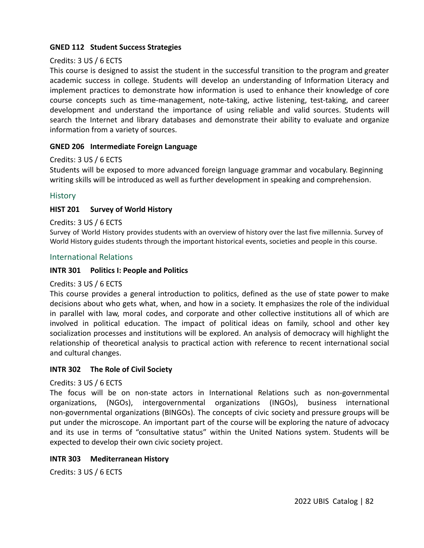## **GNED 112 Student Success Strategies**

### Credits: 3 US / 6 ECTS

This course is designed to assist the student in the successful transition to the program and greater academic success in college. Students will develop an understanding of Information Literacy and implement practices to demonstrate how information is used to enhance their knowledge of core course concepts such as time-management, note-taking, active listening, test-taking, and career development and understand the importance of using reliable and valid sources. Students will search the Internet and library databases and demonstrate their ability to evaluate and organize information from a variety of sources.

### **GNED 206 Intermediate Foreign Language**

### Credits: 3 US / 6 ECTS

Students will be exposed to more advanced foreign language grammar and vocabulary. Beginning writing skills will be introduced as well as further development in speaking and comprehension.

## **History**

## **HIST 201 Survey of World History**

### Credits: 3 US / 6 ECTS

Survey of World History provides students with an overview of history over the last five millennia. Survey of World History guides students through the important historical events, societies and people in this course.

### International Relations

## **INTR 301 Politics I: People and Politics**

### Credits: 3 US / 6 ECTS

This course provides a general introduction to politics, defined as the use of state power to make decisions about who gets what, when, and how in a society. It emphasizes the role of the individual in parallel with law, moral codes, and corporate and other collective institutions all of which are involved in political education. The impact of political ideas on family, school and other key socialization processes and institutions will be explored. An analysis of democracy will highlight the relationship of theoretical analysis to practical action with reference to recent international social and cultural changes.

### **INTR 302 The Role of Civil Society**

### Credits: 3 US / 6 ECTS

The focus will be on non-state actors in International Relations such as non-governmental organizations, (NGOs), intergovernmental organizations (INGOs), business international non-governmental organizations (BINGOs). The concepts of civic society and pressure groups will be put under the microscope. An important part of the course will be exploring the nature of advocacy and its use in terms of "consultative status" within the United Nations system. Students will be expected to develop their own civic society project.

### **INTR 303 Mediterranean History**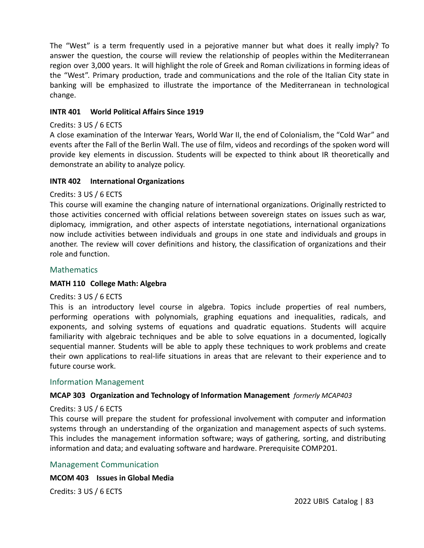The "West" is a term frequently used in a pejorative manner but what does it really imply? To answer the question, the course will review the relationship of peoples within the Mediterranean region over 3,000 years. It will highlight the role of Greek and Roman civilizations in forming ideas of the "West". Primary production, trade and communications and the role of the Italian City state in banking will be emphasized to illustrate the importance of the Mediterranean in technological change.

### **INTR 401 World Political Affairs Since 1919**

### Credits: 3 US / 6 ECTS

A close examination of the Interwar Years, World War II, the end of Colonialism, the "Cold War" and events after the Fall of the Berlin Wall. The use of film, videos and recordings of the spoken word will provide key elements in discussion. Students will be expected to think about IR theoretically and demonstrate an ability to analyze policy.

### **INTR 402 International Organizations**

## Credits: 3 US / 6 ECTS

This course will examine the changing nature of international organizations. Originally restricted to those activities concerned with official relations between sovereign states on issues such as war, diplomacy, immigration, and other aspects of interstate negotiations, international organizations now include activities between individuals and groups in one state and individuals and groups in another. The review will cover definitions and history, the classification of organizations and their role and function.

## **Mathematics**

### **MATH 110 College Math: Algebra**

### Credits: 3 US / 6 ECTS

This is an introductory level course in algebra. Topics include properties of real numbers, performing operations with polynomials, graphing equations and inequalities, radicals, and exponents, and solving systems of equations and quadratic equations. Students will acquire familiarity with algebraic techniques and be able to solve equations in a documented, logically sequential manner. Students will be able to apply these techniques to work problems and create their own applications to real-life situations in areas that are relevant to their experience and to future course work.

## Information Management

## **MCAP 303 Organization and Technology of Information Management** *formerly MCAP403*

### Credits: 3 US / 6 ECTS

This course will prepare the student for professional involvement with computer and information systems through an understanding of the organization and management aspects of such systems. This includes the management information software; ways of gathering, sorting, and distributing information and data; and evaluating software and hardware. Prerequisite COMP201.

### Management Communication

### **MCOM 403 Issues in Global Media**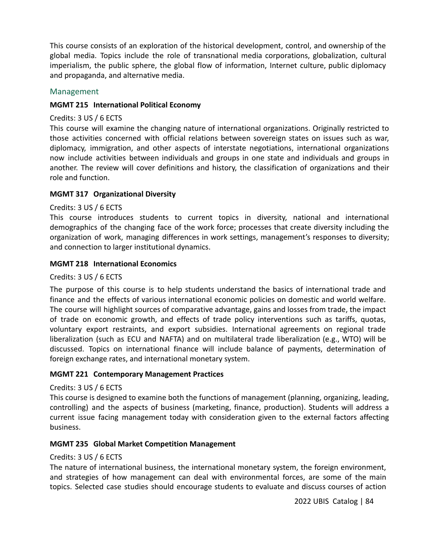This course consists of an exploration of the historical development, control, and ownership of the global media. Topics include the role of transnational media corporations, globalization, cultural imperialism, the public sphere, the global flow of information, Internet culture, public diplomacy and propaganda, and alternative media.

#### Management

#### **MGMT 215 International Political Economy**

#### Credits: 3 US / 6 ECTS

This course will examine the changing nature of international organizations. Originally restricted to those activities concerned with official relations between sovereign states on issues such as war, diplomacy, immigration, and other aspects of interstate negotiations, international organizations now include activities between individuals and groups in one state and individuals and groups in another. The review will cover definitions and history, the classification of organizations and their role and function.

### **MGMT 317 Organizational Diversity**

#### Credits: 3 US / 6 ECTS

This course introduces students to current topics in diversity, national and international demographics of the changing face of the work force; processes that create diversity including the organization of work, managing differences in work settings, management's responses to diversity; and connection to larger institutional dynamics.

#### **MGMT 218 International Economics**

#### Credits: 3 US / 6 ECTS

The purpose of this course is to help students understand the basics of international trade and finance and the effects of various international economic policies on domestic and world welfare. The course will highlight sources of comparative advantage, gains and losses from trade, the impact of trade on economic growth, and effects of trade policy interventions such as tariffs, quotas, voluntary export restraints, and export subsidies. International agreements on regional trade liberalization (such as ECU and NAFTA) and on multilateral trade liberalization (e.g., WTO) will be discussed. Topics on international finance will include balance of payments, determination of foreign exchange rates, and international monetary system.

#### **MGMT 221 Contemporary Management Practices**

### Credits: 3 US / 6 ECTS

This course is designed to examine both the functions of management (planning, organizing, leading, controlling) and the aspects of business (marketing, finance, production). Students will address a current issue facing management today with consideration given to the external factors affecting business.

### **MGMT 235 Global Market Competition Management**

### Credits: 3 US / 6 ECTS

The nature of international business, the international monetary system, the foreign environment, and strategies of how management can deal with environmental forces, are some of the main topics. Selected case studies should encourage students to evaluate and discuss courses of action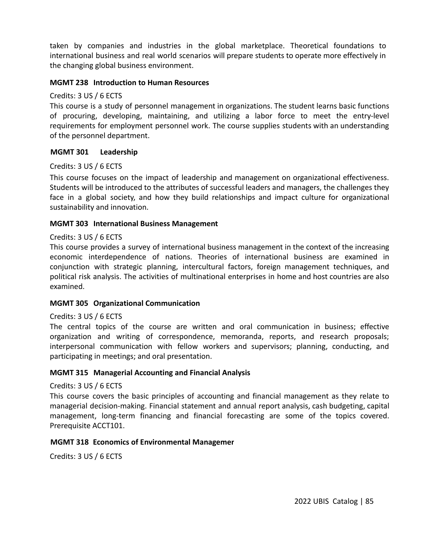taken by companies and industries in the global marketplace. Theoretical foundations to international business and real world scenarios will prepare students to operate more effectively in the changing global business environment.

#### **MGMT 238 Introduction to Human Resources**

#### Credits: 3 US / 6 ECTS

This course is a study of personnel management in organizations. The student learns basic functions of procuring, developing, maintaining, and utilizing a labor force to meet the entry-level requirements for employment personnel work. The course supplies students with an understanding of the personnel department.

#### **MGMT 301 Leadership**

#### Credits: 3 US / 6 ECTS

This course focuses on the impact of leadership and management on organizational effectiveness. Students will be introduced to the attributes of successful leaders and managers, the challenges they face in a global society, and how they build relationships and impact culture for organizational sustainability and innovation.

#### **MGMT 303 International Business Management**

#### Credits: 3 US / 6 ECTS

This course provides a survey of international business management in the context of the increasing economic interdependence of nations. Theories of international business are examined in conjunction with strategic planning, intercultural factors, foreign management techniques, and political risk analysis. The activities of multinational enterprises in home and host countries are also examined.

#### **MGMT 305 Organizational Communication**

#### Credits: 3 US / 6 ECTS

The central topics of the course are written and oral communication in business; effective organization and writing of correspondence, memoranda, reports, and research proposals; interpersonal communication with fellow workers and supervisors; planning, conducting, and participating in meetings; and oral presentation.

#### **MGMT 315 Managerial Accounting and Financial Analysis**

#### Credits: 3 US / 6 ECTS

This course covers the basic principles of accounting and financial management as they relate to managerial decision-making. Financial statement and annual report analysis, cash budgeting, capital management, long-term financing and financial forecasting are some of the topics covered. Prerequisite ACCT101.

#### **MGMT 318 Economics of Environmental Managemen**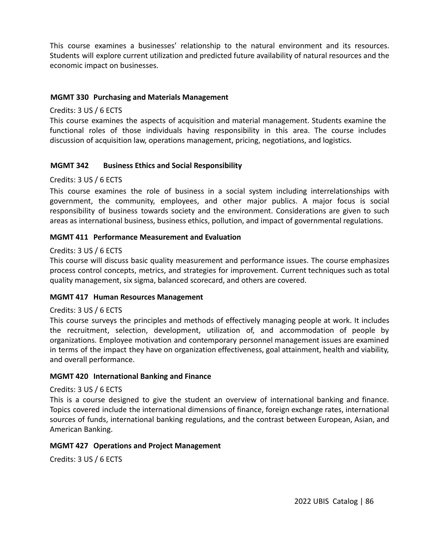This course examines a businesses' relationship to the natural environment and its resources. Students will explore current utilization and predicted future availability of natural resources and the economic impact on businesses.

#### **MGMT 330 Purchasing and Materials Management**

#### Credits: 3 US / 6 ECTS

This course examines the aspects of acquisition and material management. Students examine the functional roles of those individuals having responsibility in this area. The course includes discussion of acquisition law, operations management, pricing, negotiations, and logistics.

### **MGMT 342 Business Ethics and Social Responsibility**

#### Credits: 3 US / 6 ECTS

This course examines the role of business in a social system including interrelationships with government, the community, employees, and other major publics. A major focus is social responsibility of business towards society and the environment. Considerations are given to such areas as international business, business ethics, pollution, and impact of governmental regulations.

#### **MGMT 411 Performance Measurement and Evaluation**

#### Credits: 3 US / 6 ECTS

This course will discuss basic quality measurement and performance issues. The course emphasizes process control concepts, metrics, and strategies for improvement. Current techniques such as total quality management, six sigma, balanced scorecard, and others are covered.

#### **MGMT 417 Human Resources Management**

#### Credits: 3 US / 6 ECTS

This course surveys the principles and methods of effectively managing people at work. It includes the recruitment, selection, development, utilization of, and accommodation of people by organizations. Employee motivation and contemporary personnel management issues are examined in terms of the impact they have on organization effectiveness, goal attainment, health and viability, and overall performance.

#### **MGMT 420 International Banking and Finance**

#### Credits: 3 US / 6 ECTS

This is a course designed to give the student an overview of international banking and finance. Topics covered include the international dimensions of finance, foreign exchange rates, international sources of funds, international banking regulations, and the contrast between European, Asian, and American Banking.

#### **MGMT 427 Operations and Project Management**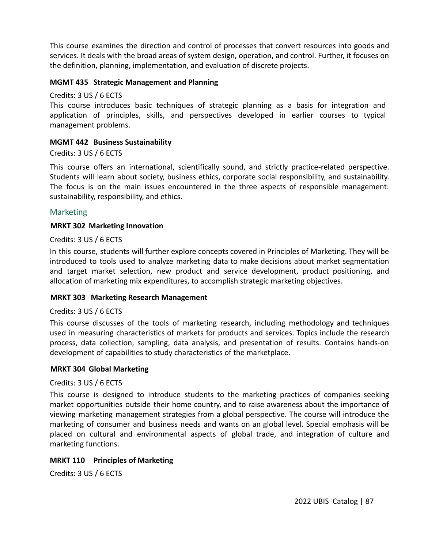This course examines the direction and control of processes that convert resources into goods and services. It deals with the broad areas of system design, operation, and control. Further, it focuses on the definition, planning, implementation, and evaluation of discrete projects.

#### **MGMT 435 Strategic Management and Planning**

Credits: 3 US / 6 ECTS

This course introduces basic techniques of strategic planning as a basis for integration and application of principles, skills, and perspectives developed in earlier courses to typical management problems.

#### **MGMT 442 Business Sustainability**

Credits: 3 US / 6 ECTS

This course offers an international, scientifically sound, and strictly practice-related perspective. Students will learn about society, business ethics, corporate social responsibility, and sustainability. The focus is on the main issues encountered in the three aspects of responsible management: sustainability, responsibility, and ethics.

#### Marketing

#### **MRKT 302 Marketing Innovation**

#### Credits: 3 US / 6 ECTS

In this course, students will further explore concepts covered in Principles of Marketing. They will be introduced to tools used to analyze marketing data to make decisions about market segmentation and target market selection, new product and service development, product positioning, and allocation of marketing mix expenditures, to accomplish strategic marketing objectives.

#### **MRKT 303 Marketing Research Management**

#### Credits: 3 US / 6 ECTS

This course discusses of the tools of marketing research, including methodology and techniques used in measuring characteristics of markets for products and services. Topics include the research process, data collection, sampling, data analysis, and presentation of results. Contains hands-on development of capabilities to study characteristics of the marketplace.

#### **MRKT 304 Global Marketing**

#### Credits: 3 US / 6 ECTS

This course is designed to introduce students to the marketing practices of companies seeking market opportunities outside their home country, and to raise awareness about the importance of viewing marketing management strategies from a global perspective. The course will introduce the marketing of consumer and business needs and wants on an global level. Special emphasis will be placed on cultural and environmental aspects of global trade, and integration of culture and marketing functions.

#### **MRKT 110 Principles of Marketing**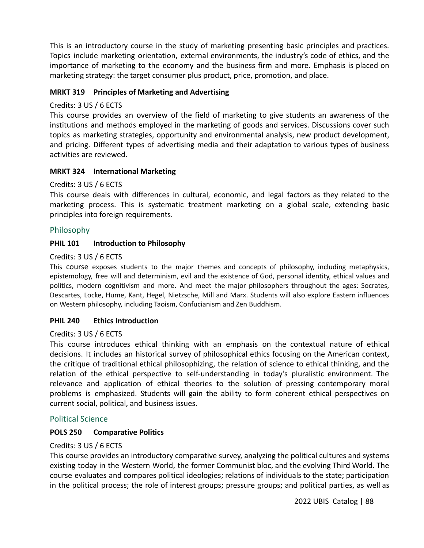This is an introductory course in the study of marketing presenting basic principles and practices. Topics include marketing orientation, external environments, the industry's code of ethics, and the importance of marketing to the economy and the business firm and more. Emphasis is placed on marketing strategy: the target consumer plus product, price, promotion, and place.

## **MRKT 319 Principles of Marketing and Advertising**

### Credits: 3 US / 6 ECTS

This course provides an overview of the field of marketing to give students an awareness of the institutions and methods employed in the marketing of goods and services. Discussions cover such topics as marketing strategies, opportunity and environmental analysis, new product development, and pricing. Different types of advertising media and their adaptation to various types of business activities are reviewed.

## **MRKT 324 International Marketing**

## Credits: 3 US / 6 ECTS

This course deals with differences in cultural, economic, and legal factors as they related to the marketing process. This is systematic treatment marketing on a global scale, extending basic principles into foreign requirements.

## Philosophy

## **PHIL 101 Introduction to Philosophy**

### Credits: 3 US / 6 ECTS

This course exposes students to the major themes and concepts of philosophy, including metaphysics, epistemology, free will and determinism, evil and the existence of God, personal identity, ethical values and politics, modern cognitivism and more. And meet the major philosophers throughout the ages: Socrates, Descartes, Locke, Hume, Kant, Hegel, Nietzsche, Mill and Marx. Students will also explore Eastern influences on Western philosophy, including Taoism, Confucianism and Zen Buddhism.

### **PHIL 240 Ethics Introduction**

### Credits: 3 US / 6 ECTS

This course introduces ethical thinking with an emphasis on the contextual nature of ethical decisions. It includes an historical survey of philosophical ethics focusing on the American context, the critique of traditional ethical philosophizing, the relation of science to ethical thinking, and the relation of the ethical perspective to self-understanding in today's pluralistic environment. The relevance and application of ethical theories to the solution of pressing contemporary moral problems is emphasized. Students will gain the ability to form coherent ethical perspectives on current social, political, and business issues.

### Political Science

## **POLS 250 Comparative Politics**

### Credits: 3 US / 6 ECTS

This course provides an introductory comparative survey, analyzing the political cultures and systems existing today in the Western World, the former Communist bloc, and the evolving Third World. The course evaluates and compares political ideologies; relations of individuals to the state; participation in the political process; the role of interest groups; pressure groups; and political parties, as well as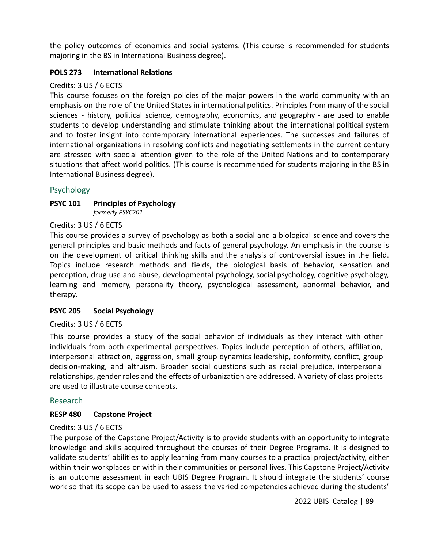the policy outcomes of economics and social systems. (This course is recommended for students majoring in the BS in International Business degree).

## **POLS 273 International Relations**

### Credits: 3 US / 6 ECTS

This course focuses on the foreign policies of the major powers in the world community with an emphasis on the role of the United States in international politics. Principles from many of the social sciences - history, political science, demography, economics, and geography - are used to enable students to develop understanding and stimulate thinking about the international political system and to foster insight into contemporary international experiences. The successes and failures of international organizations in resolving conflicts and negotiating settlements in the current century are stressed with special attention given to the role of the United Nations and to contemporary situations that affect world politics. (This course is recommended for students majoring in the BS in International Business degree).

## Psychology

#### **PSYC 101 Principles of Psychology** *formerly PSYC201*

### Credits: 3 US / 6 ECTS

This course provides a survey of psychology as both a social and a biological science and covers the general principles and basic methods and facts of general psychology. An emphasis in the course is on the development of critical thinking skills and the analysis of controversial issues in the field. Topics include research methods and fields, the biological basis of behavior, sensation and perception, drug use and abuse, developmental psychology, social psychology, cognitive psychology, learning and memory, personality theory, psychological assessment, abnormal behavior, and therapy.

### **PSYC 205 Social Psychology**

### Credits: 3 US / 6 ECTS

This course provides a study of the social behavior of individuals as they interact with other individuals from both experimental perspectives. Topics include perception of others, affiliation, interpersonal attraction, aggression, small group dynamics leadership, conformity, conflict, group decision-making, and altruism. Broader social questions such as racial prejudice, interpersonal relationships, gender roles and the effects of urbanization are addressed. A variety of class projects are used to illustrate course concepts.

### Research

### **RESP 480 Capstone Project**

### Credits: 3 US / 6 ECTS

The purpose of the Capstone Project/Activity is to provide students with an opportunity to integrate knowledge and skills acquired throughout the courses of their Degree Programs. It is designed to validate students' abilities to apply learning from many courses to a practical project/activity, either within their workplaces or within their communities or personal lives. This Capstone Project/Activity is an outcome assessment in each UBIS Degree Program. It should integrate the students' course work so that its scope can be used to assess the varied competencies achieved during the students'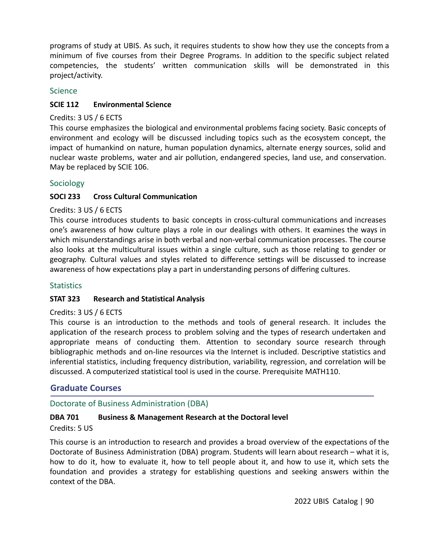programs of study at UBIS. As such, it requires students to show how they use the concepts from a minimum of five courses from their Degree Programs. In addition to the specific subject related competencies, the students' written communication skills will be demonstrated in this project/activity.

## **Science**

## **SCIE 112 Environmental Science**

### Credits: 3 US / 6 ECTS

This course emphasizes the biological and environmental problems facing society. Basic concepts of environment and ecology will be discussed including topics such as the ecosystem concept, the impact of humankind on nature, human population dynamics, alternate energy sources, solid and nuclear waste problems, water and air pollution, endangered species, land use, and conservation. May be replaced by SCIE 106.

## Sociology

## **SOCI 233 Cross Cultural Communication**

### Credits: 3 US / 6 ECTS

This course introduces students to basic concepts in cross-cultural communications and increases one's awareness of how culture plays a role in our dealings with others. It examines the ways in which misunderstandings arise in both verbal and non-verbal communication processes. The course also looks at the multicultural issues within a single culture, such as those relating to gender or geography. Cultural values and styles related to difference settings will be discussed to increase awareness of how expectations play a part in understanding persons of differing cultures.

### **Statistics**

### **STAT 323 Research and Statistical Analysis**

### Credits: 3 US / 6 ECTS

This course is an introduction to the methods and tools of general research. It includes the application of the research process to problem solving and the types of research undertaken and appropriate means of conducting them. Attention to secondary source research through bibliographic methods and on-line resources via the Internet is included. Descriptive statistics and inferential statistics, including frequency distribution, variability, regression, and correlation will be discussed. A computerized statistical tool is used in the course. Prerequisite MATH110.

## **Graduate Courses**

## Doctorate of Business Administration (DBA)

## **DBA 701 Business & Management Research at the Doctoral level**

### Credits: 5 US

This course is an introduction to research and provides a broad overview of the expectations of the Doctorate of Business Administration (DBA) program. Students will learn about research – what it is, how to do it, how to evaluate it, how to tell people about it, and how to use it, which sets the foundation and provides a strategy for establishing questions and seeking answers within the context of the DBA.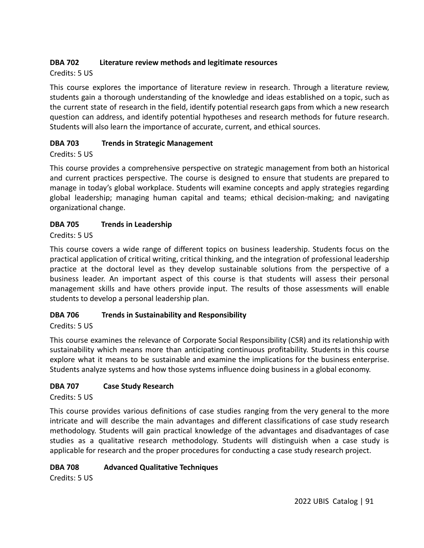## **DBA 702 Literature review methods and legitimate resources**

## Credits: 5 US

This course explores the importance of literature review in research. Through a literature review, students gain a thorough understanding of the knowledge and ideas established on a topic, such as the current state of research in the field, identify potential research gaps from which a new research question can address, and identify potential hypotheses and research methods for future research. Students will also learn the importance of accurate, current, and ethical sources.

## **DBA 703 Trends in Strategic Management**

## Credits: 5 US

This course provides a comprehensive perspective on strategic management from both an historical and current practices perspective. The course is designed to ensure that students are prepared to manage in today's global workplace. Students will examine concepts and apply strategies regarding global leadership; managing human capital and teams; ethical decision-making; and navigating organizational change.

## **DBA 705 Trends in Leadership**

Credits: 5 US

This course covers a wide range of different topics on business leadership. Students focus on the practical application of critical writing, critical thinking, and the integration of professional leadership practice at the doctoral level as they develop sustainable solutions from the perspective of a business leader. An important aspect of this course is that students will assess their personal management skills and have others provide input. The results of those assessments will enable students to develop a personal leadership plan.

## **DBA 706 Trends in Sustainability and Responsibility**

## Credits: 5 US

This course examines the relevance of Corporate Social Responsibility (CSR) and its relationship with sustainability which means more than anticipating continuous profitability. Students in this course explore what it means to be sustainable and examine the implications for the business enterprise. Students analyze systems and how those systems influence doing business in a global economy.

## **DBA 707 Case Study Research**

Credits: 5 US

This course provides various definitions of case studies ranging from the very general to the more intricate and will describe the main advantages and different classifications of case study research methodology. Students will gain practical knowledge of the advantages and disadvantages of case studies as a qualitative research methodology. Students will distinguish when a case study is applicable for research and the proper procedures for conducting a case study research project.

## **DBA 708 Advanced Qualitative Techniques**

Credits: 5 US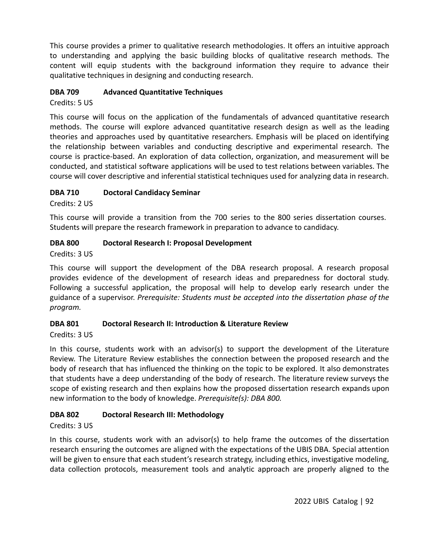This course provides a primer to qualitative research methodologies. It offers an intuitive approach to understanding and applying the basic building blocks of qualitative research methods. The content will equip students with the background information they require to advance their qualitative techniques in designing and conducting research.

## **DBA 709 Advanced Quantitative Techniques**

Credits: 5 US

This course will focus on the application of the fundamentals of advanced quantitative research methods. The course will explore advanced quantitative research design as well as the leading theories and approaches used by quantitative researchers. Emphasis will be placed on identifying the relationship between variables and conducting descriptive and experimental research. The course is practice-based. An exploration of data collection, organization, and measurement will be conducted, and statistical software applications will be used to test relations between variables. The course will cover descriptive and inferential statistical techniques used for analyzing data in research.

## **DBA 710 Doctoral Candidacy Seminar**

Credits: 2 US

This course will provide a transition from the 700 series to the 800 series dissertation courses. Students will prepare the research framework in preparation to advance to candidacy.

## **DBA 800 Doctoral Research I: Proposal Development**

Credits: 3 US

This course will support the development of the DBA research proposal. A research proposal provides evidence of the development of research ideas and preparedness for doctoral study. Following a successful application, the proposal will help to develop early research under the guidance of a supervisor. *Prerequisite: Students must be accepted into the dissertation phase of the program.*

## **DBA 801 Doctoral Research II: Introduction & Literature Review**

Credits: 3 US

In this course, students work with an advisor(s) to support the development of the Literature Review. The Literature Review establishes the connection between the proposed research and the body of research that has influenced the thinking on the topic to be explored. It also demonstrates that students have a deep understanding of the body of research. The literature review surveys the scope of existing research and then explains how the proposed dissertation research expands upon new information to the body of knowledge. *Prerequisite(s): DBA 800.*

## **DBA 802 Doctoral Research III: Methodology**

## Credits: 3 US

In this course, students work with an advisor(s) to help frame the outcomes of the dissertation research ensuring the outcomes are aligned with the expectations of the UBIS DBA. Special attention will be given to ensure that each student's research strategy, including ethics, investigative modeling, data collection protocols, measurement tools and analytic approach are properly aligned to the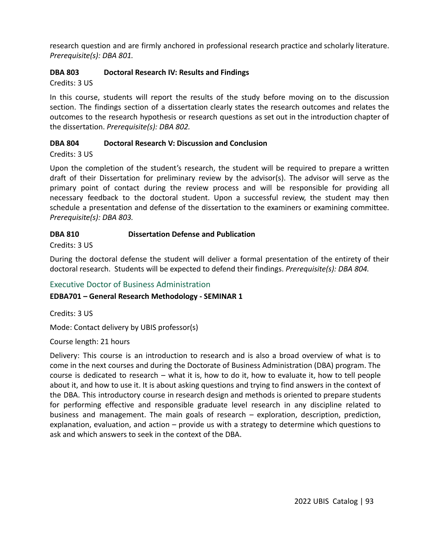research question and are firmly anchored in professional research practice and scholarly literature. *Prerequisite(s): DBA 801.*

## **DBA 803 Doctoral Research IV: Results and Findings**

Credits: 3 US

In this course, students will report the results of the study before moving on to the discussion section. The findings section of a dissertation clearly states the research outcomes and relates the outcomes to the research hypothesis or research questions as set out in the introduction chapter of the dissertation. *Prerequisite(s): DBA 802.*

## **DBA 804 Doctoral Research V: Discussion and Conclusion**

Credits: 3 US

Upon the completion of the student's research, the student will be required to prepare a written draft of their Dissertation for preliminary review by the advisor(s). The advisor will serve as the primary point of contact during the review process and will be responsible for providing all necessary feedback to the doctoral student. Upon a successful review, the student may then schedule a presentation and defense of the dissertation to the examiners or examining committee. *Prerequisite(s): DBA 803.*

## **DBA 810 Dissertation Defense and Publication**

Credits: 3 US

During the doctoral defense the student will deliver a formal presentation of the entirety of their doctoral research. Students will be expected to defend their findings. *Prerequisite(s): DBA 804.*

## Executive Doctor of Business Administration

## **EDBA701 – General Research Methodology - SEMINAR 1**

Credits: 3 US

Mode: Contact delivery by UBIS professor(s)

Course length: 21 hours

Delivery: This course is an introduction to research and is also a broad overview of what is to come in the next courses and during the Doctorate of Business Administration (DBA) program. The course is dedicated to research – what it is, how to do it, how to evaluate it, how to tell people about it, and how to use it. It is about asking questions and trying to find answers in the context of the DBA. This introductory course in research design and methods is oriented to prepare students for performing effective and responsible graduate level research in any discipline related to business and management. The main goals of research – exploration, description, prediction, explanation, evaluation, and action – provide us with a strategy to determine which questions to ask and which answers to seek in the context of the DBA.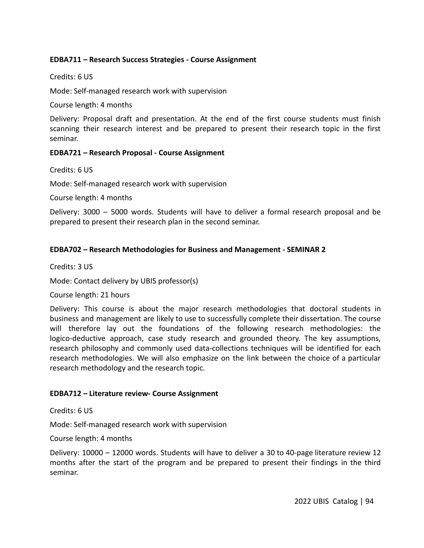### **EDBA711 – Research Success Strategies - Course Assignment**

### Credits: 6 US

Mode: Self-managed research work with supervision

Course length: 4 months

Delivery: Proposal draft and presentation. At the end of the first course students must finish scanning their research interest and be prepared to present their research topic in the first seminar.

### **EDBA721 – Research Proposal - Course Assignment**

Credits: 6 US

Mode: Self-managed research work with supervision

Course length: 4 months

Delivery: 3000 – 5000 words. Students will have to deliver a formal research proposal and be prepared to present their research plan in the second seminar.

### **EDBA702 – Research Methodologies for Business and Management - SEMINAR 2**

Credits: 3 US

Mode: Contact delivery by UBIS professor(s)

#### Course length: 21 hours

Delivery: This course is about the major research methodologies that doctoral students in business and management are likely to use to successfully complete their dissertation. The course will therefore lay out the foundations of the following research methodologies: the logico-deductive approach, case study research and grounded theory. The key assumptions, research philosophy and commonly used data-collections techniques will be identified for each research methodologies. We will also emphasize on the link between the choice of a particular research methodology and the research topic.

### **EDBA712 – Literature review- Course Assignment**

Credits: 6 US

Mode: Self-managed research work with supervision

Course length: 4 months

Delivery: 10000 – 12000 words. Students will have to deliver a 30 to 40-page literature review 12 months after the start of the program and be prepared to present their findings in the third seminar.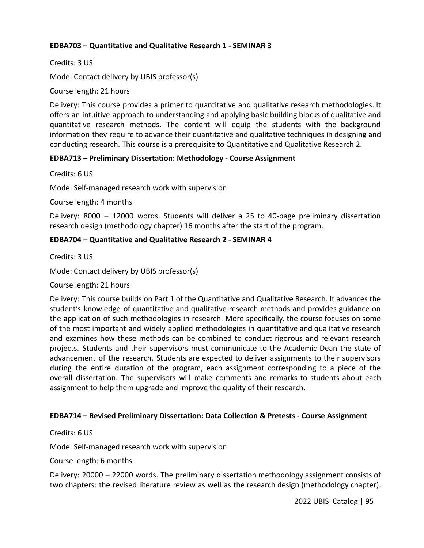## **EDBA703 – Quantitative and Qualitative Research 1 - SEMINAR 3**

Credits: 3 US

Mode: Contact delivery by UBIS professor(s)

Course length: 21 hours

Delivery: This course provides a primer to quantitative and qualitative research methodologies. It offers an intuitive approach to understanding and applying basic building blocks of qualitative and quantitative research methods. The content will equip the students with the background information they require to advance their quantitative and qualitative techniques in designing and conducting research. This course is a prerequisite to Quantitative and Qualitative Research 2.

## **EDBA713 – Preliminary Dissertation: Methodology - Course Assignment**

Credits: 6 US

Mode: Self-managed research work with supervision

Course length: 4 months

Delivery: 8000 – 12000 words. Students will deliver a 25 to 40-page preliminary dissertation research design (methodology chapter) 16 months after the start of the program.

## **EDBA704 – Quantitative and Qualitative Research 2 - SEMINAR 4**

Credits: 3 US

Mode: Contact delivery by UBIS professor(s)

Course length: 21 hours

Delivery: This course builds on Part 1 of the Quantitative and Qualitative Research. It advances the student's knowledge of quantitative and qualitative research methods and provides guidance on the application of such methodologies in research. More specifically, the course focuses on some of the most important and widely applied methodologies in quantitative and qualitative research and examines how these methods can be combined to conduct rigorous and relevant research projects. Students and their supervisors must communicate to the Academic Dean the state of advancement of the research. Students are expected to deliver assignments to their supervisors during the entire duration of the program, each assignment corresponding to a piece of the overall dissertation. The supervisors will make comments and remarks to students about each assignment to help them upgrade and improve the quality of their research.

### **EDBA714 – Revised Preliminary Dissertation: Data Collection & Pretests - Course Assignment**

Credits: 6 US

Mode: Self-managed research work with supervision

Course length: 6 months

Delivery: 20000 – 22000 words. The preliminary dissertation methodology assignment consists of two chapters: the revised literature review as well as the research design (methodology chapter).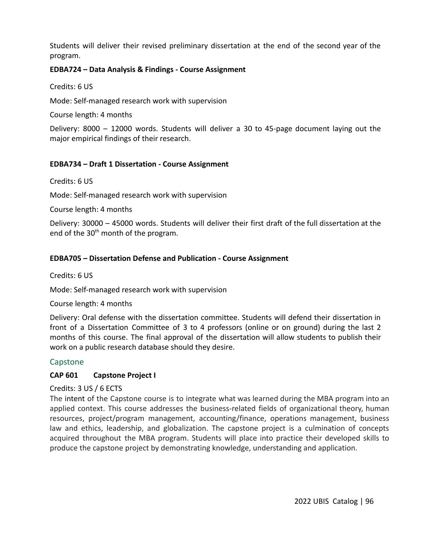Students will deliver their revised preliminary dissertation at the end of the second year of the program.

### **EDBA724 – Data Analysis & Findings - Course Assignment**

Credits: 6 US

Mode: Self-managed research work with supervision

Course length: 4 months

Delivery: 8000 – 12000 words. Students will deliver a 30 to 45-page document laying out the major empirical findings of their research.

## **EDBA734 – Draft 1 Dissertation - Course Assignment**

Credits: 6 US

Mode: Self-managed research work with supervision

Course length: 4 months

Delivery: 30000 – 45000 words. Students will deliver their first draft of the full dissertation at the end of the 30<sup>th</sup> month of the program.

### **EDBA705 – Dissertation Defense and Publication - Course Assignment**

Credits: 6 US

Mode: Self-managed research work with supervision

Course length: 4 months

Delivery: Oral defense with the dissertation committee. Students will defend their dissertation in front of a Dissertation Committee of 3 to 4 professors (online or on ground) during the last 2 months of this course. The final approval of the dissertation will allow students to publish their work on a public research database should they desire.

## Capstone

### **CAP 601 Capstone Project I**

Credits: 3 US / 6 ECTS

The intent of the Capstone course is to integrate what was learned during the MBA program into an applied context. This course addresses the business-related fields of organizational theory, human resources, project/program management, accounting/finance, operations management, business law and ethics, leadership, and globalization. The capstone project is a culmination of concepts acquired throughout the MBA program. Students will place into practice their developed skills to produce the capstone project by demonstrating knowledge, understanding and application.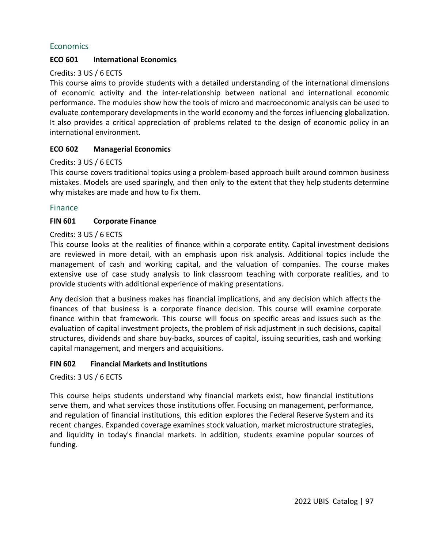## **Economics**

### **ECO 601 International Economics**

#### Credits: 3 US / 6 ECTS

This course aims to provide students with a detailed understanding of the international dimensions of economic activity and the inter-relationship between national and international economic performance. The modules show how the tools of micro and macroeconomic analysis can be used to evaluate contemporary developments in the world economy and the forces influencing globalization. It also provides a critical appreciation of problems related to the design of economic policy in an international environment.

#### **ECO 602 Managerial Economics**

#### Credits: 3 US / 6 ECTS

This course covers traditional topics using a problem-based approach built around common business mistakes. Models are used sparingly, and then only to the extent that they help students determine why mistakes are made and how to fix them.

#### Finance

#### **FIN 601 Corporate Finance**

#### Credits: 3 US / 6 ECTS

This course looks at the realities of finance within a corporate entity. Capital investment decisions are reviewed in more detail, with an emphasis upon risk analysis. Additional topics include the management of cash and working capital, and the valuation of companies. The course makes extensive use of case study analysis to link classroom teaching with corporate realities, and to provide students with additional experience of making presentations.

Any decision that a business makes has financial implications, and any decision which affects the finances of that business is a corporate finance decision. This course will examine corporate finance within that framework. This course will focus on specific areas and issues such as the evaluation of capital investment projects, the problem of risk adjustment in such decisions, capital structures, dividends and share buy-backs, sources of capital, issuing securities, cash and working capital management, and mergers and acquisitions.

#### **FIN 602 Financial Markets and Institutions**

Credits: 3 US / 6 ECTS

This course helps students understand why financial markets exist, how financial institutions serve them, and what services those institutions offer. Focusing on management, performance, and regulation of financial institutions, this edition explores the Federal Reserve System and its recent changes. Expanded coverage examines stock valuation, market microstructure strategies, and liquidity in today's financial markets. In addition, students examine popular sources of funding.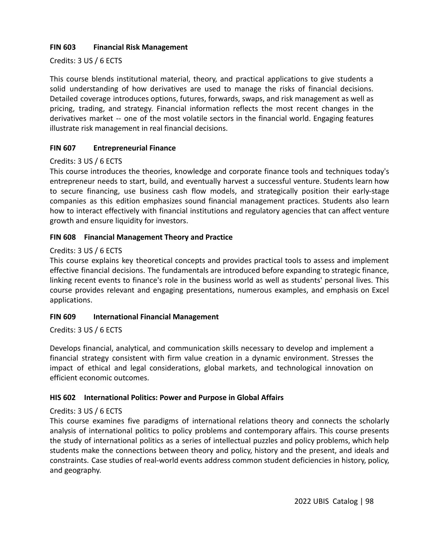## **FIN 603 Financial Risk Management**

## Credits: 3 US / 6 ECTS

This course blends institutional material, theory, and practical applications to give students a solid understanding of how derivatives are used to manage the risks of financial decisions. Detailed coverage introduces options, futures, forwards, swaps, and risk management as well as pricing, trading, and strategy. Financial information reflects the most recent changes in the derivatives market -- one of the most volatile sectors in the financial world. Engaging features illustrate risk management in real financial decisions.

## **FIN 607 Entrepreneurial Finance**

## Credits: 3 US / 6 ECTS

This course introduces the theories, knowledge and corporate finance tools and techniques today's entrepreneur needs to start, build, and eventually harvest a successful venture. Students learn how to secure financing, use business cash flow models, and strategically position their early-stage companies as this edition emphasizes sound financial management practices. Students also learn how to interact effectively with financial institutions and regulatory agencies that can affect venture growth and ensure liquidity for investors.

## **FIN 608 Financial Management Theory and Practice**

### Credits: 3 US / 6 ECTS

This course explains key theoretical concepts and provides practical tools to assess and implement effective financial decisions. The fundamentals are introduced before expanding to strategic finance, linking recent events to finance's role in the business world as well as students' personal lives. This course provides relevant and engaging presentations, numerous examples, and emphasis on Excel applications.

### **FIN 609 International Financial Management**

### Credits: 3 US / 6 ECTS

Develops financial, analytical, and communication skills necessary to develop and implement a financial strategy consistent with firm value creation in a dynamic environment. Stresses the impact of ethical and legal considerations, global markets, and technological innovation on efficient economic outcomes.

### **HIS 602 International Politics: Power and Purpose in Global Affairs**

## Credits: 3 US / 6 ECTS

This course examines five paradigms of international relations theory and connects the scholarly analysis of international politics to policy problems and contemporary affairs. This course presents the study of international politics as a series of intellectual puzzles and policy problems, which help students make the connections between theory and policy, history and the present, and ideals and constraints. Case studies of real-world events address common student deficiencies in history, policy, and geography.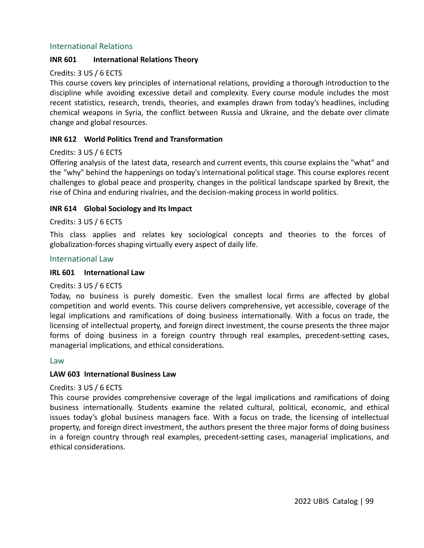### International Relations

### **INR 601 International Relations Theory**

### Credits: 3 US / 6 ECTS

This course covers key principles of international relations, providing a thorough introduction to the discipline while avoiding excessive detail and complexity. Every course module includes the most recent statistics, research, trends, theories, and examples drawn from today's headlines, including chemical weapons in Syria, the conflict between Russia and Ukraine, and the debate over climate change and global resources.

## **INR 612 World Politics Trend and Transformation**

### Credits: 3 US / 6 ECTS

Offering analysis of the latest data, research and current events, this course explains the "what" and the "why" behind the happenings on today's international political stage. This course explores recent challenges to global peace and prosperity, changes in the political landscape sparked by Brexit, the rise of China and enduring rivalries, and the decision-making process in world politics.

### **INR 614 Global Sociology and Its Impact**

#### Credits: 3 US / 6 ECTS

This class applies and relates key sociological concepts and theories to the forces of globalization-forces shaping virtually every aspect of daily life.

#### International Law

#### **IRL 601 International Law**

### Credits: 3 US / 6 ECTS

Today, no business is purely domestic. Even the smallest local firms are affected by global competition and world events. This course delivers comprehensive, yet accessible, coverage of the legal implications and ramifications of doing business internationally. With a focus on trade, the licensing of intellectual property, and foreign direct investment, the course presents the three major forms of doing business in a foreign country through real examples, precedent-setting cases, managerial implications, and ethical considerations.

#### Law

### **LAW 603 International Business Law**

### Credits: 3 US / 6 ECTS

This course provides comprehensive coverage of the legal implications and ramifications of doing business internationally. Students examine the related cultural, political, economic, and ethical issues today's global business managers face. With a focus on trade, the licensing of intellectual property, and foreign direct investment, the authors present the three major forms of doing business in a foreign country through real examples, precedent-setting cases, managerial implications, and ethical considerations.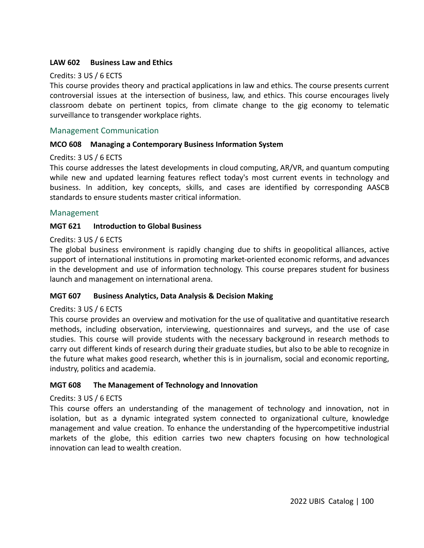### **LAW 602 Business Law and Ethics**

### Credits: 3 US / 6 ECTS

This course provides theory and practical applications in law and ethics. The course presents current controversial issues at the intersection of business, law, and ethics. This course encourages lively classroom debate on pertinent topics, from climate change to the gig economy to telematic surveillance to transgender workplace rights.

## Management Communication

### **MCO 608 Managing a Contemporary Business Information System**

### Credits: 3 US / 6 ECTS

This course addresses the latest developments in cloud computing, AR/VR, and quantum computing while new and updated learning features reflect today's most current events in technology and business. In addition, key concepts, skills, and cases are identified by corresponding AASCB standards to ensure students master critical information.

### Management

#### **MGT 621 Introduction to Global Business**

#### Credits: 3 US / 6 ECTS

The global business environment is rapidly changing due to shifts in geopolitical alliances, active support of international institutions in promoting market-oriented economic reforms, and advances in the development and use of information technology. This course prepares student for business launch and management on international arena.

#### **MGT 607 Business Analytics, Data Analysis & Decision Making**

#### Credits: 3 US / 6 ECTS

This course provides an overview and motivation for the use of qualitative and quantitative research methods, including observation, interviewing, questionnaires and surveys, and the use of case studies. This course will provide students with the necessary background in research methods to carry out different kinds of research during their graduate studies, but also to be able to recognize in the future what makes good research, whether this is in journalism, social and economic reporting, industry, politics and academia.

#### **MGT 608 The Management of Technology and Innovation**

### Credits: 3 US / 6 ECTS

This course offers an understanding of the management of technology and innovation, not in isolation, but as a dynamic integrated system connected to organizational culture, knowledge management and value creation. To enhance the understanding of the hypercompetitive industrial markets of the globe, this edition carries two new chapters focusing on how technological innovation can lead to wealth creation.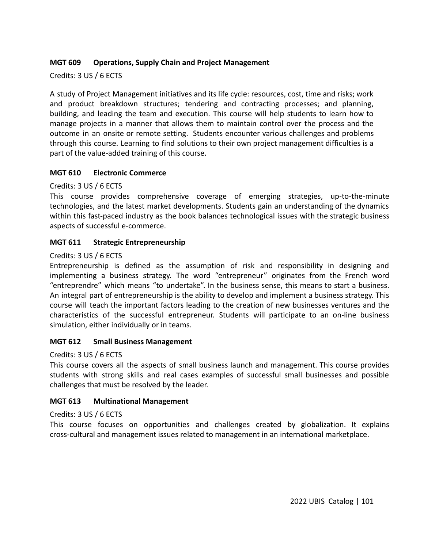## **MGT 609 Operations, Supply Chain and Project Management**

Credits: 3 US / 6 ECTS

A study of Project Management initiatives and its life cycle: resources, cost, time and risks; work and product breakdown structures; tendering and contracting processes; and planning, building, and leading the team and execution. This course will help students to learn how to manage projects in a manner that allows them to maintain control over the process and the outcome in an onsite or remote setting. Students encounter various challenges and problems through this course. Learning to find solutions to their own project management difficulties is a part of the value-added training of this course.

## **MGT 610 Electronic Commerce**

Credits: 3 US / 6 ECTS

This course provides comprehensive coverage of emerging strategies, up-to-the-minute technologies, and the latest market developments. Students gain an understanding of the dynamics within this fast-paced industry as the book balances technological issues with the strategic business aspects of successful e-commerce.

## **MGT 611 Strategic Entrepreneurship**

### Credits: 3 US / 6 ECTS

Entrepreneurship is defined as the assumption of risk and responsibility in designing and implementing a business strategy. The word "entrepreneur" originates from the French word "entreprendre" which means "to undertake". In the business sense, this means to start a business. An integral part of entrepreneurship is the ability to develop and implement a business strategy. This course will teach the important factors leading to the creation of new businesses ventures and the characteristics of the successful entrepreneur. Students will participate to an on-line business simulation, either individually or in teams.

### **MGT 612 Small Business Management**

### Credits: 3 US / 6 ECTS

This course covers all the aspects of small business launch and management. This course provides students with strong skills and real cases examples of successful small businesses and possible challenges that must be resolved by the leader.

### **MGT 613 Multinational Management**

### Credits: 3 US / 6 ECTS

This course focuses on opportunities and challenges created by globalization. It explains cross-cultural and management issues related to management in an international marketplace.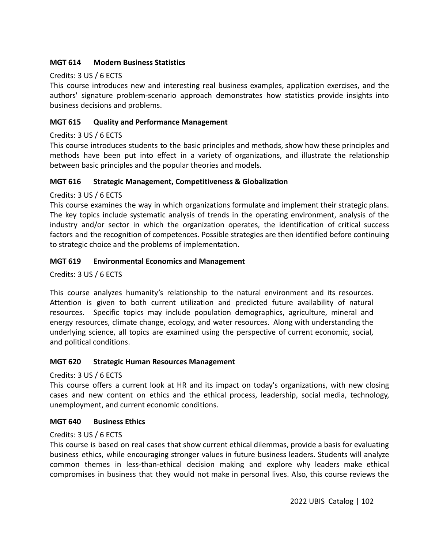## **MGT 614 Modern Business Statistics**

## Credits: 3 US / 6 ECTS

This course introduces new and interesting real business examples, application exercises, and the authors' signature problem-scenario approach demonstrates how statistics provide insights into business decisions and problems.

## **MGT 615 Quality and Performance Management**

## Credits: 3 US / 6 ECTS

This course introduces students to the basic principles and methods, show how these principles and methods have been put into effect in a variety of organizations, and illustrate the relationship between basic principles and the popular theories and models.

### **MGT 616 Strategic Management, Competitiveness & Globalization**

## Credits: 3 US / 6 ECTS

This course examines the way in which organizations formulate and implement their strategic plans. The key topics include systematic analysis of trends in the operating environment, analysis of the industry and/or sector in which the organization operates, the identification of critical success factors and the recognition of competences. Possible strategies are then identified before continuing to strategic choice and the problems of implementation.

## **MGT 619 Environmental Economics and Management**

Credits: 3 US / 6 ECTS

This course analyzes humanity's relationship to the natural environment and its resources. Attention is given to both current utilization and predicted future availability of natural resources. Specific topics may include population demographics, agriculture, mineral and energy resources, climate change, ecology, and water resources. Along with understanding the underlying science, all topics are examined using the perspective of current economic, social, and political conditions.

### **MGT 620 Strategic Human Resources Management**

Credits: 3 US / 6 ECTS

This course offers a current look at HR and its impact on today's organizations, with new closing cases and new content on ethics and the ethical process, leadership, social media, technology, unemployment, and current economic conditions.

### **MGT 640 Business Ethics**

### Credits: 3 US / 6 ECTS

This course is based on real cases that show current ethical dilemmas, provide a basis for evaluating business ethics, while encouraging stronger values in future business leaders. Students will analyze common themes in less-than-ethical decision making and explore why leaders make ethical compromises in business that they would not make in personal lives. Also, this course reviews the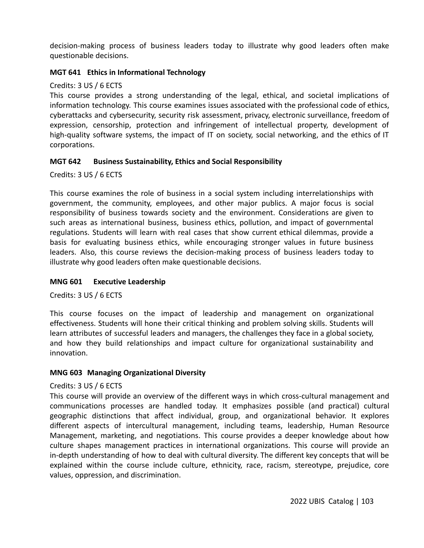decision-making process of business leaders today to illustrate why good leaders often make questionable decisions.

### **MGT 641 Ethics in Informational Technology**

### Credits: 3 US / 6 ECTS

This course provides a strong understanding of the legal, ethical, and societal implications of information technology. This course examines issues associated with the professional code of ethics, cyberattacks and cybersecurity, security risk assessment, privacy, electronic surveillance, freedom of expression, censorship, protection and infringement of intellectual property, development of high-quality software systems, the impact of IT on society, social networking, and the ethics of IT corporations.

### **MGT 642 Business Sustainability, Ethics and Social Responsibility**

Credits: 3 US / 6 ECTS

This course examines the role of business in a social system including interrelationships with government, the community, employees, and other major publics. A major focus is social responsibility of business towards society and the environment. Considerations are given to such areas as international business, business ethics, pollution, and impact of governmental regulations. Students will learn with real cases that show current ethical dilemmas, provide a basis for evaluating business ethics, while encouraging stronger values in future business leaders. Also, this course reviews the decision-making process of business leaders today to illustrate why good leaders often make questionable decisions.

### **MNG 601 Executive Leadership**

Credits: 3 US / 6 ECTS

This course focuses on the impact of leadership and management on organizational effectiveness. Students will hone their critical thinking and problem solving skills. Students will learn attributes of successful leaders and managers, the challenges they face in a global society, and how they build relationships and impact culture for organizational sustainability and innovation.

### **MNG 603 Managing Organizational Diversity**

### Credits: 3 US / 6 ECTS

This course will provide an overview of the different ways in which cross-cultural management and communications processes are handled today. It emphasizes possible (and practical) cultural geographic distinctions that affect individual, group, and organizational behavior. It explores different aspects of intercultural management, including teams, leadership, Human Resource Management, marketing, and negotiations. This course provides a deeper knowledge about how culture shapes management practices in international organizations. This course will provide an in-depth understanding of how to deal with cultural diversity. The different key concepts that will be explained within the course include culture, ethnicity, race, racism, stereotype, prejudice, core values, oppression, and discrimination.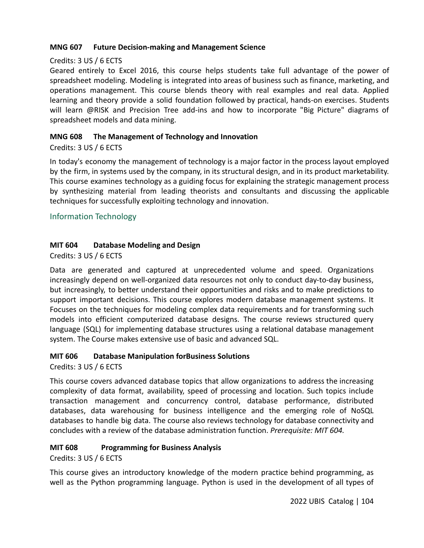## **MNG 607 Future Decision-making and Management Science**

## Credits: 3 US / 6 ECTS

Geared entirely to Excel 2016, this course helps students take full advantage of the power of spreadsheet modeling. Modeling is integrated into areas of business such as finance, marketing, and operations management. This course blends theory with real examples and real data. Applied learning and theory provide a solid foundation followed by practical, hands-on exercises. Students will learn @RISK and Precision Tree add-ins and how to incorporate "Big Picture" diagrams of spreadsheet models and data mining.

## **MNG 608 The Management of Technology and Innovation**

## Credits: 3 US / 6 ECTS

In today's economy the management of technology is a major factor in the process layout employed by the firm, in systems used by the company, in its structural design, and in its product marketability. This course examines technology as a guiding focus for explaining the strategic management process by synthesizing material from leading theorists and consultants and discussing the applicable techniques for successfully exploiting technology and innovation.

## Information Technology

## **MIT 604 Database Modeling and Design**

Credits: 3 US / 6 ECTS

Data are generated and captured at unprecedented volume and speed. Organizations increasingly depend on well-organized data resources not only to conduct day-to-day business, but increasingly, to better understand their opportunities and risks and to make predictions to support important decisions. This course explores modern database management systems. It Focuses on the techniques for modeling complex data requirements and for transforming such models into efficient computerized database designs. The course reviews structured query language (SQL) for implementing database structures using a relational database management system. The Course makes extensive use of basic and advanced SQL.

### **MIT 606 Database Manipulation forBusiness Solutions**

Credits: 3 US / 6 ECTS

This course covers advanced database topics that allow organizations to address the increasing complexity of data format, availability, speed of processing and location. Such topics include transaction management and concurrency control, database performance, distributed databases, data warehousing for business intelligence and the emerging role of NoSQL databases to handle big data. The course also reviews technology for database connectivity and concludes with a review of the database administration function. *Prerequisite: MIT 604.*

## **MIT 608 Programming for Business Analysis**

Credits: 3 US / 6 ECTS

This course gives an introductory knowledge of the modern practice behind programming, as well as the Python programming language. Python is used in the development of all types of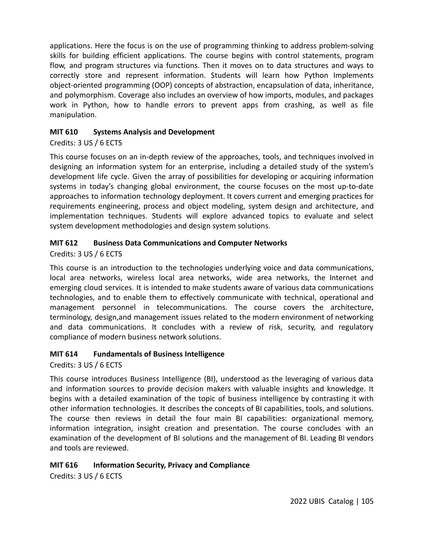applications. Here the focus is on the use of programming thinking to address problem-solving skills for building efficient applications. The course begins with control statements, program flow, and program structures via functions. Then it moves on to data structures and ways to correctly store and represent information. Students will learn how Python Implements object-oriented programming (OOP) concepts of abstraction, encapsulation of data, inheritance, and polymorphism. Coverage also includes an overview of how imports, modules, and packages work in Python, how to handle errors to prevent apps from crashing, as well as file manipulation.

## **MIT 610 Systems Analysis and Development**

## Credits: 3 US / 6 ECTS

This course focuses on an in-depth review of the approaches, tools, and techniques involved in designing an information system for an enterprise, including a detailed study of the system's development life cycle. Given the array of possibilities for developing or acquiring information systems in today's changing global environment, the course focuses on the most up-to-date approaches to information technology deployment. It covers current and emerging practices for requirements engineering, process and object modeling, system design and architecture, and implementation techniques. Students will explore advanced topics to evaluate and select system development methodologies and design system solutions.

## **MIT 612 Business Data Communications and Computer Networks**

Credits: 3 US / 6 ECTS

This course is an introduction to the technologies underlying voice and data communications, local area networks, wireless local area networks, wide area networks, the Internet and emerging cloud services. It is intended to make students aware of various data communications technologies, and to enable them to effectively communicate with technical, operational and management personnel in telecommunications. The course covers the architecture, terminology, design,and management issues related to the modern environment of networking and data communications. It concludes with a review of risk, security, and regulatory compliance of modern business network solutions.

### **MIT 614 Fundamentals of Business Intelligence**

Credits: 3 US / 6 ECTS

This course introduces Business Intelligence (BI), understood as the leveraging of various data and information sources to provide decision makers with valuable insights and knowledge. It begins with a detailed examination of the topic of business intelligence by contrasting it with other information technologies. It describes the concepts of BI capabilities, tools, and solutions. The course then reviews in detail the four main BI capabilities: organizational memory, information integration, insight creation and presentation. The course concludes with an examination of the development of BI solutions and the management of BI. Leading BI vendors and tools are reviewed.

## **MIT 616 Information Security, Privacy and Compliance**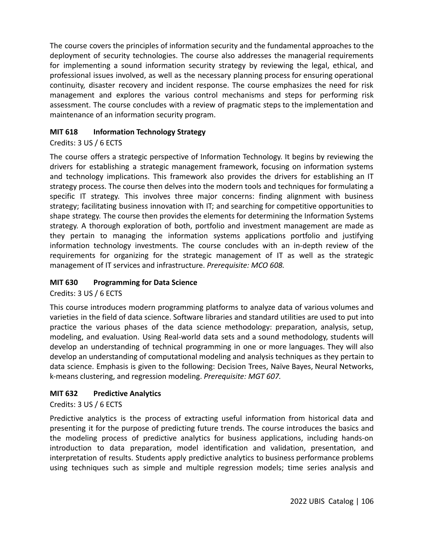The course covers the principles of information security and the fundamental approaches to the deployment of security technologies. The course also addresses the managerial requirements for implementing a sound information security strategy by reviewing the legal, ethical, and professional issues involved, as well as the necessary planning process for ensuring operational continuity, disaster recovery and incident response. The course emphasizes the need for risk management and explores the various control mechanisms and steps for performing risk assessment. The course concludes with a review of pragmatic steps to the implementation and maintenance of an information security program.

## **MIT 618 Information Technology Strategy**

## Credits: 3 US / 6 ECTS

The course offers a strategic perspective of Information Technology. It begins by reviewing the drivers for establishing a strategic management framework, focusing on information systems and technology implications. This framework also provides the drivers for establishing an IT strategy process. The course then delves into the modern tools and techniques for formulating a specific IT strategy. This involves three major concerns: finding alignment with business strategy; facilitating business innovation with IT; and searching for competitive opportunities to shape strategy. The course then provides the elements for determining the Information Systems strategy. A thorough exploration of both, portfolio and investment management are made as they pertain to managing the information systems applications portfolio and justifying information technology investments. The course concludes with an in-depth review of the requirements for organizing for the strategic management of IT as well as the strategic management of IT services and infrastructure. *Prerequisite: MCO 608.*

## **MIT 630 Programming for Data Science**

Credits: 3 US / 6 ECTS

This course introduces modern programming platforms to analyze data of various volumes and varieties in the field of data science. Software libraries and standard utilities are used to put into practice the various phases of the data science methodology: preparation, analysis, setup, modeling, and evaluation. Using Real-world data sets and a sound methodology, students will develop an understanding of technical programming in one or more languages. They will also develop an understanding of computational modeling and analysis techniques as they pertain to data science. Emphasis is given to the following: Decision Trees, Naïve Bayes, Neural Networks, k-means clustering, and regression modeling. *Prerequisite: MGT 607.*

## **MIT 632 Predictive Analytics**

Credits: 3 US / 6 ECTS

Predictive analytics is the process of extracting useful information from historical data and presenting it for the purpose of predicting future trends. The course introduces the basics and the modeling process of predictive analytics for business applications, including hands-on introduction to data preparation, model identification and validation, presentation, and interpretation of results. Students apply predictive analytics to business performance problems using techniques such as simple and multiple regression models; time series analysis and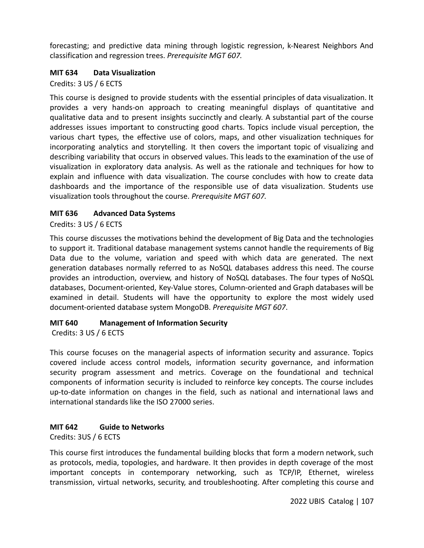forecasting; and predictive data mining through logistic regression, k-Nearest Neighbors And classification and regression trees. *Prerequisite MGT 607.*

## **MIT 634 Data Visualization**

Credits: 3 US / 6 ECTS

This course is designed to provide students with the essential principles of data visualization. It provides a very hands-on approach to creating meaningful displays of quantitative and qualitative data and to present insights succinctly and clearly. A substantial part of the course addresses issues important to constructing good charts. Topics include visual perception, the various chart types, the effective use of colors, maps, and other visualization techniques for incorporating analytics and storytelling. It then covers the important topic of visualizing and describing variability that occurs in observed values. This leads to the examination of the use of visualization in exploratory data analysis. As well as the rationale and techniques for how to explain and influence with data visualization. The course concludes with how to create data dashboards and the importance of the responsible use of data visualization. Students use visualization tools throughout the course. *Prerequisite MGT 607.*

## **MIT 636 Advanced Data Systems**

Credits: 3 US / 6 ECTS

This course discusses the motivations behind the development of Big Data and the technologies to support it. Traditional database management systems cannot handle the requirements of Big Data due to the volume, variation and speed with which data are generated. The next generation databases normally referred to as NoSQL databases address this need. The course provides an introduction, overview, and history of NoSQL databases. The four types of NoSQL databases, Document-oriented, Key-Value stores, Column-oriented and Graph databases will be examined in detail. Students will have the opportunity to explore the most widely used document-oriented database system MongoDB. *Prerequisite MGT 607*.

## **MIT 640 Management of Information Security**

Credits: 3 US / 6 ECTS

This course focuses on the managerial aspects of information security and assurance. Topics covered include access control models, information security governance, and information security program assessment and metrics. Coverage on the foundational and technical components of information security is included to reinforce key concepts. The course includes up-to-date information on changes in the field, such as national and international laws and international standards like the ISO 27000 series.

## **MIT 642 Guide to Networks**

Credits: 3US / 6 ECTS

This course first introduces the fundamental building blocks that form a modern network, such as protocols, media, topologies, and hardware. It then provides in depth coverage of the most important concepts in contemporary networking, such as TCP/IP, Ethernet, wireless transmission, virtual networks, security, and troubleshooting. After completing this course and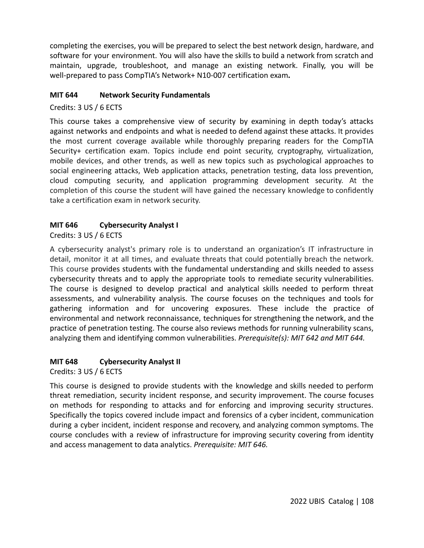completing the exercises, you will be prepared to select the best network design, hardware, and software for your environment. You will also have the skills to build a network from scratch and maintain, upgrade, troubleshoot, and manage an existing network. Finally, you will be well-prepared to pass CompTIA's Network+ N10-007 certification exam**.**

#### **MIT 644 Network Security Fundamentals**

Credits: 3 US / 6 ECTS

This course takes a comprehensive view of security by examining in depth today's attacks against networks and endpoints and what is needed to defend against these attacks. It provides the most current coverage available while thoroughly preparing readers for the CompTIA Security+ certification exam. Topics include end point security, cryptography, virtualization, mobile devices, and other trends, as well as new topics such as psychological approaches to social engineering attacks, Web application attacks, penetration testing, data loss prevention, cloud computing security, and application programming development security. At the completion of this course the student will have gained the necessary knowledge to confidently take a certification exam in network security.

## **MIT 646 Cybersecurity Analyst I**

Credits: 3 US / 6 ECTS

A cybersecurity analyst's primary role is to understand an organization's IT infrastructure in detail, monitor it at all times, and evaluate threats that could potentially breach the network. This course provides students with the fundamental understanding and skills needed to assess cybersecurity threats and to apply the appropriate tools to remediate security vulnerabilities. The course is designed to develop practical and analytical skills needed to perform threat assessments, and vulnerability analysis. The course focuses on the techniques and tools for gathering information and for uncovering exposures. These include the practice of environmental and network reconnaissance, techniques for strengthening the network, and the practice of penetration testing. The course also reviews methods for running vulnerability scans, analyzing them and identifying common vulnerabilities. *Prerequisite(s): MIT 642 and MIT 644.*

## **MIT 648 Cybersecurity Analyst II**

Credits: 3 US / 6 ECTS

This course is designed to provide students with the knowledge and skills needed to perform threat remediation, security incident response, and security improvement. The course focuses on methods for responding to attacks and for enforcing and improving security structures. Specifically the topics covered include impact and forensics of a cyber incident, communication during a cyber incident, incident response and recovery, and analyzing common symptoms. The course concludes with a review of infrastructure for improving security covering from identity and access management to data analytics. *Prerequisite: MIT 646.*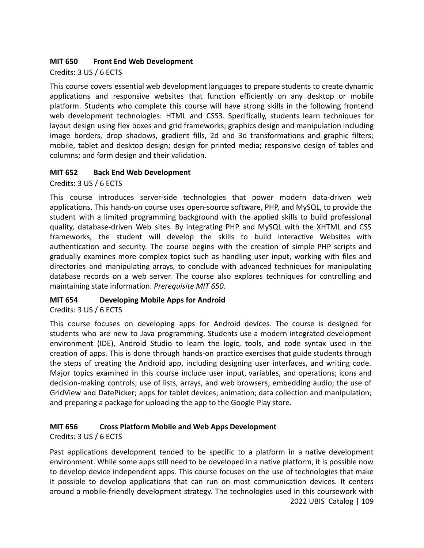#### **MIT 650 Front End Web Development**

Credits: 3 US / 6 ECTS

This course covers essential web development languages to prepare students to create dynamic applications and responsive websites that function efficiently on any desktop or mobile platform. Students who complete this course will have strong skills in the following frontend web development technologies: HTML and CSS3. Specifically, students learn techniques for layout design using flex boxes and grid frameworks; graphics design and manipulation including image borders, drop shadows, gradient fills, 2d and 3d transformations and graphic filters; mobile, tablet and desktop design; design for printed media; responsive design of tables and columns; and form design and their validation.

#### **MIT 652 Back End Web Development**

Credits: 3 US / 6 ECTS

This course introduces server-side technologies that power modern data-driven web applications. This hands-on course uses open-source software, PHP, and MySQL, to provide the student with a limited programming background with the applied skills to build professional quality, database-driven Web sites. By integrating PHP and MySQL with the XHTML and CSS frameworks, the student will develop the skills to build interactive Websites with authentication and security. The course begins with the creation of simple PHP scripts and gradually examines more complex topics such as handling user input, working with files and directories and manipulating arrays, to conclude with advanced techniques for manipulating database records on a web server. The course also explores techniques for controlling and maintaining state information. *Prerequisite MIT 650.*

## **MIT 654 Developing Mobile Apps for Android**

Credits: 3 US / 6 ECTS

This course focuses on developing apps for Android devices. The course is designed for students who are new to Java programming. Students use a modern integrated development environment (IDE), Android Studio to learn the logic, tools, and code syntax used in the creation of apps. This is done through hands-on practice exercises that guide students through the steps of creating the Android app, including designing user interfaces, and writing code. Major topics examined in this course include user input, variables, and operations; icons and decision-making controls; use of lists, arrays, and web browsers; embedding audio; the use of GridView and DatePicker; apps for tablet devices; animation; data collection and manipulation; and preparing a package for uploading the app to the Google Play store.

## **MIT 656 Cross Platform Mobile and Web Apps Development**

Credits: 3 US / 6 ECTS

Past applications development tended to be specific to a platform in a native development environment. While some apps still need to be developed in a native platform, it is possible now to develop device independent apps. This course focuses on the use of technologies that make it possible to develop applications that can run on most communication devices. It centers around a mobile-friendly development strategy. The technologies used in this coursework with 2022 UBIS Catalog | 109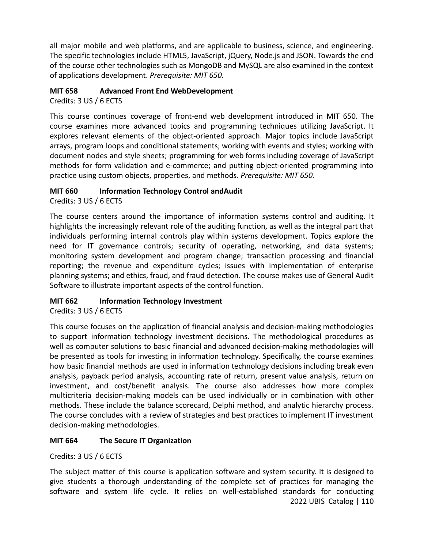all major mobile and web platforms, and are applicable to business, science, and engineering. The specific technologies include HTML5, JavaScript, jQuery, Node.js and JSON. Towards the end of the course other technologies such as MongoDB and MySQL are also examined in the context of applications development. *Prerequisite: MIT 650.*

## **MIT 658 Advanced Front End WebDevelopment**

Credits: 3 US / 6 ECTS

This course continues coverage of front-end web development introduced in MIT 650. The course examines more advanced topics and programming techniques utilizing JavaScript. It explores relevant elements of the object-oriented approach. Major topics include JavaScript arrays, program loops and conditional statements; working with events and styles; working with document nodes and style sheets; programming for web forms including coverage of JavaScript methods for form validation and e-commerce; and putting object-oriented programming into practice using custom objects, properties, and methods. *Prerequisite: MIT 650.*

## **MIT 660 Information Technology Control andAudit**

Credits: 3 US / 6 ECTS

The course centers around the importance of information systems control and auditing. It highlights the increasingly relevant role of the auditing function, as well as the integral part that individuals performing internal controls play within systems development. Topics explore the need for IT governance controls; security of operating, networking, and data systems; monitoring system development and program change; transaction processing and financial reporting; the revenue and expenditure cycles; issues with implementation of enterprise planning systems; and ethics, fraud, and fraud detection. The course makes use of General Audit Software to illustrate important aspects of the control function.

# **MIT 662 Information Technology Investment**

Credits: 3 US / 6 ECTS

This course focuses on the application of financial analysis and decision-making methodologies to support information technology investment decisions. The methodological procedures as well as computer solutions to basic financial and advanced decision-making methodologies will be presented as tools for investing in information technology. Specifically, the course examines how basic financial methods are used in information technology decisions including break even analysis, payback period analysis, accounting rate of return, present value analysis, return on investment, and cost/benefit analysis. The course also addresses how more complex multicriteria decision-making models can be used individually or in combination with other methods. These include the balance scorecard, Delphi method, and analytic hierarchy process. The course concludes with a review of strategies and best practices to implement IT investment decision-making methodologies.

# **MIT 664 The Secure IT Organization**

Credits: 3 US / 6 ECTS

The subject matter of this course is application software and system security. It is designed to give students a thorough understanding of the complete set of practices for managing the software and system life cycle. It relies on well-established standards for conducting 2022 UBIS Catalog | 110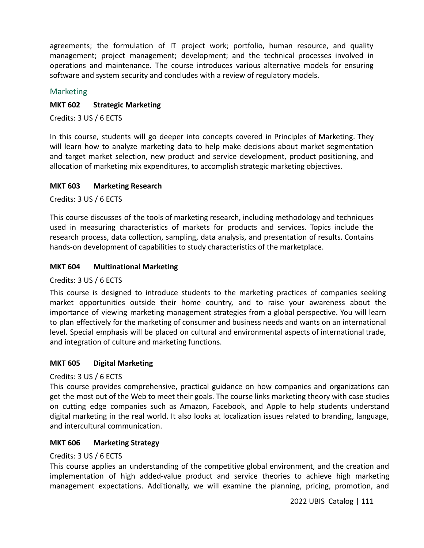agreements; the formulation of IT project work; portfolio, human resource, and quality management; project management; development; and the technical processes involved in operations and maintenance. The course introduces various alternative models for ensuring software and system security and concludes with a review of regulatory models.

#### Marketing

#### **MKT 602 Strategic Marketing**

Credits: 3 US / 6 ECTS

In this course, students will go deeper into concepts covered in Principles of Marketing. They will learn how to analyze marketing data to help make decisions about market segmentation and target market selection, new product and service development, product positioning, and allocation of marketing mix expenditures, to accomplish strategic marketing objectives.

#### **MKT 603 Marketing Research**

Credits: 3 US / 6 ECTS

This course discusses of the tools of marketing research, including methodology and techniques used in measuring characteristics of markets for products and services. Topics include the research process, data collection, sampling, data analysis, and presentation of results. Contains hands-on development of capabilities to study characteristics of the marketplace.

#### **MKT 604 Multinational Marketing**

Credits: 3 US / 6 ECTS

This course is designed to introduce students to the marketing practices of companies seeking market opportunities outside their home country, and to raise your awareness about the importance of viewing marketing management strategies from a global perspective. You will learn to plan effectively for the marketing of consumer and business needs and wants on an international level. Special emphasis will be placed on cultural and environmental aspects of international trade, and integration of culture and marketing functions.

#### **MKT 605 Digital Marketing**

#### Credits: 3 US / 6 ECTS

This course provides comprehensive, practical guidance on how companies and organizations can get the most out of the Web to meet their goals. The course links marketing theory with case studies on cutting edge companies such as Amazon, Facebook, and Apple to help students understand digital marketing in the real world. It also looks at localization issues related to branding, language, and intercultural communication.

#### **MKT 606 Marketing Strategy**

#### Credits: 3 US / 6 ECTS

This course applies an understanding of the competitive global environment, and the creation and implementation of high added-value product and service theories to achieve high marketing management expectations. Additionally, we will examine the planning, pricing, promotion, and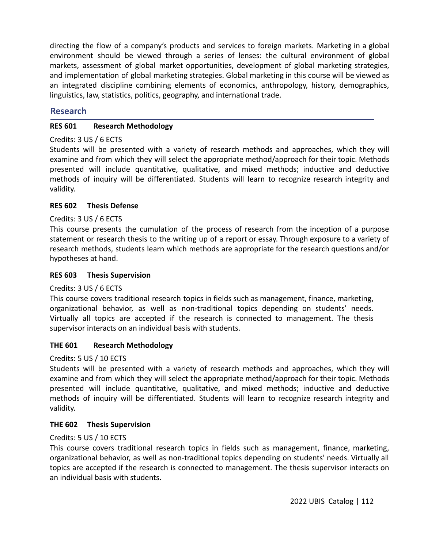directing the flow of a company's products and services to foreign markets. Marketing in a global environment should be viewed through a series of lenses: the cultural environment of global markets, assessment of global market opportunities, development of global marketing strategies, and implementation of global marketing strategies. Global marketing in this course will be viewed as an integrated discipline combining elements of economics, anthropology, history, demographics, linguistics, law, statistics, politics, geography, and international trade.

## **Research**

#### **RES 601 Research Methodology**

#### Credits: 3 US / 6 ECTS

Students will be presented with a variety of research methods and approaches, which they will examine and from which they will select the appropriate method/approach for their topic. Methods presented will include quantitative, qualitative, and mixed methods; inductive and deductive methods of inquiry will be differentiated. Students will learn to recognize research integrity and validity.

#### **RES 602 Thesis Defense**

#### Credits: 3 US / 6 ECTS

This course presents the cumulation of the process of research from the inception of a purpose statement or research thesis to the writing up of a report or essay. Through exposure to a variety of research methods, students learn which methods are appropriate for the research questions and/or hypotheses at hand.

#### **RES 603 Thesis Supervision**

## Credits: 3 US / 6 ECTS

This course covers traditional research topics in fields such as management, finance, marketing, organizational behavior, as well as non-traditional topics depending on students' needs. Virtually all topics are accepted if the research is connected to management. The thesis supervisor interacts on an individual basis with students.

## **THE 601 Research Methodology**

#### Credits: 5 US / 10 ECTS

Students will be presented with a variety of research methods and approaches, which they will examine and from which they will select the appropriate method/approach for their topic. Methods presented will include quantitative, qualitative, and mixed methods; inductive and deductive methods of inquiry will be differentiated. Students will learn to recognize research integrity and validity.

## **THE 602 Thesis Supervision**

## Credits: 5 US / 10 ECTS

This course covers traditional research topics in fields such as management, finance, marketing, organizational behavior, as well as non-traditional topics depending on students' needs. Virtually all topics are accepted if the research is connected to management. The thesis supervisor interacts on an individual basis with students.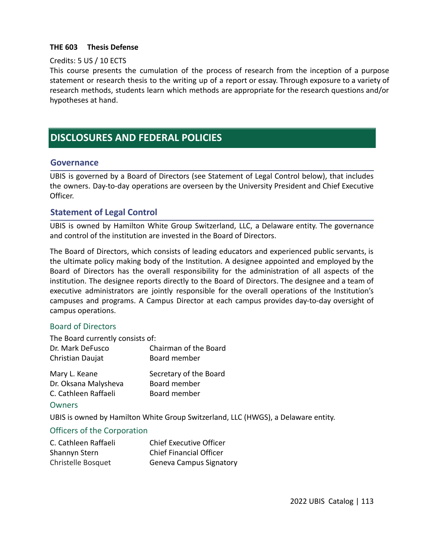#### **THE 603 Thesis Defense**

#### Credits: 5 US / 10 ECTS

This course presents the cumulation of the process of research from the inception of a purpose statement or research thesis to the writing up of a report or essay. Through exposure to a variety of research methods, students learn which methods are appropriate for the research questions and/or hypotheses at hand.

# **DISCLOSURES AND FEDERAL POLICIES**

#### **Governance**

UBIS is governed by a Board of Directors (see Statement of Legal Control below), that includes the owners. Day-to-day operations are overseen by the University President and Chief Executive Officer.

## **Statement of Legal Control**

UBIS is owned by Hamilton White Group Switzerland, LLC, a Delaware entity. The governance and control of the institution are invested in the Board of Directors.

The Board of Directors, which consists of leading educators and experienced public servants, is the ultimate policy making body of the Institution. A designee appointed and employed by the Board of Directors has the overall responsibility for the administration of all aspects of the institution. The designee reports directly to the Board of Directors. The designee and a team of executive administrators are jointly responsible for the overall operations of the Institution's campuses and programs. A Campus Director at each campus provides day-to-day oversight of campus operations.

#### Board of Directors

| The Board currently consists of: |                       |
|----------------------------------|-----------------------|
| Dr. Mark DeFusco                 | Chairman of the Board |
| Christian Daujat                 | Board member          |

| Mary L. Keane        | Secretary of the Board |
|----------------------|------------------------|
| Dr. Oksana Malysheva | Board member           |
| C. Cathleen Raffaeli | Board member           |

#### **Owners**

UBIS is owned by Hamilton White Group Switzerland, LLC (HWGS), a Delaware entity.

#### Officers of the Corporation

| C. Cathleen Raffaeli | <b>Chief Executive Officer</b> |
|----------------------|--------------------------------|
| Shannyn Stern        | <b>Chief Financial Officer</b> |
| Christelle Bosquet   | <b>Geneva Campus Signatory</b> |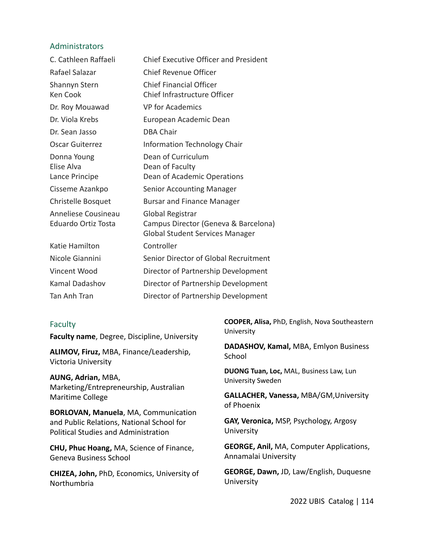#### Administrators

| C. Cathleen Raffaeli                              | <b>Chief Executive Officer and President</b>                                                       |
|---------------------------------------------------|----------------------------------------------------------------------------------------------------|
| Rafael Salazar                                    | <b>Chief Revenue Officer</b>                                                                       |
| Shannyn Stern<br>Ken Cook                         | <b>Chief Financial Officer</b><br>Chief Infrastructure Officer                                     |
| Dr. Roy Mouawad                                   | <b>VP</b> for Academics                                                                            |
| Dr. Viola Krebs                                   | European Academic Dean                                                                             |
| Dr. Sean Jasso                                    | <b>DBA Chair</b>                                                                                   |
| <b>Oscar Guiterrez</b>                            | Information Technology Chair                                                                       |
| Donna Young<br>Elise Alva<br>Lance Principe       | Dean of Curriculum<br>Dean of Faculty<br>Dean of Academic Operations                               |
| Cisseme Azankpo                                   | <b>Senior Accounting Manager</b>                                                                   |
| <b>Christelle Bosquet</b>                         | <b>Bursar and Finance Manager</b>                                                                  |
| Anneliese Cousineau<br><b>Eduardo Ortiz Tosta</b> | Global Registrar<br>Campus Director (Geneva & Barcelona)<br><b>Global Student Services Manager</b> |
| Katie Hamilton                                    | Controller                                                                                         |
| Nicole Giannini                                   | Senior Director of Global Recruitment                                                              |
| Vincent Wood                                      | Director of Partnership Development                                                                |
| Kamal Dadashov                                    | Director of Partnership Development                                                                |
| Tan Anh Tran                                      | Director of Partnership Development                                                                |

#### Faculty

**Faculty name**, Degree, Discipline, University

**ALIMOV, Firuz,** MBA, Finance/Leadership, Victoria University

**AUNG, Adrian,** MBA, Marketing/Entrepreneurship, Australian Maritime College

**BORLOVAN, Manuela**, MA, Communication and Public Relations, National School for Political Studies and Administration

**CHU, Phuc Hoang,** MA, Science of Finance, Geneva Business School

**CHIZEA, John,** PhD, Economics, University of Northumbria

**COOPER, Alisa,** PhD, English, Nova Southeastern **University** 

**DADASHOV, Kamal,** MBA, Emlyon Business **School** 

**DUONG Tuan, Loc,** MAL, Business Law, Lun University Sweden

**GALLACHER, Vanessa,** MBA/GM,University of Phoenix

**GAY, Veronica,** MSP, Psychology, Argosy University

**GEORGE, Anil,** MA, Computer Applications, Annamalai University

**GEORGE, Dawn,** JD, Law/English, Duquesne University

2022 UBIS Catalog | 114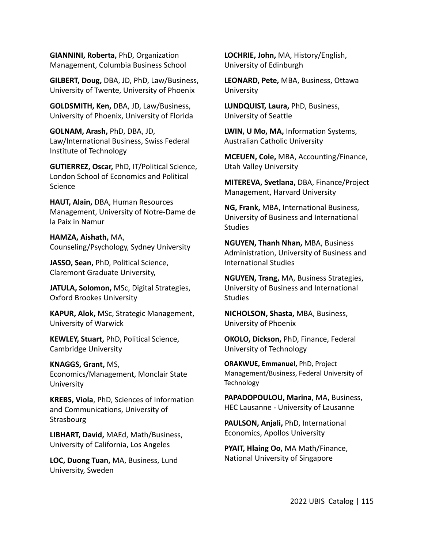**GIANNINI, Roberta,** PhD, Organization Management, Columbia Business School

**GILBERT, Doug,** DBA, JD, PhD, Law/Business, University of Twente, University of Phoenix

**GOLDSMITH, Ken,** DBA, JD, Law/Business, University of Phoenix, University of Florida

**GOLNAM, Arash,** PhD, DBA, JD, Law/International Business, Swiss Federal Institute of Technology

**GUTIERREZ, Oscar,** PhD, IT/Political Science, London School of Economics and Political Science

**HAUT, Alain,** DBA, Human Resources Management, University of Notre-Dame de la Paix in Namur

**HAMZA, Aishath,** MA, Counseling/Psychology, Sydney University

**JASSO, Sean,** PhD, Political Science, Claremont Graduate University,

**JATULA, Solomon,** MSc, Digital Strategies, Oxford Brookes University

**KAPUR, Alok,** MSc, Strategic Management, University of Warwick

**KEWLEY, Stuart,** PhD, Political Science, Cambridge University

#### **KNAGGS, Grant,** MS,

Economics/Management, Monclair State University

**KREBS, Viola**, PhD, Sciences of Information and Communications, University of **Strasbourg** 

**LIBHART, David,** MAEd, Math/Business, University of California, Los Angeles

**LOC, Duong Tuan,** MA, Business, Lund University, Sweden

**LOCHRIE, John,** MA, History/English, University of Edinburgh

**LEONARD, Pete,** MBA, Business, Ottawa **University** 

**LUNDQUIST, Laura,** PhD, Business, University of Seattle

**LWIN, U Mo, MA,** Information Systems, Australian Catholic University

**MCEUEN, Cole,** MBA, Accounting/Finance, Utah Valley University

**MITEREVA, Svetlana,** DBA, Finance/Project Management, Harvard University

**NG, Frank,** MBA, International Business, University of Business and International **Studies** 

**NGUYEN, Thanh Nhan,** MBA, Business Administration, University of Business and International Studies

**NGUYEN, Trang,** MA, Business Strategies, University of Business and International **Studies** 

**NICHOLSON, Shasta,** MBA, Business, University of Phoenix

**OKOLO, Dickson,** PhD, Finance, Federal University of Technology

**ORAKWUE, Emmanuel,** PhD, Project Management/Business, Federal University of **Technology** 

**PAPADOPOULOU, Marina**, MA, Business, HEC Lausanne - University of Lausanne

**PAULSON, Anjali,** PhD, International Economics, Apollos University

**PYAIT, Hlaing Oo,** MA Math/Finance, National University of Singapore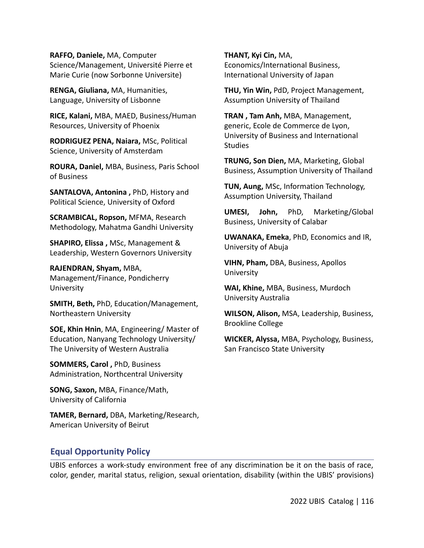**RAFFO, Daniele,** MA, Computer Science/Management, Université Pierre et Marie Curie (now Sorbonne Universite)

**RENGA, Giuliana,** MA, Humanities, Language, University of Lisbonne

**RICE, Kalani,** MBA, MAED, Business/Human Resources, University of Phoenix

**RODRIGUEZ PENA, Naiara,** MSc, Political Science, University of Amsterdam

**ROURA, Daniel,** MBA, Business, Paris School of Business

**SANTALOVA, Antonina ,** PhD, History and Political Science, University of Oxford

**SCRAMBICAL, Ropson,** MFMA, Research Methodology, Mahatma Gandhi University

**SHAPIRO, Elissa ,** MSc, Management & Leadership, Western Governors University

**RAJENDRAN, Shyam,** MBA, Management/Finance, Pondicherry University

**SMITH, Beth,** PhD, Education/Management, Northeastern University

**SOE, Khin Hnin**, MA, Engineering/ Master of Education, Nanyang Technology University/ The University of Western Australia

**SOMMERS, Carol ,** PhD, Business Administration, Northcentral University

**SONG, Saxon,** MBA, Finance/Math, University of California

**TAMER, Bernard,** DBA, Marketing/Research, American University of Beirut

**THANT, Kyi Cin,** MA, Economics/International Business, International University of Japan

**THU, Yin Win,** PdD, Project Management, Assumption University of Thailand

**TRAN , Tam Anh,** MBA, Management, generic, Ecole de Commerce de Lyon, University of Business and International **Studies** 

**TRUNG, Son Dien,** MA, Marketing, Global Business, Assumption University of Thailand

**TUN, Aung,** MSc, Information Technology, Assumption University, Thailand

**UMESI, John,** PhD, Marketing/Global Business, University of Calabar

**UWANAKA, Emeka**, PhD, Economics and IR, University of Abuja

**VIHN, Pham,** DBA, Business, Apollos University

**WAI, Khine,** MBA, Business, Murdoch University Australia

**WILSON, Alison,** MSA, Leadership, Business, Brookline College

**WICKER, Alyssa,** MBA, Psychology, Business, San Francisco State University

## **Equal Opportunity Policy**

UBIS enforces a work-study environment free of any discrimination be it on the basis of race, color, gender, marital status, religion, sexual orientation, disability (within the UBIS' provisions)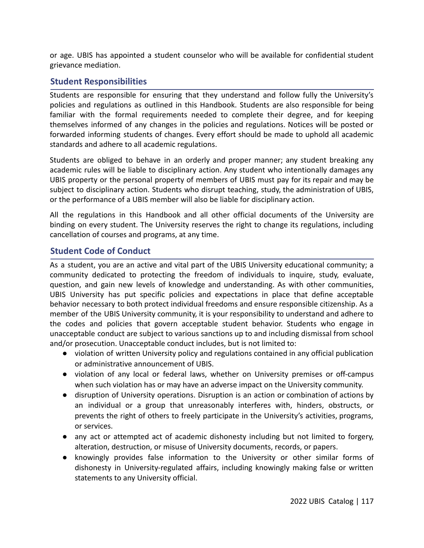or age. UBIS has appointed a student counselor who will be available for confidential student grievance mediation.

## **Student Responsibilities**

Students are responsible for ensuring that they understand and follow fully the University's policies and regulations as outlined in this Handbook. Students are also responsible for being familiar with the formal requirements needed to complete their degree, and for keeping themselves informed of any changes in the policies and regulations. Notices will be posted or forwarded informing students of changes. Every effort should be made to uphold all academic standards and adhere to all academic regulations.

Students are obliged to behave in an orderly and proper manner; any student breaking any academic rules will be liable to disciplinary action. Any student who intentionally damages any UBIS property or the personal property of members of UBIS must pay for its repair and may be subject to disciplinary action. Students who disrupt teaching, study, the administration of UBIS, or the performance of a UBIS member will also be liable for disciplinary action.

All the regulations in this Handbook and all other official documents of the University are binding on every student. The University reserves the right to change its regulations, including cancellation of courses and programs, at any time.

## **Student Code of Conduct**

As a student, you are an active and vital part of the UBIS University educational community; a community dedicated to protecting the freedom of individuals to inquire, study, evaluate, question, and gain new levels of knowledge and understanding. As with other communities, UBIS University has put specific policies and expectations in place that define acceptable behavior necessary to both protect individual freedoms and ensure responsible citizenship. As a member of the UBIS University community, it is your responsibility to understand and adhere to the codes and policies that govern acceptable student behavior. Students who engage in unacceptable conduct are subject to various sanctions up to and including dismissal from school and/or prosecution. Unacceptable conduct includes, but is not limited to:

- violation of written University policy and regulations contained in any official publication or administrative announcement of UBIS.
- violation of any local or federal laws, whether on University premises or off-campus when such violation has or may have an adverse impact on the University community.
- disruption of University operations. Disruption is an action or combination of actions by an individual or a group that unreasonably interferes with, hinders, obstructs, or prevents the right of others to freely participate in the University's activities, programs, or services.
- any act or attempted act of academic dishonesty including but not limited to forgery, alteration, destruction, or misuse of University documents, records, or papers.
- knowingly provides false information to the University or other similar forms of dishonesty in University-regulated affairs, including knowingly making false or written statements to any University official.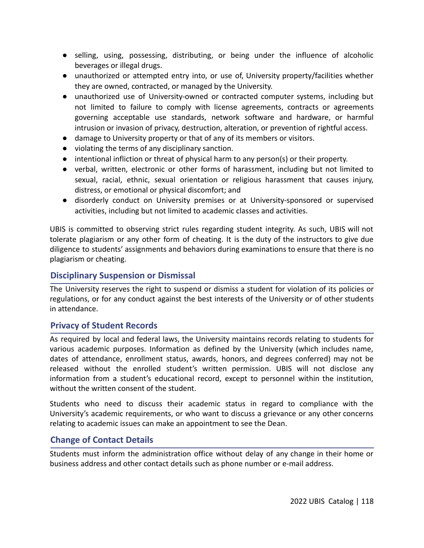- selling, using, possessing, distributing, or being under the influence of alcoholic beverages or illegal drugs.
- unauthorized or attempted entry into, or use of, University property/facilities whether they are owned, contracted, or managed by the University.
- unauthorized use of University-owned or contracted computer systems, including but not limited to failure to comply with license agreements, contracts or agreements governing acceptable use standards, network software and hardware, or harmful intrusion or invasion of privacy, destruction, alteration, or prevention of rightful access.
- damage to University property or that of any of its members or visitors.
- violating the terms of any disciplinary sanction.
- intentional infliction or threat of physical harm to any person(s) or their property.
- verbal, written, electronic or other forms of harassment, including but not limited to sexual, racial, ethnic, sexual orientation or religious harassment that causes injury, distress, or emotional or physical discomfort; and
- disorderly conduct on University premises or at University-sponsored or supervised activities, including but not limited to academic classes and activities.

UBIS is committed to observing strict rules regarding student integrity. As such, UBIS will not tolerate plagiarism or any other form of cheating. It is the duty of the instructors to give due diligence to students' assignments and behaviors during examinations to ensure that there is no plagiarism or cheating.

# **Disciplinary Suspension or Dismissal**

The University reserves the right to suspend or dismiss a student for violation of its policies or regulations, or for any conduct against the best interests of the University or of other students in attendance.

# **Privacy of Student Records**

As required by local and federal laws, the University maintains records relating to students for various academic purposes. Information as defined by the University (which includes name, dates of attendance, enrollment status, awards, honors, and degrees conferred) may not be released without the enrolled student's written permission. UBIS will not disclose any information from a student's educational record, except to personnel within the institution, without the written consent of the student.

Students who need to discuss their academic status in regard to compliance with the University's academic requirements, or who want to discuss a grievance or any other concerns relating to academic issues can make an appointment to see the Dean.

# **Change of Contact Details**

Students must inform the administration office without delay of any change in their home or business address and other contact details such as phone number or e-mail address.